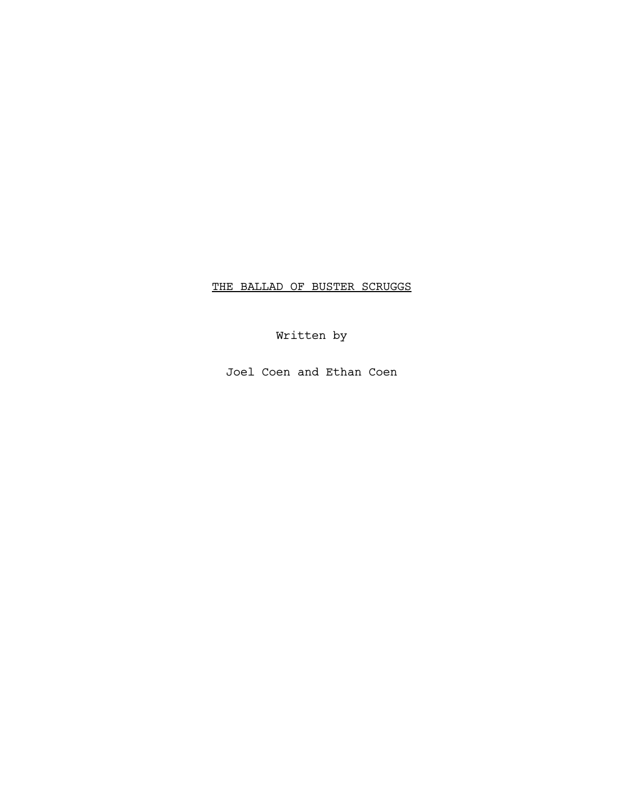THE BALLAD OF BUSTER SCRUGGS

Written by

Joel Coen and Ethan Coen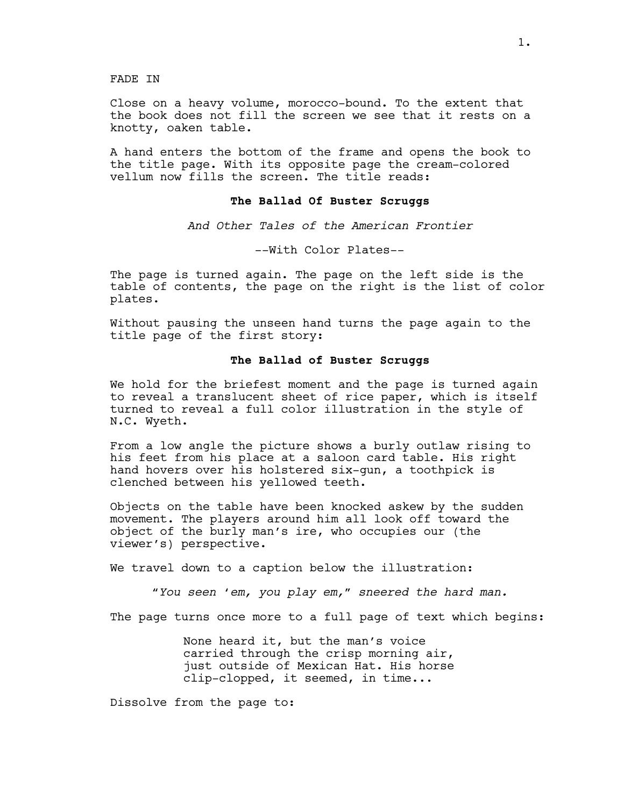FADE IN

Close on a heavy volume, morocco-bound. To the extent that the book does not fill the screen we see that it rests on a knotty, oaken table.

A hand enters the bottom of the frame and opens the book to the title page. With its opposite page the cream-colored vellum now fills the screen. The title reads:

# **The Ballad Of Buster Scruggs**

*And Other Tales of the American Frontier*

--With Color Plates--

The page is turned again. The page on the left side is the table of contents, the page on the right is the list of color plates.

Without pausing the unseen hand turns the page again to the title page of the first story:

# **The Ballad of Buster Scruggs**

We hold for the briefest moment and the page is turned again to reveal a translucent sheet of rice paper, which is itself turned to reveal a full color illustration in the style of N.C. Wyeth.

From a low angle the picture shows a burly outlaw rising to his feet from his place at a saloon card table. His right hand hovers over his holstered six-gun, a toothpick is clenched between his yellowed teeth.

Objects on the table have been knocked askew by the sudden movement. The players around him all look off toward the object of the burly man's ire, who occupies our (the viewer's) perspective.

We travel down to a caption below the illustration:

*"You seen 'em, you play em," sneered the hard man.*

The page turns once more to a full page of text which begins:

None heard it, but the man's voice carried through the crisp morning air, just outside of Mexican Hat. His horse clip-clopped, it seemed, in time...

Dissolve from the page to: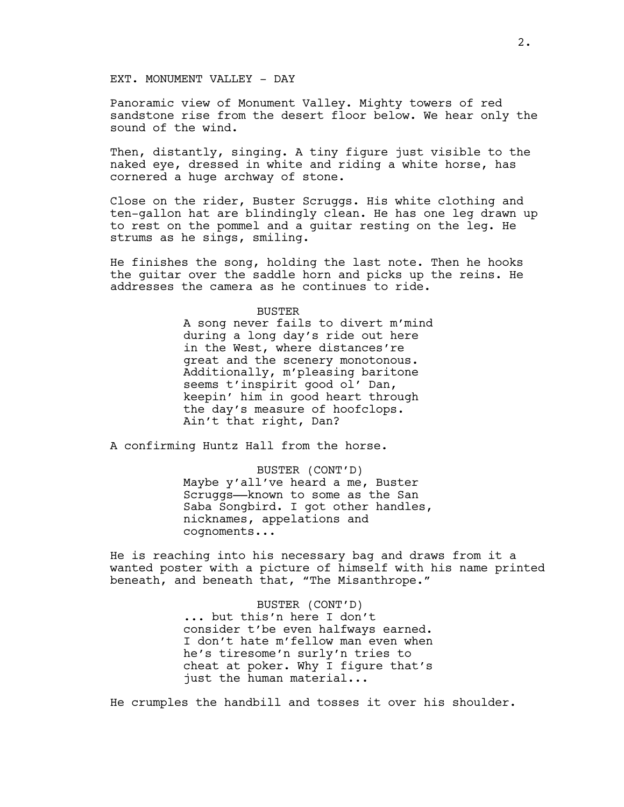## EXT. MONUMENT VALLEY - DAY

Panoramic view of Monument Valley. Mighty towers of red sandstone rise from the desert floor below. We hear only the sound of the wind.

Then, distantly, singing. A tiny figure just visible to the naked eye, dressed in white and riding a white horse, has cornered a huge archway of stone.

Close on the rider, Buster Scruggs. His white clothing and ten-gallon hat are blindingly clean. He has one leg drawn up to rest on the pommel and a guitar resting on the leg. He strums as he sings, smiling.

He finishes the song, holding the last note. Then he hooks the guitar over the saddle horn and picks up the reins. He addresses the camera as he continues to ride.

### **BUSTER**

A song never fails to divert m'mind during a long day's ride out here in the West, where distances're great and the scenery monotonous. Additionally, m'pleasing baritone seems t'inspirit good ol' Dan, keepin' him in good heart through the day's measure of hoofclops. Ain't that right, Dan?

A confirming Huntz Hall from the horse.

BUSTER (CONT'D) Maybe y'all've heard a me, Buster Scruggs——known to some as the San Saba Songbird. I got other handles, nicknames, appelations and cognoments...

He is reaching into his necessary bag and draws from it a wanted poster with a picture of himself with his name printed beneath, and beneath that, "The Misanthrope."

> BUSTER (CONT'D) ... but this'n here I don't consider t'be even halfways earned. I don't hate m'fellow man even when he's tiresome'n surly'n tries to cheat at poker. Why I figure that's just the human material...

He crumples the handbill and tosses it over his shoulder.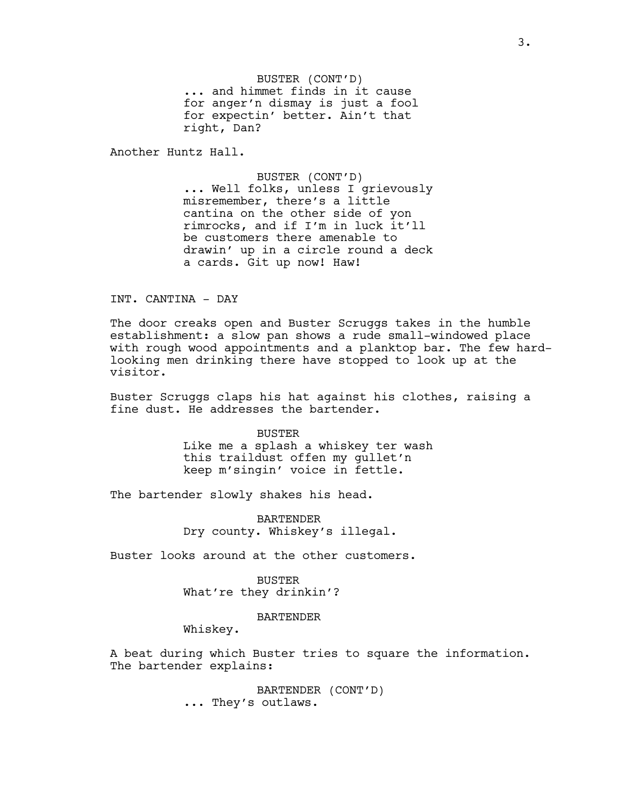BUSTER (CONT'D) ... and himmet finds in it cause for anger'n dismay is just a fool for expectin' better. Ain't that right, Dan?

Another Huntz Hall.

BUSTER (CONT'D) ... Well folks, unless I grievously misremember, there's a little cantina on the other side of yon rimrocks, and if I'm in luck it'll be customers there amenable to drawin' up in a circle round a deck a cards. Git up now! Haw!

#### INT. CANTINA - DAY

The door creaks open and Buster Scruggs takes in the humble establishment: a slow pan shows a rude small-windowed place with rough wood appointments and a planktop bar. The few hardlooking men drinking there have stopped to look up at the visitor.

Buster Scruggs claps his hat against his clothes, raising a fine dust. He addresses the bartender.

#### BUSTER

Like me a splash a whiskey ter wash this traildust offen my gullet'n keep m'singin' voice in fettle.

The bartender slowly shakes his head.

BARTENDER Dry county. Whiskey's illegal.

Buster looks around at the other customers.

BUSTER What're they drinkin'?

#### BARTENDER

Whiskey.

A beat during which Buster tries to square the information. The bartender explains:

> BARTENDER (CONT'D) ... They's outlaws.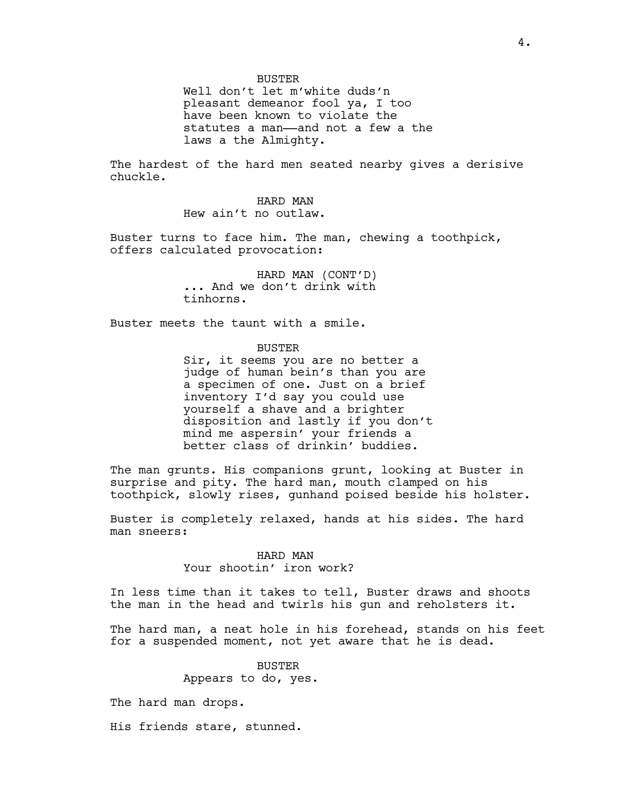**BUSTER** 

Well don't let m'white duds'n pleasant demeanor fool ya, I too have been known to violate the statutes a man——and not a few a the laws a the Almighty.

The hardest of the hard men seated nearby gives a derisive chuckle.

> HARD MAN Hew ain't no outlaw.

Buster turns to face him. The man, chewing a toothpick, offers calculated provocation:

> HARD MAN (CONT'D) ... And we don't drink with tinhorns.

Buster meets the taunt with a smile.

BUSTER

Sir, it seems you are no better a judge of human bein's than you are a specimen of one. Just on a brief inventory I'd say you could use yourself a shave and a brighter disposition and lastly if you don't mind me aspersin' your friends a better class of drinkin' buddies.

The man grunts. His companions grunt, looking at Buster in surprise and pity. The hard man, mouth clamped on his toothpick, slowly rises, gunhand poised beside his holster.

Buster is completely relaxed, hands at his sides. The hard man sneers:

> HARD MAN Your shootin' iron work?

In less time than it takes to tell, Buster draws and shoots the man in the head and twirls his gun and reholsters it.

The hard man, a neat hole in his forehead, stands on his feet for a suspended moment, not yet aware that he is dead.

> BUSTER Appears to do, yes.

The hard man drops.

His friends stare, stunned.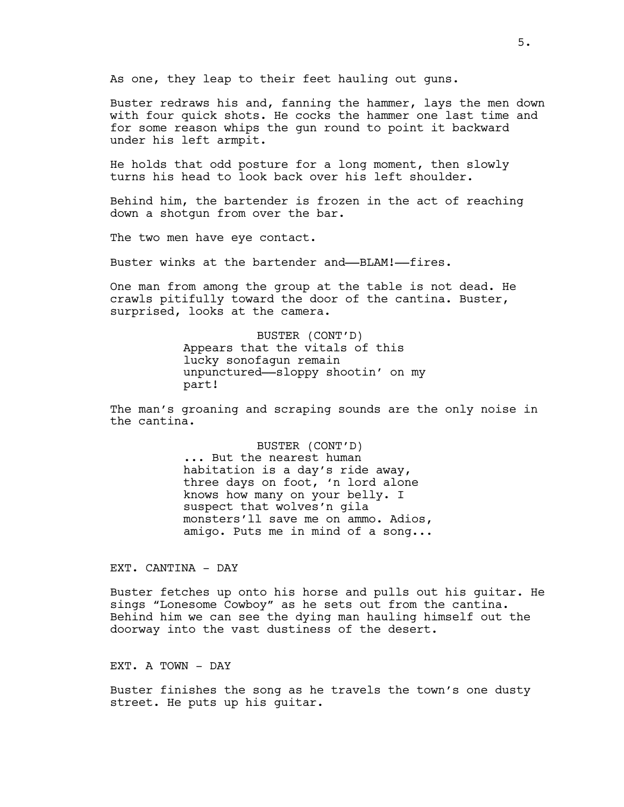As one, they leap to their feet hauling out guns.

Buster redraws his and, fanning the hammer, lays the men down with four quick shots. He cocks the hammer one last time and for some reason whips the gun round to point it backward under his left armpit.

He holds that odd posture for a long moment, then slowly turns his head to look back over his left shoulder.

Behind him, the bartender is frozen in the act of reaching down a shotgun from over the bar.

The two men have eye contact.

Buster winks at the bartender and-BLAM!--fires.

One man from among the group at the table is not dead. He crawls pitifully toward the door of the cantina. Buster, surprised, looks at the camera.

> BUSTER (CONT'D) Appears that the vitals of this lucky sonofagun remain unpunctured——sloppy shootin' on my part!

The man's groaning and scraping sounds are the only noise in the cantina.

> BUSTER (CONT'D) ... But the nearest human habitation is a day's ride away, three days on foot, 'n lord alone knows how many on your belly. I suspect that wolves'n gila monsters'll save me on ammo. Adios, amigo. Puts me in mind of a song...

EXT. CANTINA - DAY

Buster fetches up onto his horse and pulls out his guitar. He sings "Lonesome Cowboy" as he sets out from the cantina. Behind him we can see the dying man hauling himself out the doorway into the vast dustiness of the desert.

EXT. A TOWN - DAY

Buster finishes the song as he travels the town's one dusty street. He puts up his guitar.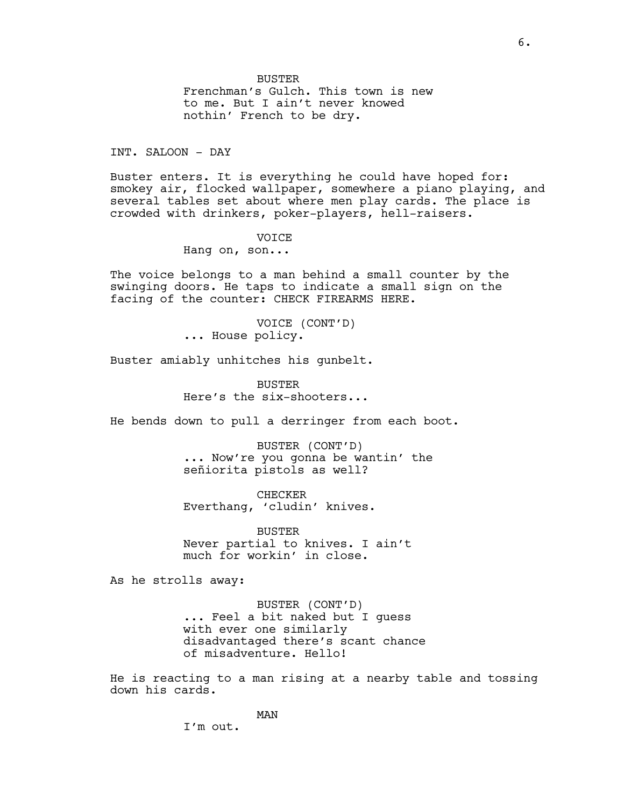Frenchman's Gulch. This town is new to me. But I ain't never knowed nothin' French to be dry.

INT. SALOON - DAY

Buster enters. It is everything he could have hoped for: smokey air, flocked wallpaper, somewhere a piano playing, and several tables set about where men play cards. The place is crowded with drinkers, poker-players, hell-raisers.

## **VOTCE**

Hang on, son...

The voice belongs to a man behind a small counter by the swinging doors. He taps to indicate a small sign on the facing of the counter: CHECK FIREARMS HERE.

> VOICE (CONT'D) ... House policy.

Buster amiably unhitches his gunbelt.

BUSTER Here's the six-shooters...

He bends down to pull a derringer from each boot.

BUSTER (CONT'D) ... Now're you gonna be wantin' the señiorita pistols as well?

CHECKER Everthang, 'cludin' knives.

BUSTER Never partial to knives. I ain't much for workin' in close.

As he strolls away:

BUSTER (CONT'D) ... Feel a bit naked but I guess with ever one similarly disadvantaged there's scant chance of misadventure. Hello!

He is reacting to a man rising at a nearby table and tossing down his cards.

MAN

I'm out.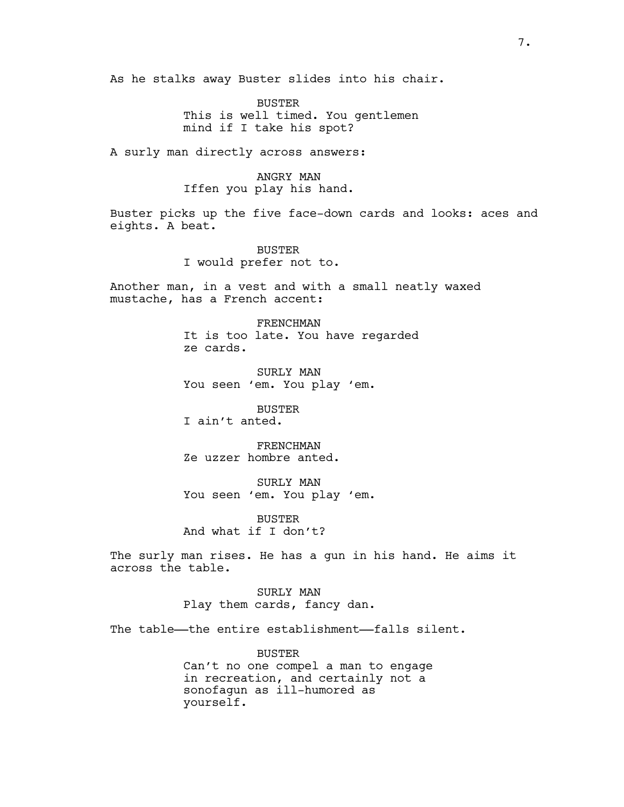As he stalks away Buster slides into his chair.

BUSTER This is well timed. You gentlemen mind if I take his spot?

A surly man directly across answers:

## ANGRY MAN Iffen you play his hand.

Buster picks up the five face-down cards and looks: aces and eights. A beat.

> BUSTER I would prefer not to.

Another man, in a vest and with a small neatly waxed mustache, has a French accent:

> FRENCHMAN It is too late. You have regarded ze cards.

SURLY MAN You seen 'em. You play 'em.

BUSTER I ain't anted.

FRENCHMAN Ze uzzer hombre anted.

SURLY MAN You seen 'em. You play 'em.

BUSTER And what if I don't?

The surly man rises. He has a gun in his hand. He aims it across the table.

> SURLY MAN Play them cards, fancy dan.

The table—the entire establishment—falls silent.

BUSTER Can't no one compel a man to engage in recreation, and certainly not a sonofagun as ill-humored as yourself.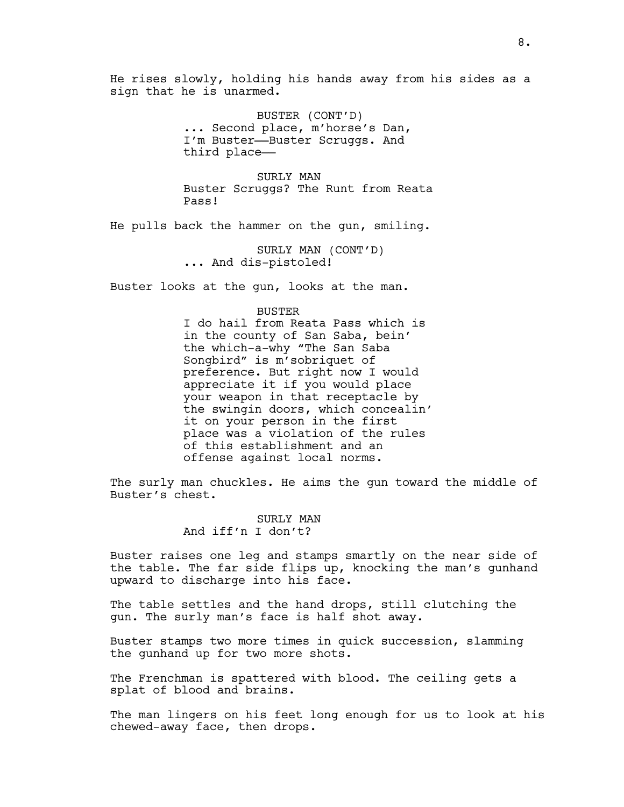He rises slowly, holding his hands away from his sides as a sign that he is unarmed.

> BUSTER (CONT'D) ... Second place, m'horse's Dan, I'm Buster——Buster Scruggs. And third place——

SURLY MAN Buster Scruggs? The Runt from Reata Pass!

He pulls back the hammer on the gun, smiling.

SURLY MAN (CONT'D) ... And dis-pistoled!

Buster looks at the gun, looks at the man.

#### BUSTER

I do hail from Reata Pass which is in the county of San Saba, bein' the which-a-why "The San Saba Songbird" is m'sobriquet of preference. But right now I would appreciate it if you would place your weapon in that receptacle by the swingin doors, which concealin' it on your person in the first place was a violation of the rules of this establishment and an offense against local norms.

The surly man chuckles. He aims the gun toward the middle of Buster's chest.

> SURLY MAN And iff'n I don't?

Buster raises one leg and stamps smartly on the near side of the table. The far side flips up, knocking the man's gunhand upward to discharge into his face.

The table settles and the hand drops, still clutching the gun. The surly man's face is half shot away.

Buster stamps two more times in quick succession, slamming the gunhand up for two more shots.

The Frenchman is spattered with blood. The ceiling gets a splat of blood and brains.

The man lingers on his feet long enough for us to look at his chewed-away face, then drops.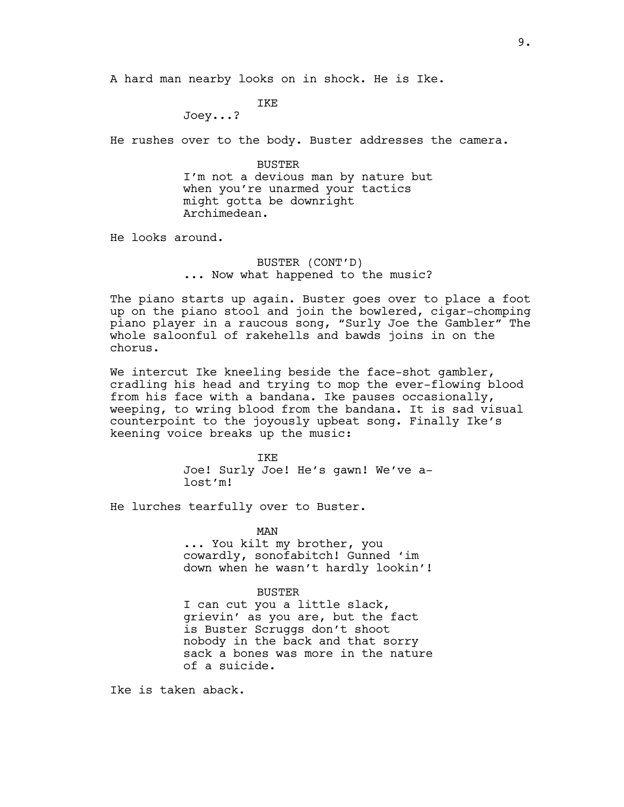A hard man nearby looks on in shock. He is Ike.

## IKE

Joey...?

He rushes over to the body. Buster addresses the camera.

#### BUSTER

I'm not a devious man by nature but when you're unarmed your tactics might gotta be downright Archimedean.

He looks around.

# BUSTER (CONT'D) ... Now what happened to the music?

The piano starts up again. Buster goes over to place a foot up on the piano stool and join the bowlered, cigar-chomping piano player in a raucous song, "Surly Joe the Gambler" The whole saloonful of rakehells and bawds joins in on the chorus.

We intercut Ike kneeling beside the face-shot gambler, cradling his head and trying to mop the ever-flowing blood from his face with a bandana. Ike pauses occasionally, weeping, to wring blood from the bandana. It is sad visual counterpoint to the joyously upbeat song. Finally Ike's keening voice breaks up the music:

> **TKE** Joe! Surly Joe! He's gawn! We've alost'm!

He lurches tearfully over to Buster.

MAN

... You kilt my brother, you cowardly, sonofabitch! Gunned 'im down when he wasn't hardly lookin'!

#### BUSTER

I can cut you a little slack, grievin' as you are, but the fact is Buster Scruggs don't shoot nobody in the back and that sorry sack a bones was more in the nature of a suicide.

Ike is taken aback.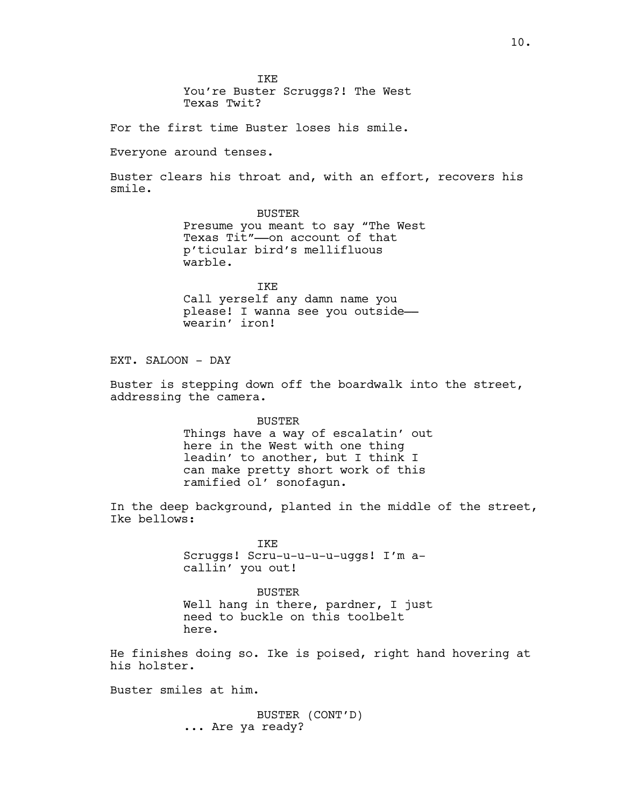**TKE** You're Buster Scruggs?! The West Texas Twit?

For the first time Buster loses his smile.

Everyone around tenses.

Buster clears his throat and, with an effort, recovers his smile.

> BUSTER Presume you meant to say "The West Texas Tit"-on account of that p'ticular bird's mellifluous warble.

IKE Call yerself any damn name you please! I wanna see you outside— wearin' iron!

EXT. SALOON - DAY

Buster is stepping down off the boardwalk into the street, addressing the camera.

> BUSTER Things have a way of escalatin' out here in the West with one thing leadin' to another, but I think I can make pretty short work of this ramified ol' sonofagun.

In the deep background, planted in the middle of the street, Ike bellows:

> IKE Scruggs! Scru-u-u-u-u-uggs! I'm acallin' you out!

BUSTER Well hang in there, pardner, I just need to buckle on this toolbelt here.

He finishes doing so. Ike is poised, right hand hovering at his holster.

Buster smiles at him.

BUSTER (CONT'D) ... Are ya ready?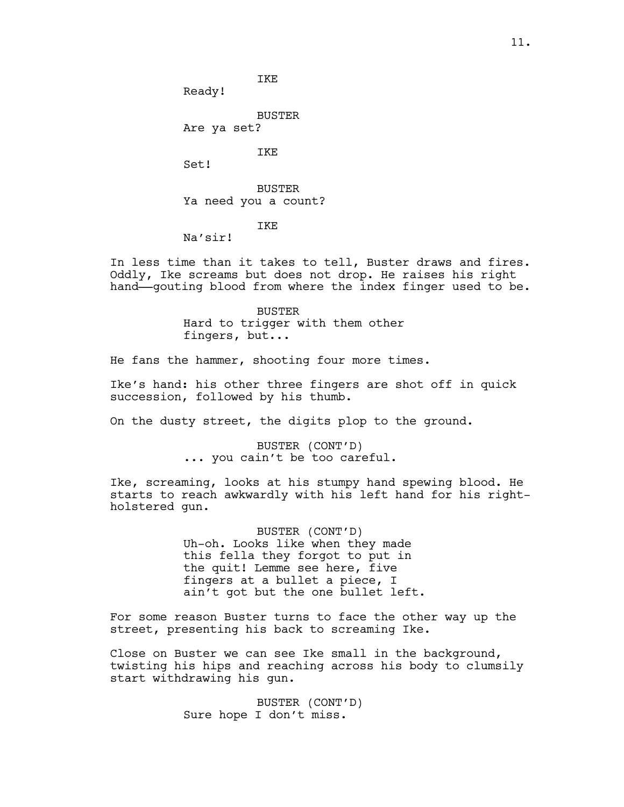IKE

Ready!

BUSTER

Are ya set?

IKE

Set!

BUSTER Ya need you a count?

IKE

Na'sir!

In less time than it takes to tell, Buster draws and fires. Oddly, Ike screams but does not drop. He raises his right hand——gouting blood from where the index finger used to be.

> BUSTER Hard to trigger with them other fingers, but...

He fans the hammer, shooting four more times.

Ike's hand: his other three fingers are shot off in quick succession, followed by his thumb.

On the dusty street, the digits plop to the ground.

BUSTER (CONT'D) ... you cain't be too careful.

Ike, screaming, looks at his stumpy hand spewing blood. He starts to reach awkwardly with his left hand for his rightholstered gun.

> BUSTER (CONT'D) Uh-oh. Looks like when they made this fella they forgot to put in the quit! Lemme see here, five fingers at a bullet a piece, I ain't got but the one bullet left.

For some reason Buster turns to face the other way up the street, presenting his back to screaming Ike.

Close on Buster we can see Ike small in the background, twisting his hips and reaching across his body to clumsily start withdrawing his gun.

> BUSTER (CONT'D) Sure hope I don't miss.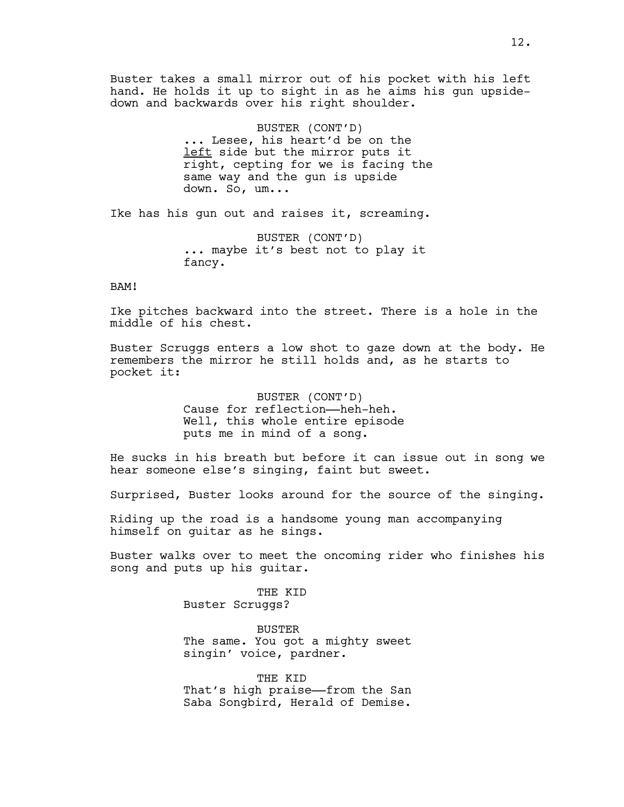Buster takes a small mirror out of his pocket with his left hand. He holds it up to sight in as he aims his gun upsidedown and backwards over his right shoulder.

> BUSTER (CONT'D) ... Lesee, his heart'd be on the left side but the mirror puts it right, cepting for we is facing the same way and the gun is upside down. So, um...

Ike has his gun out and raises it, screaming.

BUSTER (CONT'D) ... maybe it's best not to play it fancy.

### BAM!

Ike pitches backward into the street. There is a hole in the middle of his chest.

Buster Scruggs enters a low shot to gaze down at the body. He remembers the mirror he still holds and, as he starts to pocket it:

> BUSTER (CONT'D) Cause for reflection-heh-heh. Well, this whole entire episode puts me in mind of a song.

He sucks in his breath but before it can issue out in song we hear someone else's singing, faint but sweet.

Surprised, Buster looks around for the source of the singing.

Riding up the road is a handsome young man accompanying himself on guitar as he sings.

Buster walks over to meet the oncoming rider who finishes his song and puts up his guitar.

> THE KID Buster Scruggs?

BUSTER The same. You got a mighty sweet singin' voice, pardner.

THE KID That's high praise—from the San Saba Songbird, Herald of Demise.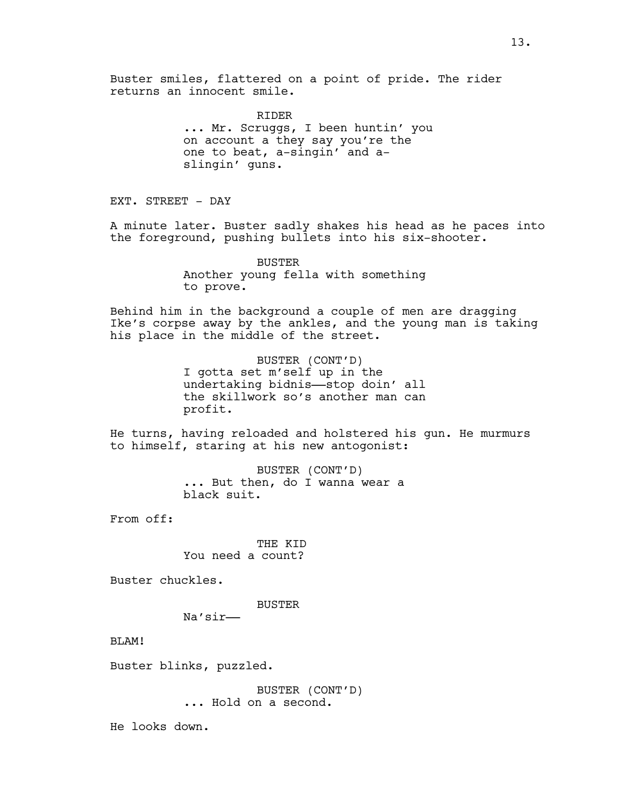Buster smiles, flattered on a point of pride. The rider returns an innocent smile.

> RIDER ... Mr. Scruggs, I been huntin' you on account a they say you're the one to beat, a-singin' and aslingin' guns.

EXT. STREET - DAY

A minute later. Buster sadly shakes his head as he paces into the foreground, pushing bullets into his six-shooter.

> **BUSTER** Another young fella with something to prove.

Behind him in the background a couple of men are dragging Ike's corpse away by the ankles, and the young man is taking his place in the middle of the street.

> BUSTER (CONT'D) I gotta set m'self up in the undertaking bidnis——stop doin' all the skillwork so's another man can profit.

He turns, having reloaded and holstered his gun. He murmurs to himself, staring at his new antogonist:

> BUSTER (CONT'D) ... But then, do I wanna wear a black suit.

From off:

THE KID You need a count?

Buster chuckles.

BUSTER

Na'sir——

BLAM!

Buster blinks, puzzled.

BUSTER (CONT'D) ... Hold on a second.

He looks down.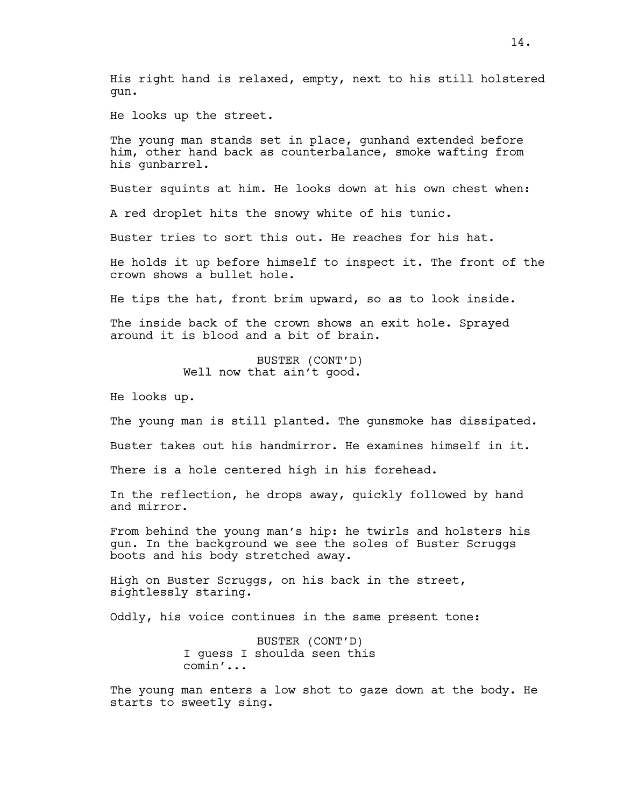His right hand is relaxed, empty, next to his still holstered gun.

He looks up the street.

The young man stands set in place, gunhand extended before him, other hand back as counterbalance, smoke wafting from his gunbarrel.

Buster squints at him. He looks down at his own chest when:

A red droplet hits the snowy white of his tunic.

Buster tries to sort this out. He reaches for his hat.

He holds it up before himself to inspect it. The front of the crown shows a bullet hole.

He tips the hat, front brim upward, so as to look inside.

The inside back of the crown shows an exit hole. Sprayed around it is blood and a bit of brain.

> BUSTER (CONT'D) Well now that ain't good.

He looks up.

The young man is still planted. The gunsmoke has dissipated.

Buster takes out his handmirror. He examines himself in it.

There is a hole centered high in his forehead.

In the reflection, he drops away, quickly followed by hand and mirror.

From behind the young man's hip: he twirls and holsters his gun. In the background we see the soles of Buster Scruggs boots and his body stretched away.

High on Buster Scruggs, on his back in the street, sightlessly staring.

Oddly, his voice continues in the same present tone:

BUSTER (CONT'D) I guess I shoulda seen this comin'...

The young man enters a low shot to gaze down at the body. He starts to sweetly sing.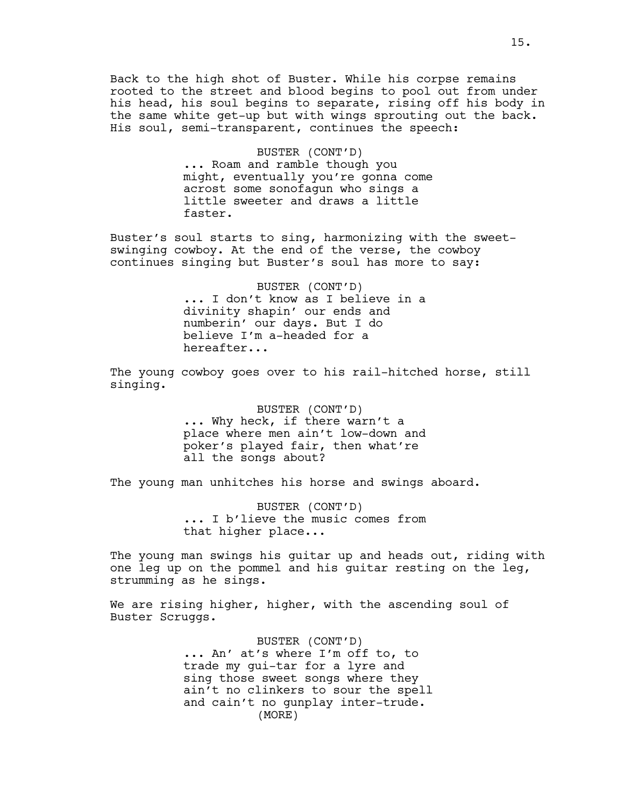Back to the high shot of Buster. While his corpse remains rooted to the street and blood begins to pool out from under his head, his soul begins to separate, rising off his body in the same white get-up but with wings sprouting out the back. His soul, semi-transparent, continues the speech:

> BUSTER (CONT'D) ... Roam and ramble though you might, eventually you're gonna come acrost some sonofagun who sings a little sweeter and draws a little faster.

Buster's soul starts to sing, harmonizing with the sweetswinging cowboy. At the end of the verse, the cowboy continues singing but Buster's soul has more to say:

> BUSTER (CONT'D) ... I don't know as I believe in a divinity shapin' our ends and numberin' our days. But I do believe I'm a-headed for a hereafter...

The young cowboy goes over to his rail-hitched horse, still singing.

> BUSTER (CONT'D) ... Why heck, if there warn't a place where men ain't low-down and poker's played fair, then what're all the songs about?

The young man unhitches his horse and swings aboard.

BUSTER (CONT'D) ... I b'lieve the music comes from that higher place...

The young man swings his guitar up and heads out, riding with one leg up on the pommel and his guitar resting on the leg, strumming as he sings.

We are rising higher, higher, with the ascending soul of Buster Scruggs.

> BUSTER (CONT'D) ... An' at's where I'm off to, to trade my gui-tar for a lyre and sing those sweet songs where they ain't no clinkers to sour the spell and cain't no gunplay inter-trude. (MORE)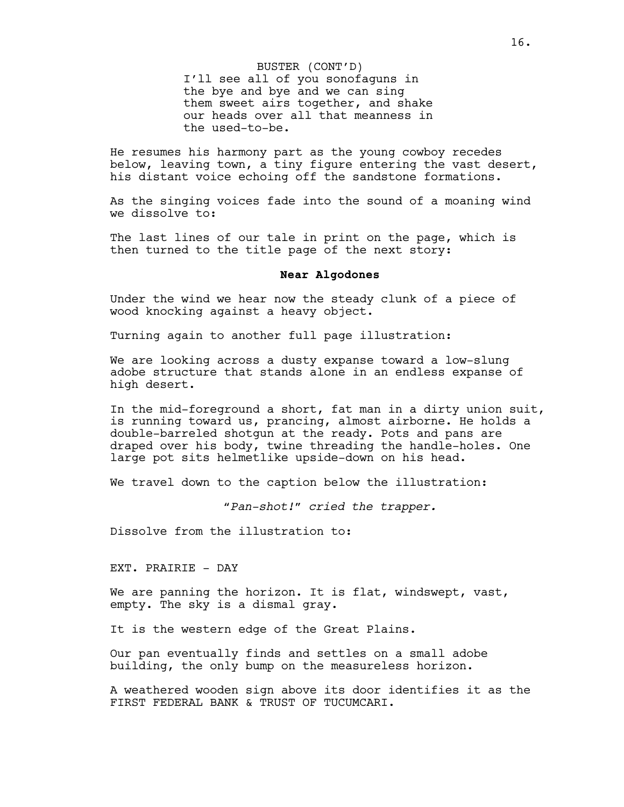I'll see all of you sonofaguns in the bye and bye and we can sing them sweet airs together, and shake our heads over all that meanness in the used-to-be. BUSTER (CONT'D)

He resumes his harmony part as the young cowboy recedes below, leaving town, a tiny figure entering the vast desert, his distant voice echoing off the sandstone formations.

As the singing voices fade into the sound of a moaning wind we dissolve to:

The last lines of our tale in print on the page, which is then turned to the title page of the next story:

### **Near Algodones**

Under the wind we hear now the steady clunk of a piece of wood knocking against a heavy object.

Turning again to another full page illustration:

We are looking across a dusty expanse toward a low-slung adobe structure that stands alone in an endless expanse of high desert.

In the mid-foreground a short, fat man in a dirty union suit, is running toward us, prancing, almost airborne. He holds a double-barreled shotgun at the ready. Pots and pans are draped over his body, twine threading the handle-holes. One large pot sits helmetlike upside-down on his head.

We travel down to the caption below the illustration:

*"Pan-shot!" cried the trapper.*

Dissolve from the illustration to:

EXT. PRAIRIE - DAY

We are panning the horizon. It is flat, windswept, vast, empty. The sky is a dismal gray.

It is the western edge of the Great Plains.

Our pan eventually finds and settles on a small adobe building, the only bump on the measureless horizon.

A weathered wooden sign above its door identifies it as the FIRST FEDERAL BANK & TRUST OF TUCUMCARI.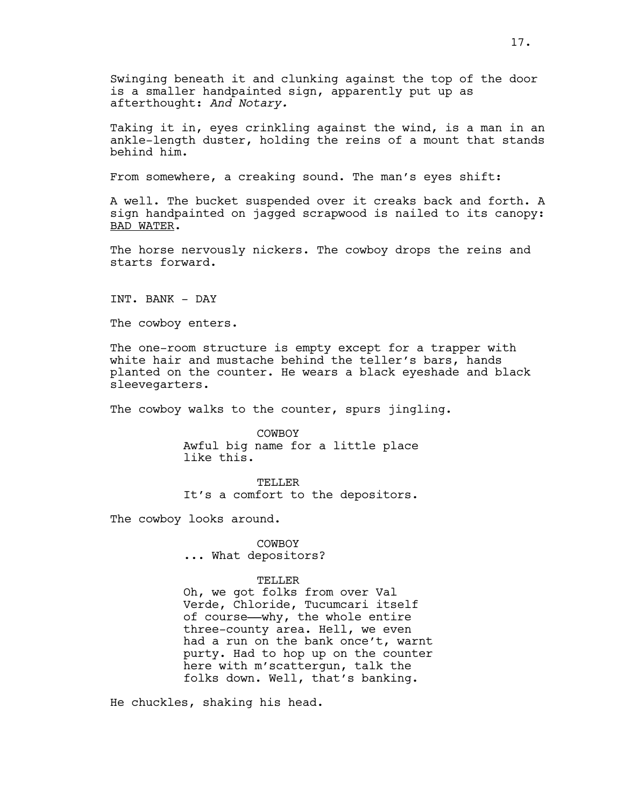Swinging beneath it and clunking against the top of the door is a smaller handpainted sign, apparently put up as afterthought: *And Notary.*

Taking it in, eyes crinkling against the wind, is a man in an ankle-length duster, holding the reins of a mount that stands behind him.

From somewhere, a creaking sound. The man's eyes shift:

A well. The bucket suspended over it creaks back and forth. A sign handpainted on jagged scrapwood is nailed to its canopy: BAD WATER.

The horse nervously nickers. The cowboy drops the reins and starts forward.

INT. BANK - DAY

The cowboy enters.

The one-room structure is empty except for a trapper with white hair and mustache behind the teller's bars, hands planted on the counter. He wears a black eyeshade and black sleevegarters.

The cowboy walks to the counter, spurs jingling.

COWBOY Awful big name for a little place like this.

TELLER

It's a comfort to the depositors.

The cowboy looks around.

COWBOY

... What depositors?

#### TELLER

Oh, we got folks from over Val Verde, Chloride, Tucumcari itself of course—why, the whole entire three-county area. Hell, we even had a run on the bank once't, warnt purty. Had to hop up on the counter here with m'scattergun, talk the folks down. Well, that's banking.

He chuckles, shaking his head.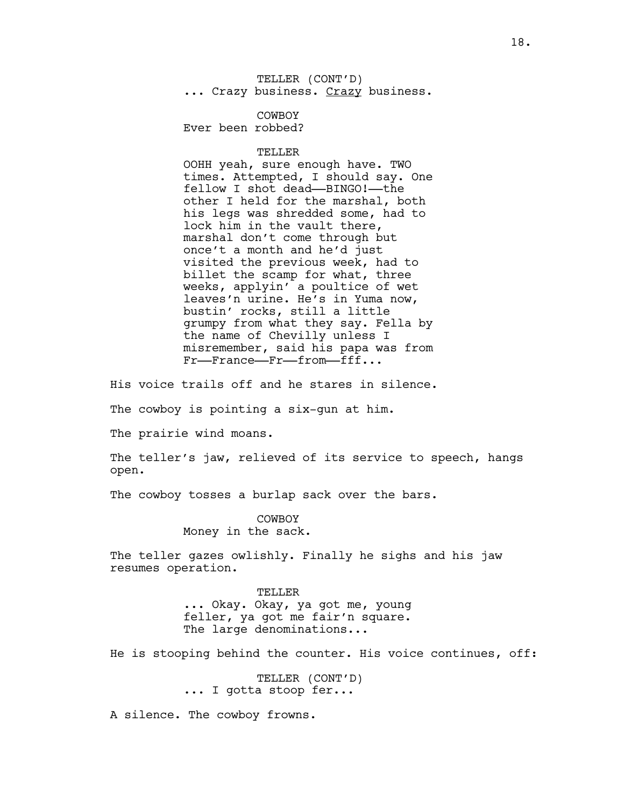TELLER (CONT'D) ... Crazy business. Crazy business.

COWBOY Ever been robbed?

TELLER

OOHH yeah, sure enough have. TWO times. Attempted, I should say. One fellow I shot dead-BINGO!--the other I held for the marshal, both his legs was shredded some, had to lock him in the vault there, marshal don't come through but once't a month and he'd just visited the previous week, had to billet the scamp for what, three weeks, applyin' a poultice of wet leaves'n urine. He's in Yuma now, bustin' rocks, still a little grumpy from what they say. Fella by the name of Chevilly unless I misremember, said his papa was from Fr——France——Fr——from——fff...

His voice trails off and he stares in silence.

The cowboy is pointing a six-gun at him.

The prairie wind moans.

The teller's jaw, relieved of its service to speech, hangs open.

The cowboy tosses a burlap sack over the bars.

COWBOY Money in the sack.

The teller gazes owlishly. Finally he sighs and his jaw resumes operation.

> TELLER ... Okay. Okay, ya got me, young feller, ya got me fair'n square. The large denominations...

He is stooping behind the counter. His voice continues, off:

TELLER (CONT'D) ... I gotta stoop fer...

A silence. The cowboy frowns.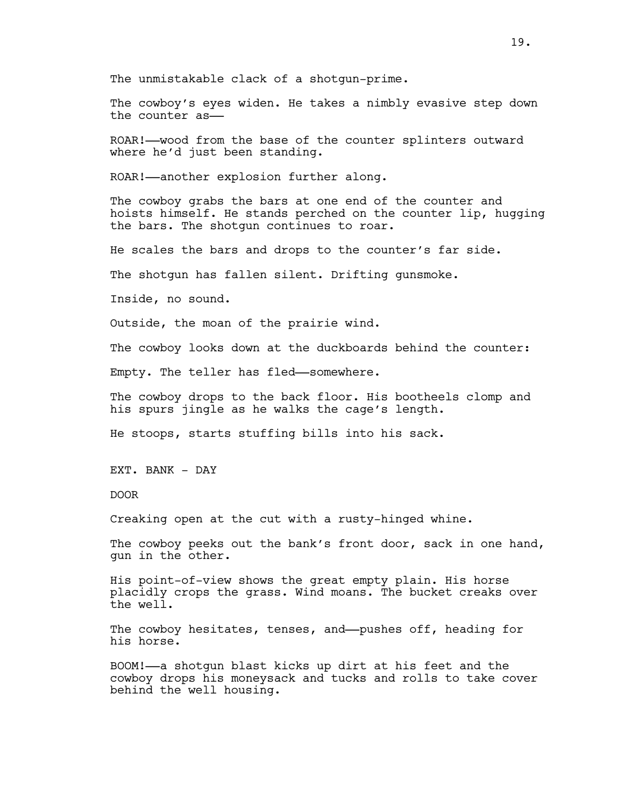The unmistakable clack of a shotgun-prime.

The cowboy's eyes widen. He takes a nimbly evasive step down the counter as——

ROAR!——wood from the base of the counter splinters outward where he'd just been standing.

ROAR!——another explosion further along.

The cowboy grabs the bars at one end of the counter and hoists himself. He stands perched on the counter lip, hugging the bars. The shotgun continues to roar.

He scales the bars and drops to the counter's far side.

The shotgun has fallen silent. Drifting gunsmoke.

Inside, no sound.

Outside, the moan of the prairie wind.

The cowboy looks down at the duckboards behind the counter:

Empty. The teller has fled——somewhere.

The cowboy drops to the back floor. His bootheels clomp and his spurs jingle as he walks the cage's length.

He stoops, starts stuffing bills into his sack.

EXT. BANK - DAY

DOOR

Creaking open at the cut with a rusty-hinged whine.

The cowboy peeks out the bank's front door, sack in one hand, gun in the other.

His point-of-view shows the great empty plain. His horse placidly crops the grass. Wind moans. The bucket creaks over the well.

The cowboy hesitates, tenses, and-pushes off, heading for his horse.

BOOM!——a shotgun blast kicks up dirt at his feet and the cowboy drops his moneysack and tucks and rolls to take cover behind the well housing.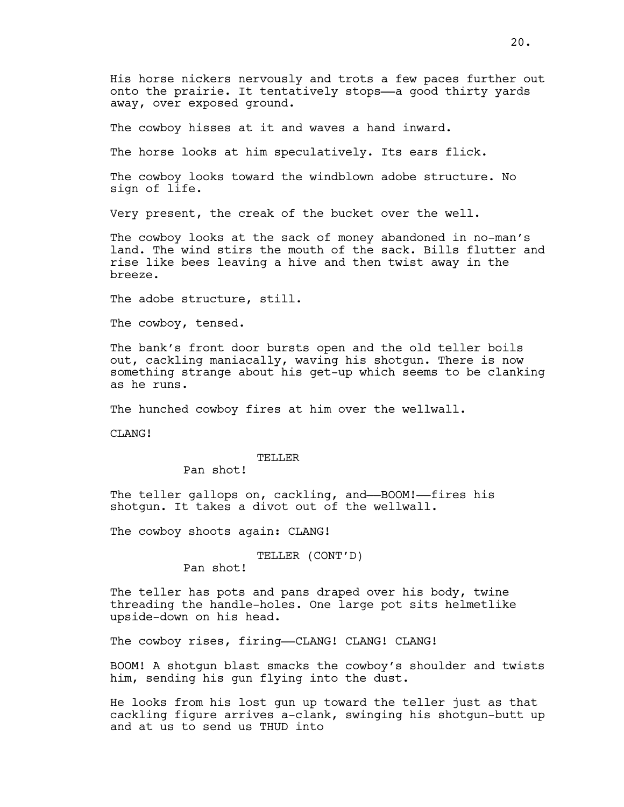His horse nickers nervously and trots a few paces further out onto the prairie. It tentatively stops-a good thirty yards away, over exposed ground.

The cowboy hisses at it and waves a hand inward.

The horse looks at him speculatively. Its ears flick.

The cowboy looks toward the windblown adobe structure. No sign of life.

Very present, the creak of the bucket over the well.

The cowboy looks at the sack of money abandoned in no-man's land. The wind stirs the mouth of the sack. Bills flutter and rise like bees leaving a hive and then twist away in the breeze.

The adobe structure, still.

The cowboy, tensed.

The bank's front door bursts open and the old teller boils out, cackling maniacally, waving his shotgun. There is now something strange about his get-up which seems to be clanking as he runs.

The hunched cowboy fires at him over the wellwall.

CLANG!

#### TELLER

Pan shot!

The teller gallops on, cackling, and-BOOM!--fires his shotgun. It takes a divot out of the wellwall.

The cowboy shoots again: CLANG!

TELLER (CONT'D)

Pan shot!

The teller has pots and pans draped over his body, twine threading the handle-holes. One large pot sits helmetlike upside-down on his head.

The cowboy rises, firing-CLANG! CLANG! CLANG!

BOOM! A shotgun blast smacks the cowboy's shoulder and twists him, sending his gun flying into the dust.

He looks from his lost gun up toward the teller just as that cackling figure arrives a-clank, swinging his shotgun-butt up and at us to send us THUD into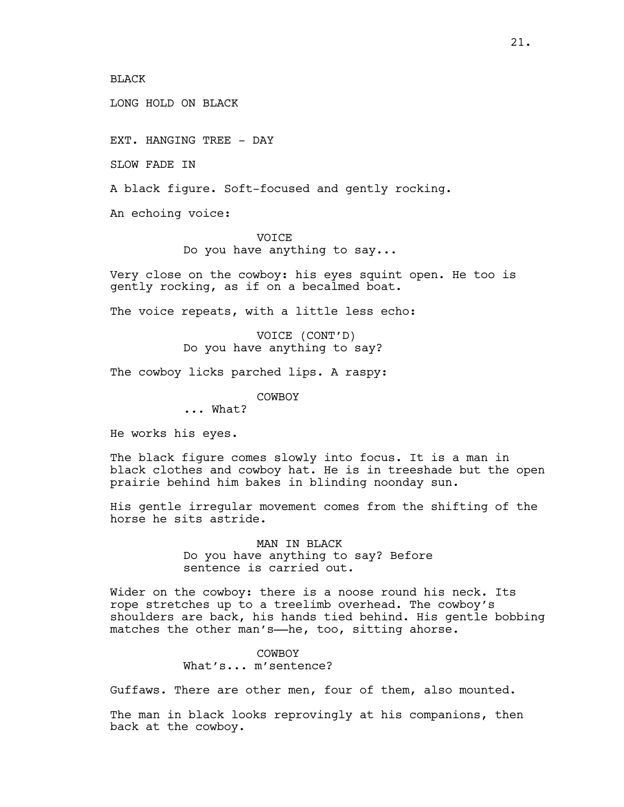BLACK

LONG HOLD ON BLACK

EXT. HANGING TREE - DAY

SLOW FADE IN

A black figure. Soft-focused and gently rocking.

An echoing voice:

**VOTCE** 

Do you have anything to say...

Very close on the cowboy: his eyes squint open. He too is gently rocking, as if on a becalmed boat.

The voice repeats, with a little less echo:

VOICE (CONT'D) Do you have anything to say?

The cowboy licks parched lips. A raspy:

COWBOY

... What?

He works his eyes.

The black figure comes slowly into focus. It is a man in black clothes and cowboy hat. He is in treeshade but the open prairie behind him bakes in blinding noonday sun.

His gentle irregular movement comes from the shifting of the horse he sits astride.

> MAN IN BLACK Do you have anything to say? Before sentence is carried out.

Wider on the cowboy: there is a noose round his neck. Its rope stretches up to a treelimb overhead. The cowboy's shoulders are back, his hands tied behind. His gentle bobbing matches the other man's——he, too, sitting ahorse.

> COWBOY What's... m'sentence?

Guffaws. There are other men, four of them, also mounted.

The man in black looks reprovingly at his companions, then back at the cowboy.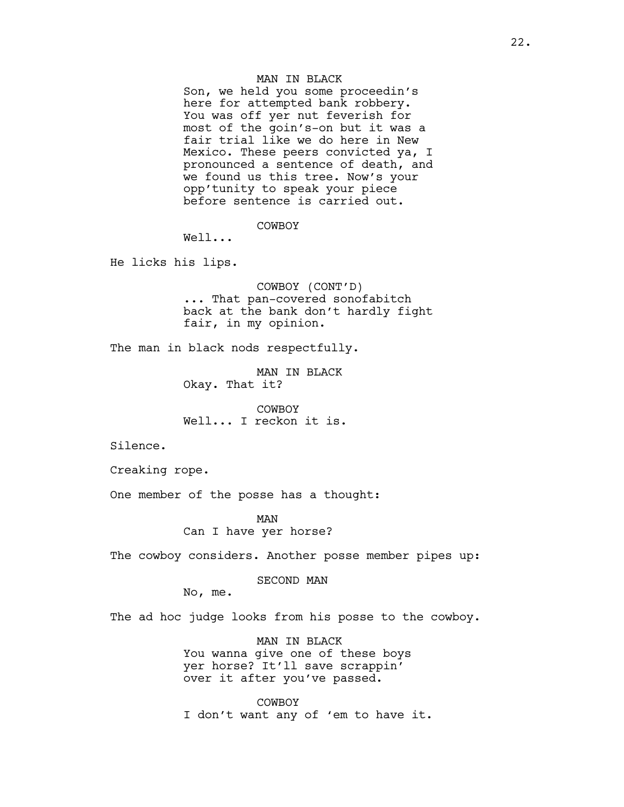## MAN IN BLACK

Son, we held you some proceedin's here for attempted bank robbery. You was off yer nut feverish for most of the goin's-on but it was a fair trial like we do here in New Mexico. These peers convicted ya, I pronounced a sentence of death, and we found us this tree. Now's your opp'tunity to speak your piece before sentence is carried out.

COWBOY

Well...

He licks his lips.

COWBOY (CONT'D) ... That pan-covered sonofabitch back at the bank don't hardly fight fair, in my opinion.

The man in black nods respectfully.

MAN IN BLACK Okay. That it?

COWBOY Well... I reckon it is.

Silence.

Creaking rope.

One member of the posse has a thought:

MAN Can I have yer horse?

The cowboy considers. Another posse member pipes up:

SECOND MAN

No, me.

The ad hoc judge looks from his posse to the cowboy.

MAN IN BLACK You wanna give one of these boys yer horse? It'll save scrappin' over it after you've passed.

COWBOY I don't want any of 'em to have it.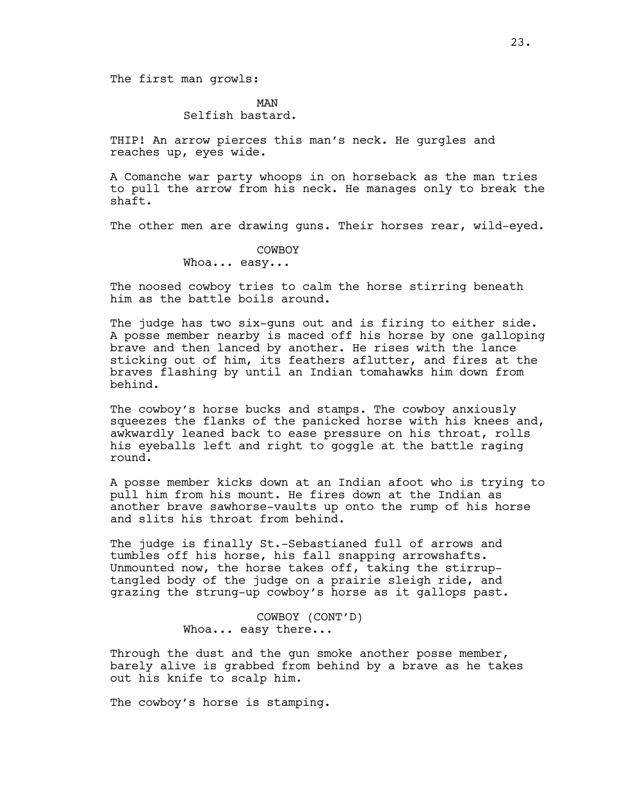The first man growls:

MAN Selfish bastard.

THIP! An arrow pierces this man's neck. He gurgles and reaches up, eyes wide.

A Comanche war party whoops in on horseback as the man tries to pull the arrow from his neck. He manages only to break the shaft.

The other men are drawing guns. Their horses rear, wild-eyed.

COWBOY

Whoa... easy...

The noosed cowboy tries to calm the horse stirring beneath him as the battle boils around.

The judge has two six-guns out and is firing to either side. A posse member nearby is maced off his horse by one galloping brave and then lanced by another. He rises with the lance sticking out of him, its feathers aflutter, and fires at the braves flashing by until an Indian tomahawks him down from behind.

The cowboy's horse bucks and stamps. The cowboy anxiously squeezes the flanks of the panicked horse with his knees and, awkwardly leaned back to ease pressure on his throat, rolls his eyeballs left and right to goggle at the battle raging round.

A posse member kicks down at an Indian afoot who is trying to pull him from his mount. He fires down at the Indian as another brave sawhorse-vaults up onto the rump of his horse and slits his throat from behind.

The judge is finally St.-Sebastianed full of arrows and tumbles off his horse, his fall snapping arrowshafts. Unmounted now, the horse takes off, taking the stirruptangled body of the judge on a prairie sleigh ride, and grazing the strung-up cowboy's horse as it gallops past.

> COWBOY (CONT'D) Whoa... easy there...

Through the dust and the gun smoke another posse member, barely alive is grabbed from behind by a brave as he takes out his knife to scalp him.

The cowboy's horse is stamping.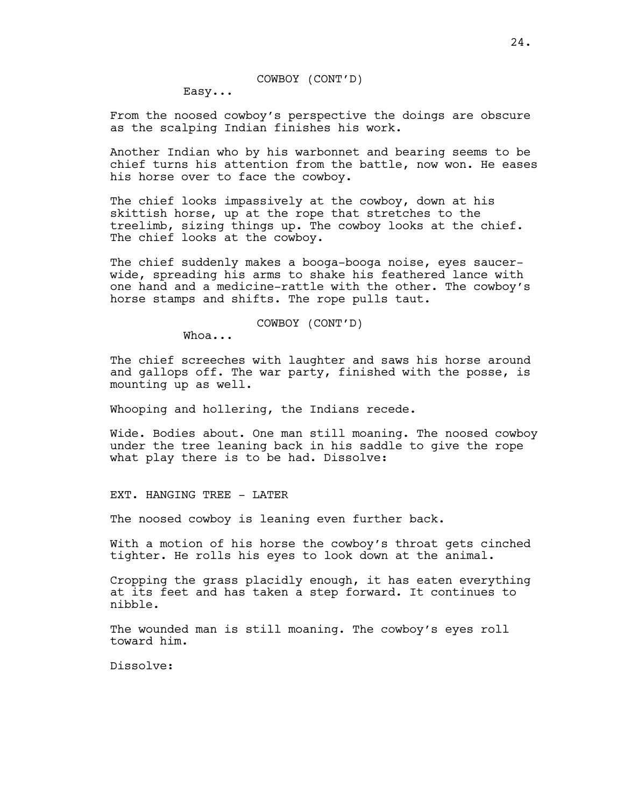Easy...

From the noosed cowboy's perspective the doings are obscure as the scalping Indian finishes his work.

Another Indian who by his warbonnet and bearing seems to be chief turns his attention from the battle, now won. He eases his horse over to face the cowboy.

The chief looks impassively at the cowboy, down at his skittish horse, up at the rope that stretches to the treelimb, sizing things up. The cowboy looks at the chief. The chief looks at the cowboy.

The chief suddenly makes a booga-booga noise, eyes saucerwide, spreading his arms to shake his feathered lance with one hand and a medicine-rattle with the other. The cowboy's horse stamps and shifts. The rope pulls taut.

COWBOY (CONT'D)

Whoa...

The chief screeches with laughter and saws his horse around and gallops off. The war party, finished with the posse, is mounting up as well.

Whooping and hollering, the Indians recede.

Wide. Bodies about. One man still moaning. The noosed cowboy under the tree leaning back in his saddle to give the rope what play there is to be had. Dissolve:

EXT. HANGING TREE - LATER

The noosed cowboy is leaning even further back.

With a motion of his horse the cowboy's throat gets cinched tighter. He rolls his eyes to look down at the animal.

Cropping the grass placidly enough, it has eaten everything at its feet and has taken a step forward. It continues to nibble.

The wounded man is still moaning. The cowboy's eyes roll toward him.

Dissolve: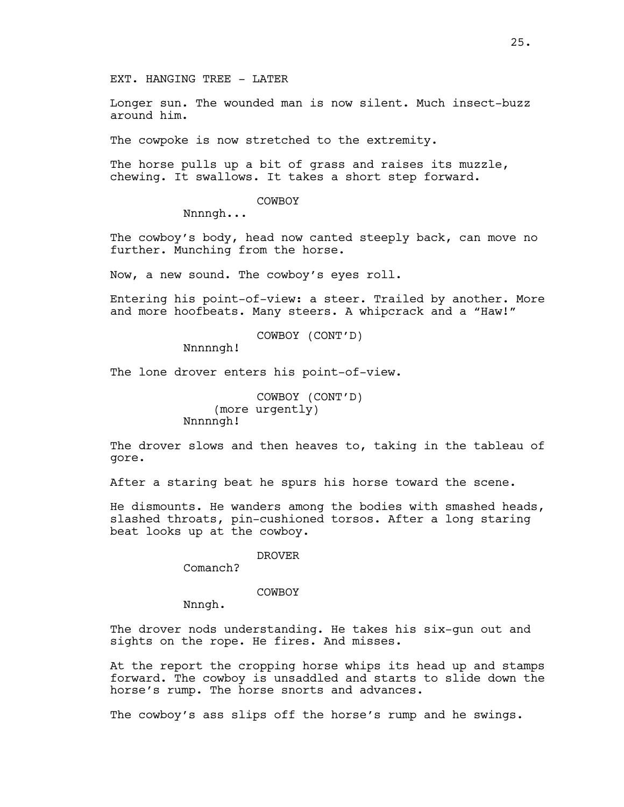EXT. HANGING TREE - LATER

Longer sun. The wounded man is now silent. Much insect-buzz around him.

The cowpoke is now stretched to the extremity.

The horse pulls up a bit of grass and raises its muzzle, chewing. It swallows. It takes a short step forward.

COWBOY

Nnnngh...

The cowboy's body, head now canted steeply back, can move no further. Munching from the horse.

Now, a new sound. The cowboy's eyes roll.

Entering his point-of-view: a steer. Trailed by another. More and more hoofbeats. Many steers. A whipcrack and a "Haw!"

COWBOY (CONT'D)

Nnnnngh!

The lone drover enters his point-of-view.

COWBOY (CONT'D) (more urgently) Nnnnngh!

The drover slows and then heaves to, taking in the tableau of gore.

After a staring beat he spurs his horse toward the scene.

He dismounts. He wanders among the bodies with smashed heads, slashed throats, pin-cushioned torsos. After a long staring beat looks up at the cowboy.

DROVER

Comanch?

COWBOY

Nnngh.

The drover nods understanding. He takes his six-gun out and sights on the rope. He fires. And misses.

At the report the cropping horse whips its head up and stamps forward. The cowboy is unsaddled and starts to slide down the horse's rump. The horse snorts and advances.

The cowboy's ass slips off the horse's rump and he swings.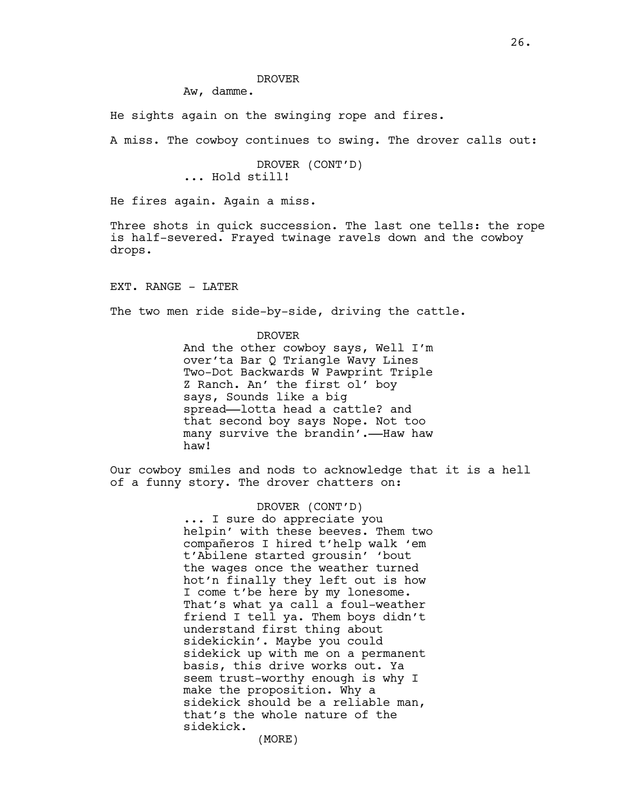## DROVER

Aw, damme.

He sights again on the swinging rope and fires.

A miss. The cowboy continues to swing. The drover calls out:

DROVER (CONT'D) ... Hold still!

He fires again. Again a miss.

Three shots in quick succession. The last one tells: the rope is half-severed. Frayed twinage ravels down and the cowboy drops.

EXT. RANGE - LATER

The two men ride side-by-side, driving the cattle.

DROVER And the other cowboy says, Well I'm over'ta Bar Q Triangle Wavy Lines Two-Dot Backwards W Pawprint Triple Z Ranch. An' the first ol' boy

says, Sounds like a big spread——lotta head a cattle? and that second boy says Nope. Not too many survive the brandin'.——Haw haw haw!

Our cowboy smiles and nods to acknowledge that it is a hell of a funny story. The drover chatters on:

> DROVER (CONT'D) ... I sure do appreciate you helpin' with these beeves. Them two compañeros I hired t'help walk 'em t'Abilene started grousin' 'bout the wages once the weather turned hot'n finally they left out is how I come t'be here by my lonesome. That's what ya call a foul-weather friend I tell ya. Them boys didn't understand first thing about sidekickin'. Maybe you could sidekick up with me on a permanent basis, this drive works out. Ya seem trust-worthy enough is why I make the proposition. Why a sidekick should be a reliable man, that's the whole nature of the sidekick.

(MORE)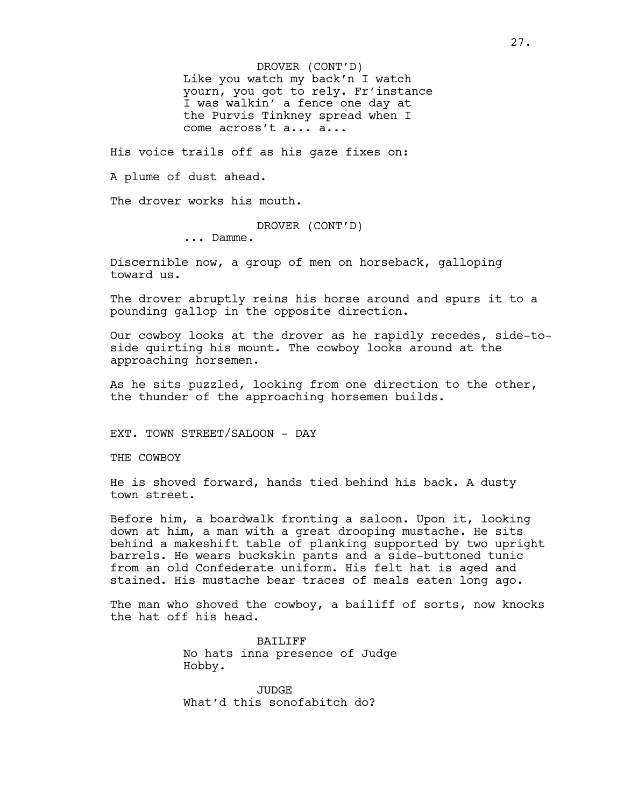Like you watch my back'n I watch yourn, you got to rely. Fr'instance I was walkin' a fence one day at the Purvis Tinkney spread when I come across't a... a... DROVER (CONT'D)

His voice trails off as his gaze fixes on:

A plume of dust ahead.

The drover works his mouth.

DROVER (CONT'D)

... Damme.

Discernible now, a group of men on horseback, galloping toward us.

The drover abruptly reins his horse around and spurs it to a pounding gallop in the opposite direction.

Our cowboy looks at the drover as he rapidly recedes, side-toside quirting his mount. The cowboy looks around at the approaching horsemen.

As he sits puzzled, looking from one direction to the other, the thunder of the approaching horsemen builds.

EXT. TOWN STREET/SALOON - DAY

THE COWBOY

He is shoved forward, hands tied behind his back. A dusty town street.

Before him, a boardwalk fronting a saloon. Upon it, looking down at him, a man with a great drooping mustache. He sits behind a makeshift table of planking supported by two upright barrels. He wears buckskin pants and a side-buttoned tunic from an old Confederate uniform. His felt hat is aged and stained. His mustache bear traces of meals eaten long ago.

The man who shoved the cowboy, a bailiff of sorts, now knocks the hat off his head.

> BAILIFF No hats inna presence of Judge Hobby.

JUDGE What'd this sonofabitch do?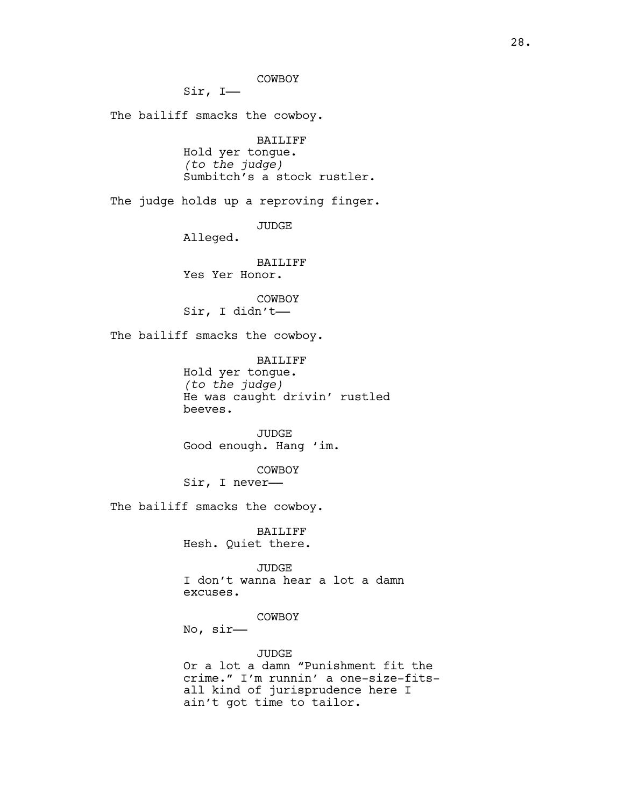COWBOY Sir, I—— The bailiff smacks the cowboy. BAILIFF Hold yer tongue. *(to the judge)* Sumbitch's a stock rustler. The judge holds up a reproving finger. JUDGE Alleged. BAILIFF Yes Yer Honor. COWBOY Sir, I didn't—— The bailiff smacks the cowboy.

> BAILIFF Hold yer tongue. *(to the judge)* He was caught drivin' rustled beeves.

JUDGE Good enough. Hang 'im.

COWBOY Sir, I never——

The bailiff smacks the cowboy.

BAILIFF Hesh. Quiet there.

JUDGE I don't wanna hear a lot a damn excuses.

COWBOY

No, sir——

### JUDGE

Or a lot a damn "Punishment fit the crime." I'm runnin' a one-size-fitsall kind of jurisprudence here I ain't got time to tailor.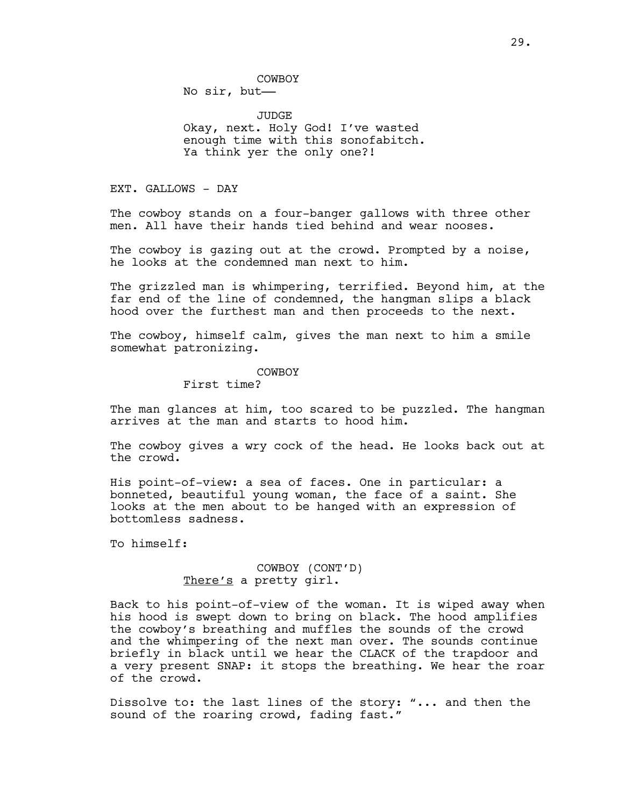No sir, but——

JUDGE Okay, next. Holy God! I've wasted enough time with this sonofabitch. Ya think yer the only one?!

EXT. GALLOWS - DAY

The cowboy stands on a four-banger gallows with three other men. All have their hands tied behind and wear nooses.

The cowboy is gazing out at the crowd. Prompted by a noise, he looks at the condemned man next to him.

The grizzled man is whimpering, terrified. Beyond him, at the far end of the line of condemned, the hangman slips a black hood over the furthest man and then proceeds to the next.

The cowboy, himself calm, gives the man next to him a smile somewhat patronizing.

## COWBOY

First time?

The man glances at him, too scared to be puzzled. The hangman arrives at the man and starts to hood him.

The cowboy gives a wry cock of the head. He looks back out at the crowd.

His point-of-view: a sea of faces. One in particular: a bonneted, beautiful young woman, the face of a saint. She looks at the men about to be hanged with an expression of bottomless sadness.

To himself:

# COWBOY (CONT'D) There's a pretty girl.

Back to his point-of-view of the woman. It is wiped away when his hood is swept down to bring on black. The hood amplifies the cowboy's breathing and muffles the sounds of the crowd and the whimpering of the next man over. The sounds continue briefly in black until we hear the CLACK of the trapdoor and a very present SNAP: it stops the breathing. We hear the roar of the crowd.

Dissolve to: the last lines of the story: "... and then the sound of the roaring crowd, fading fast."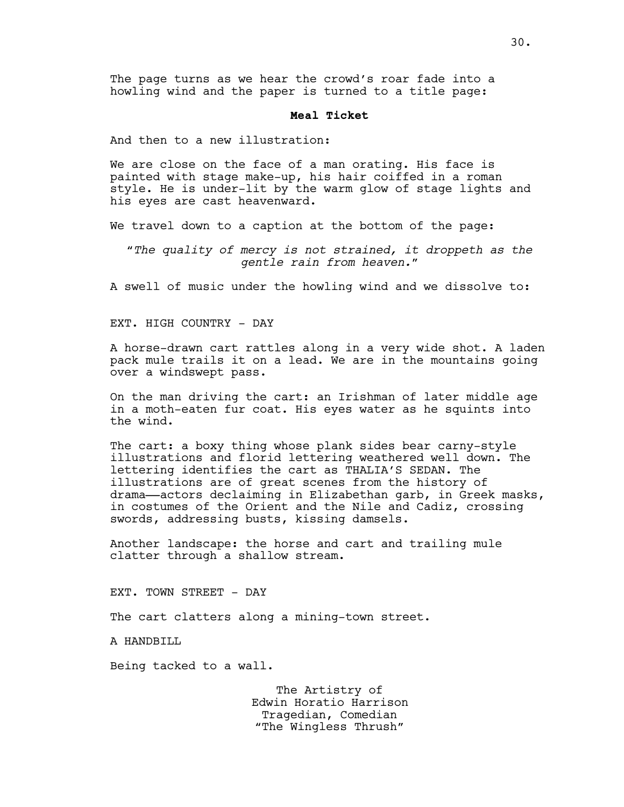The page turns as we hear the crowd's roar fade into a howling wind and the paper is turned to a title page:

#### **Meal Ticket**

And then to a new illustration:

We are close on the face of a man orating. His face is painted with stage make-up, his hair coiffed in a roman style. He is under-lit by the warm glow of stage lights and his eyes are cast heavenward.

We travel down to a caption at the bottom of the page:

*"The quality of mercy is not strained, it droppeth as the gentle rain from heaven."*

A swell of music under the howling wind and we dissolve to:

EXT. HIGH COUNTRY - DAY

A horse-drawn cart rattles along in a very wide shot. A laden pack mule trails it on a lead. We are in the mountains going over a windswept pass.

On the man driving the cart: an Irishman of later middle age in a moth-eaten fur coat. His eyes water as he squints into the wind.

The cart: a boxy thing whose plank sides bear carny-style illustrations and florid lettering weathered well down. The lettering identifies the cart as THALIA'S SEDAN. The illustrations are of great scenes from the history of drama——actors declaiming in Elizabethan garb, in Greek masks, in costumes of the Orient and the Nile and Cadiz, crossing swords, addressing busts, kissing damsels.

Another landscape: the horse and cart and trailing mule clatter through a shallow stream.

EXT. TOWN STREET - DAY

The cart clatters along a mining-town street.

A HANDBILL

Being tacked to a wall.

The Artistry of Edwin Horatio Harrison Tragedian, Comedian "The Wingless Thrush"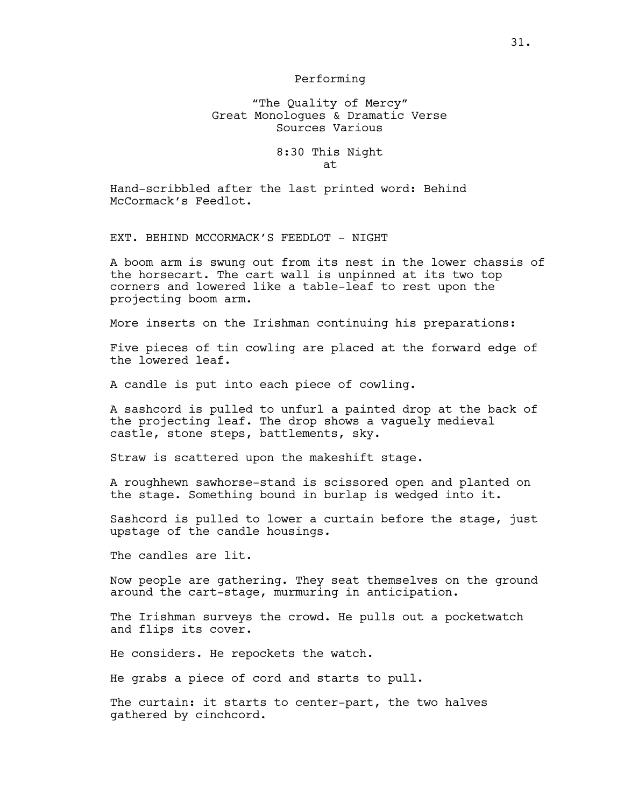# Performing

## "The Quality of Mercy" Great Monologues & Dramatic Verse Sources Various

### 8:30 This Night at

Hand-scribbled after the last printed word: Behind McCormack's Feedlot.

EXT. BEHIND MCCORMACK'S FEEDLOT - NIGHT

A boom arm is swung out from its nest in the lower chassis of the horsecart. The cart wall is unpinned at its two top corners and lowered like a table-leaf to rest upon the projecting boom arm.

More inserts on the Irishman continuing his preparations:

Five pieces of tin cowling are placed at the forward edge of the lowered leaf.

A candle is put into each piece of cowling.

A sashcord is pulled to unfurl a painted drop at the back of the projecting leaf. The drop shows a vaguely medieval castle, stone steps, battlements, sky.

Straw is scattered upon the makeshift stage.

A roughhewn sawhorse-stand is scissored open and planted on the stage. Something bound in burlap is wedged into it.

Sashcord is pulled to lower a curtain before the stage, just upstage of the candle housings.

The candles are lit.

Now people are gathering. They seat themselves on the ground around the cart-stage, murmuring in anticipation.

The Irishman surveys the crowd. He pulls out a pocketwatch and flips its cover.

He considers. He repockets the watch.

He grabs a piece of cord and starts to pull.

The curtain: it starts to center-part, the two halves gathered by cinchcord.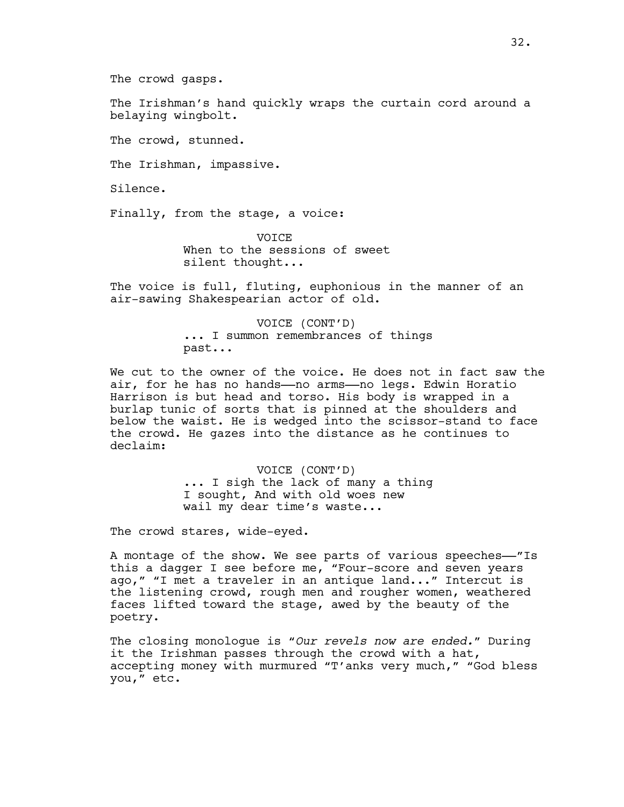The Irishman's hand quickly wraps the curtain cord around a belaying wingbolt.

The crowd, stunned.

The Irishman, impassive.

Silence.

Finally, from the stage, a voice:

**VOTCE** When to the sessions of sweet silent thought...

The voice is full, fluting, euphonious in the manner of an air-sawing Shakespearian actor of old.

> VOICE (CONT'D) ... I summon remembrances of things past...

We cut to the owner of the voice. He does not in fact saw the air, for he has no hands——no arms——no legs. Edwin Horatio Harrison is but head and torso. His body is wrapped in a burlap tunic of sorts that is pinned at the shoulders and below the waist. He is wedged into the scissor-stand to face the crowd. He gazes into the distance as he continues to declaim:

> VOICE (CONT'D) ... I sigh the lack of many a thing I sought, And with old woes new wail my dear time's waste...

The crowd stares, wide-eyed.

A montage of the show. We see parts of various speeches——"Is this a dagger I see before me, "Four-score and seven years ago," "I met a traveler in an antique land..." Intercut is the listening crowd, rough men and rougher women, weathered faces lifted toward the stage, awed by the beauty of the poetry.

The closing monologue is *"Our revels now are ended.*" During it the Irishman passes through the crowd with a hat, accepting money with murmured "T'anks very much," "God bless you," etc.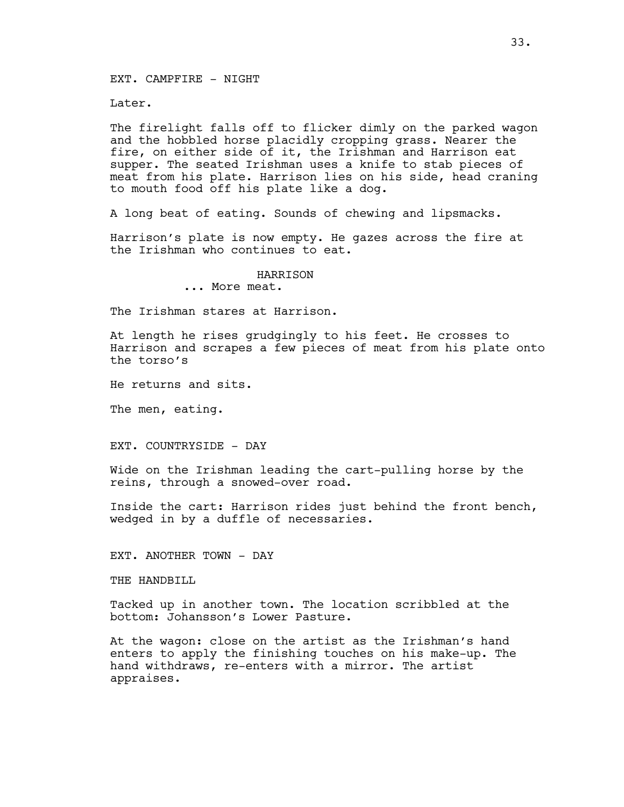EXT. CAMPFIRE - NIGHT

Later.

The firelight falls off to flicker dimly on the parked wagon and the hobbled horse placidly cropping grass. Nearer the fire, on either side of it, the Irishman and Harrison eat supper. The seated Irishman uses a knife to stab pieces of meat from his plate. Harrison lies on his side, head craning to mouth food off his plate like a dog.

A long beat of eating. Sounds of chewing and lipsmacks.

Harrison's plate is now empty. He gazes across the fire at the Irishman who continues to eat.

### HARRISON

... More meat.

The Irishman stares at Harrison.

At length he rises grudgingly to his feet. He crosses to Harrison and scrapes a few pieces of meat from his plate onto the torso's

He returns and sits.

The men, eating.

EXT. COUNTRYSIDE - DAY

Wide on the Irishman leading the cart-pulling horse by the reins, through a snowed-over road.

Inside the cart: Harrison rides just behind the front bench, wedged in by a duffle of necessaries.

EXT. ANOTHER TOWN - DAY

THE HANDBILL

Tacked up in another town. The location scribbled at the bottom: Johansson's Lower Pasture.

At the wagon: close on the artist as the Irishman's hand enters to apply the finishing touches on his make-up. The hand withdraws, re-enters with a mirror. The artist appraises.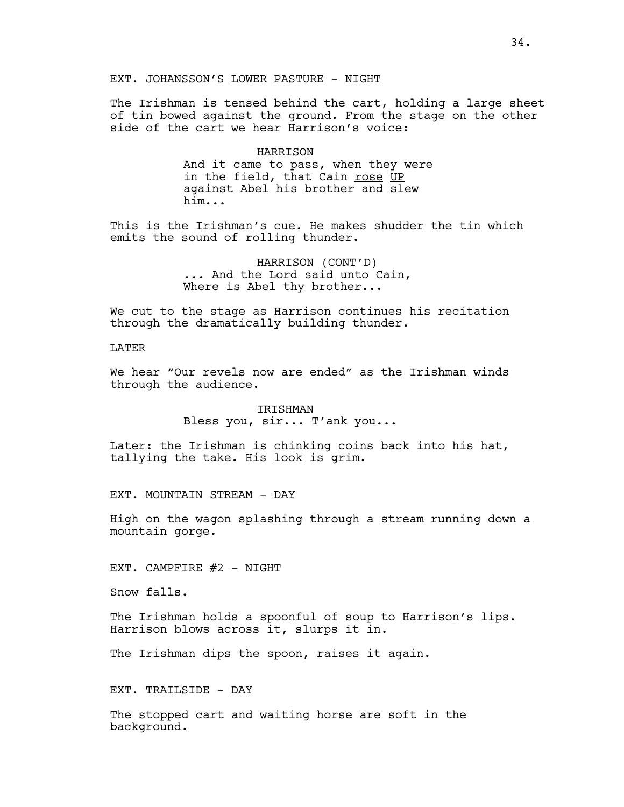EXT. JOHANSSON'S LOWER PASTURE - NIGHT

The Irishman is tensed behind the cart, holding a large sheet of tin bowed against the ground. From the stage on the other side of the cart we hear Harrison's voice:

# HARRISON And it came to pass, when they were in the field, that Cain rose UP against Abel his brother and slew him...

This is the Irishman's cue. He makes shudder the tin which emits the sound of rolling thunder.

> HARRISON (CONT'D) ... And the Lord said unto Cain, Where is Abel thy brother...

We cut to the stage as Harrison continues his recitation through the dramatically building thunder.

# LATER

We hear "Our revels now are ended" as the Irishman winds through the audience.

> IRISHMAN Bless you, sir... T'ank you...

Later: the Irishman is chinking coins back into his hat, tallying the take. His look is grim.

EXT. MOUNTAIN STREAM - DAY

High on the wagon splashing through a stream running down a mountain gorge.

EXT. CAMPFIRE  $#2 - NIGHT$ 

Snow falls.

The Irishman holds a spoonful of soup to Harrison's lips. Harrison blows across it, slurps it in.

The Irishman dips the spoon, raises it again.

EXT. TRAILSIDE - DAY

The stopped cart and waiting horse are soft in the background.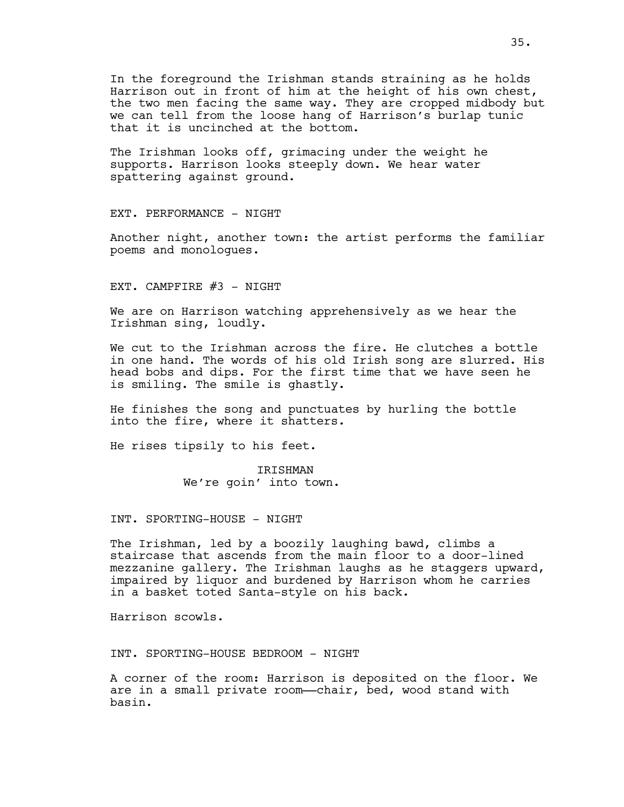In the foreground the Irishman stands straining as he holds Harrison out in front of him at the height of his own chest, the two men facing the same way. They are cropped midbody but we can tell from the loose hang of Harrison's burlap tunic that it is uncinched at the bottom.

The Irishman looks off, grimacing under the weight he supports. Harrison looks steeply down. We hear water spattering against ground.

EXT. PERFORMANCE - NIGHT

Another night, another town: the artist performs the familiar poems and monologues.

EXT. CAMPFIRE  $#3$  - NIGHT

We are on Harrison watching apprehensively as we hear the Irishman sing, loudly.

We cut to the Irishman across the fire. He clutches a bottle in one hand. The words of his old Irish song are slurred. His head bobs and dips. For the first time that we have seen he is smiling. The smile is ghastly.

He finishes the song and punctuates by hurling the bottle into the fire, where it shatters.

He rises tipsily to his feet.

IRISHMAN We're goin' into town.

INT. SPORTING-HOUSE - NIGHT

The Irishman, led by a boozily laughing bawd, climbs a staircase that ascends from the main floor to a door-lined mezzanine gallery. The Irishman laughs as he staggers upward, impaired by liquor and burdened by Harrison whom he carries in a basket toted Santa-style on his back.

Harrison scowls.

INT. SPORTING-HOUSE BEDROOM - NIGHT

A corner of the room: Harrison is deposited on the floor. We are in a small private room——chair, bed, wood stand with basin.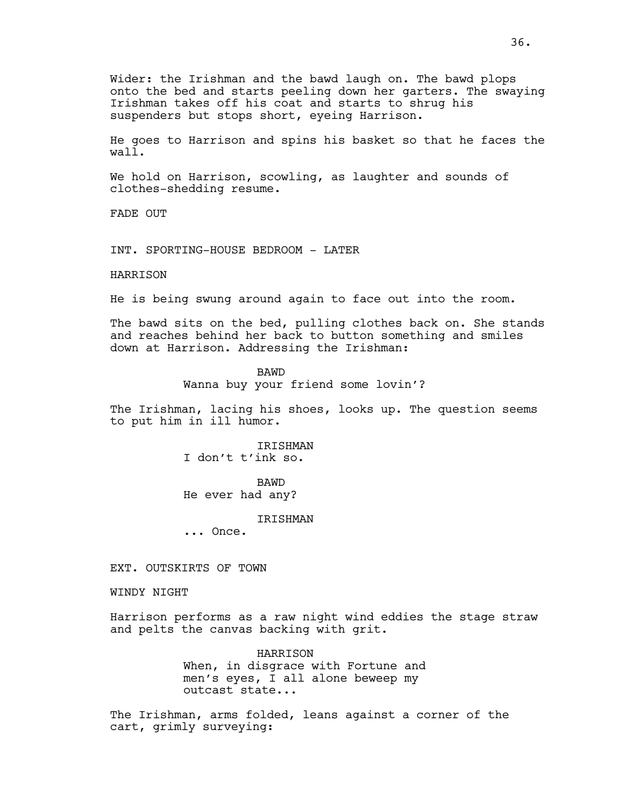Wider: the Irishman and the bawd laugh on. The bawd plops onto the bed and starts peeling down her garters. The swaying Irishman takes off his coat and starts to shrug his suspenders but stops short, eyeing Harrison.

He goes to Harrison and spins his basket so that he faces the wall.

We hold on Harrison, scowling, as laughter and sounds of clothes-shedding resume.

FADE OUT

INT. SPORTING-HOUSE BEDROOM - LATER

HARRISON

He is being swung around again to face out into the room.

The bawd sits on the bed, pulling clothes back on. She stands and reaches behind her back to button something and smiles down at Harrison. Addressing the Irishman:

> BAWD Wanna buy your friend some lovin'?

The Irishman, lacing his shoes, looks up. The question seems to put him in ill humor.

> **TRTSHMAN** I don't t'ink so.

BAWD He ever had any?

IRISHMAN

... Once.

EXT. OUTSKIRTS OF TOWN

WINDY NIGHT

Harrison performs as a raw night wind eddies the stage straw and pelts the canvas backing with grit.

> HARRISON When, in disgrace with Fortune and men's eyes, I all alone beweep my outcast state...

The Irishman, arms folded, leans against a corner of the cart, grimly surveying: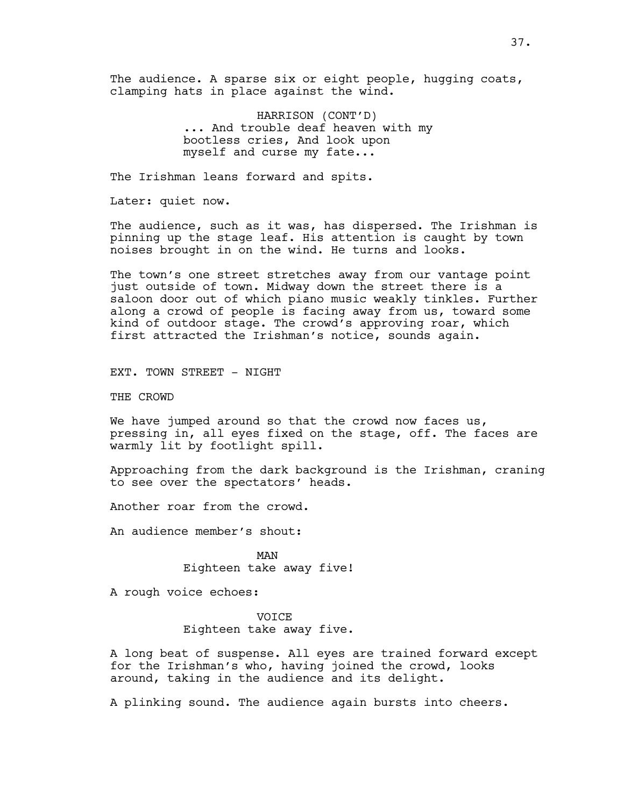The audience. A sparse six or eight people, hugging coats, clamping hats in place against the wind.

> HARRISON (CONT'D) ... And trouble deaf heaven with my bootless cries, And look upon myself and curse my fate...

The Irishman leans forward and spits.

Later: quiet now.

The audience, such as it was, has dispersed. The Irishman is pinning up the stage leaf. His attention is caught by town noises brought in on the wind. He turns and looks.

The town's one street stretches away from our vantage point just outside of town. Midway down the street there is a saloon door out of which piano music weakly tinkles. Further along a crowd of people is facing away from us, toward some kind of outdoor stage. The crowd's approving roar, which first attracted the Irishman's notice, sounds again.

EXT. TOWN STREET - NIGHT

THE CROWD

We have jumped around so that the crowd now faces us, pressing in, all eyes fixed on the stage, off. The faces are warmly lit by footlight spill.

Approaching from the dark background is the Irishman, craning to see over the spectators' heads.

Another roar from the crowd.

An audience member's shout:

MAN Eighteen take away five!

A rough voice echoes:

# VOICE Eighteen take away five.

A long beat of suspense. All eyes are trained forward except for the Irishman's who, having joined the crowd, looks around, taking in the audience and its delight.

A plinking sound. The audience again bursts into cheers.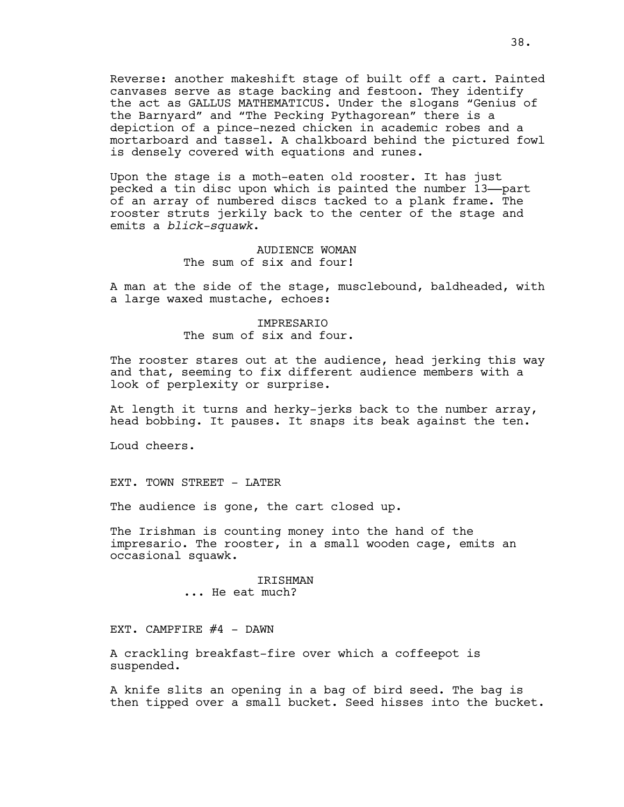Reverse: another makeshift stage of built off a cart. Painted canvases serve as stage backing and festoon. They identify the act as GALLUS MATHEMATICUS. Under the slogans "Genius of the Barnyard" and "The Pecking Pythagorean" there is a depiction of a pince-nezed chicken in academic robes and a mortarboard and tassel. A chalkboard behind the pictured fowl is densely covered with equations and runes.

Upon the stage is a moth-eaten old rooster. It has just pecked a tin disc upon which is painted the number 13——part of an array of numbered discs tacked to a plank frame. The rooster struts jerkily back to the center of the stage and emits a *blick-squawk*.

# AUDIENCE WOMAN The sum of six and four!

A man at the side of the stage, musclebound, baldheaded, with a large waxed mustache, echoes:

# IMPRESARIO The sum of six and four.

The rooster stares out at the audience, head jerking this way and that, seeming to fix different audience members with a look of perplexity or surprise.

At length it turns and herky-jerks back to the number array, head bobbing. It pauses. It snaps its beak against the ten.

Loud cheers.

EXT. TOWN STREET - LATER

The audience is gone, the cart closed up.

The Irishman is counting money into the hand of the impresario. The rooster, in a small wooden cage, emits an occasional squawk.

# IRISHMAN ... He eat much?

EXT. CAMPFIRE  $#4$  - DAWN

A crackling breakfast-fire over which a coffeepot is suspended.

A knife slits an opening in a bag of bird seed. The bag is then tipped over a small bucket. Seed hisses into the bucket.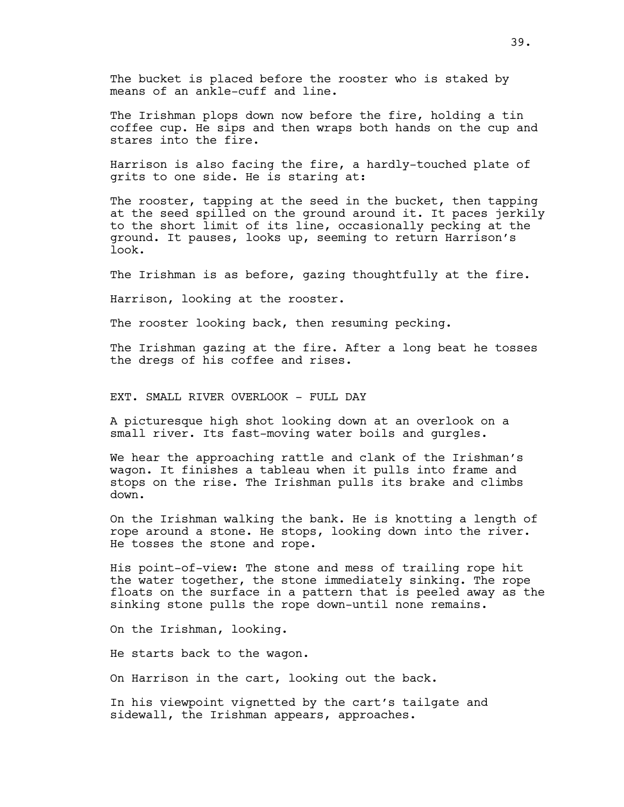The bucket is placed before the rooster who is staked by means of an ankle-cuff and line.

The Irishman plops down now before the fire, holding a tin coffee cup. He sips and then wraps both hands on the cup and stares into the fire.

Harrison is also facing the fire, a hardly-touched plate of grits to one side. He is staring at:

The rooster, tapping at the seed in the bucket, then tapping at the seed spilled on the ground around it. It paces jerkily to the short limit of its line, occasionally pecking at the ground. It pauses, looks up, seeming to return Harrison's look.

The Irishman is as before, gazing thoughtfully at the fire.

Harrison, looking at the rooster.

The rooster looking back, then resuming pecking.

The Irishman gazing at the fire. After a long beat he tosses the dregs of his coffee and rises.

EXT. SMALL RIVER OVERLOOK - FULL DAY

A picturesque high shot looking down at an overlook on a small river. Its fast-moving water boils and gurgles.

We hear the approaching rattle and clank of the Irishman's wagon. It finishes a tableau when it pulls into frame and stops on the rise. The Irishman pulls its brake and climbs down.

On the Irishman walking the bank. He is knotting a length of rope around a stone. He stops, looking down into the river. He tosses the stone and rope.

His point-of-view: The stone and mess of trailing rope hit the water together, the stone immediately sinking. The rope floats on the surface in a pattern that is peeled away as the sinking stone pulls the rope down-until none remains.

On the Irishman, looking.

He starts back to the wagon.

On Harrison in the cart, looking out the back.

In his viewpoint vignetted by the cart's tailgate and sidewall, the Irishman appears, approaches.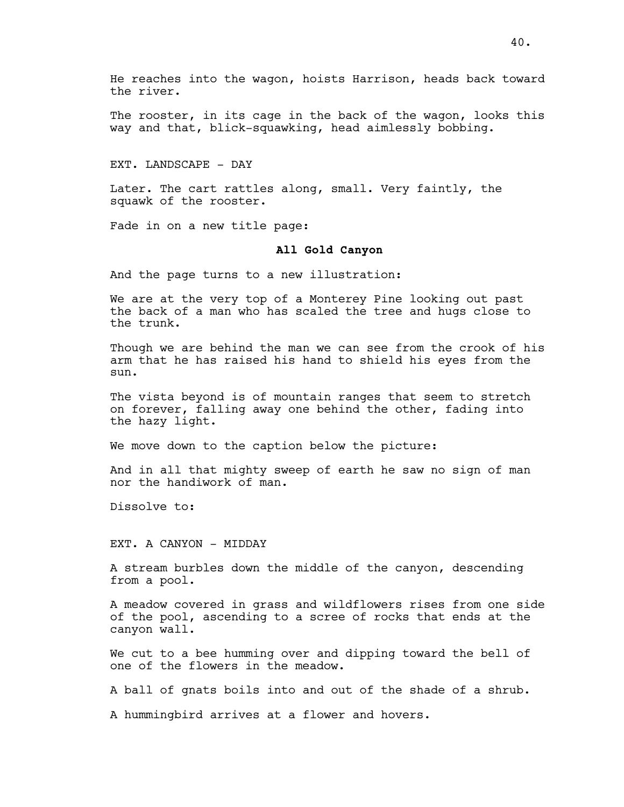He reaches into the wagon, hoists Harrison, heads back toward the river.

The rooster, in its cage in the back of the wagon, looks this way and that, blick-squawking, head aimlessly bobbing.

EXT. LANDSCAPE - DAY

Later. The cart rattles along, small. Very faintly, the squawk of the rooster.

Fade in on a new title page:

# **All Gold Canyon**

And the page turns to a new illustration:

We are at the very top of a Monterey Pine looking out past the back of a man who has scaled the tree and hugs close to the trunk.

Though we are behind the man we can see from the crook of his arm that he has raised his hand to shield his eyes from the sun.

The vista beyond is of mountain ranges that seem to stretch on forever, falling away one behind the other, fading into the hazy light.

We move down to the caption below the picture:

And in all that mighty sweep of earth he saw no sign of man nor the handiwork of man.

Dissolve to:

EXT. A CANYON - MIDDAY

A stream burbles down the middle of the canyon, descending from a pool.

A meadow covered in grass and wildflowers rises from one side of the pool, ascending to a scree of rocks that ends at the canyon wall.

We cut to a bee humming over and dipping toward the bell of one of the flowers in the meadow.

A ball of gnats boils into and out of the shade of a shrub.

A hummingbird arrives at a flower and hovers.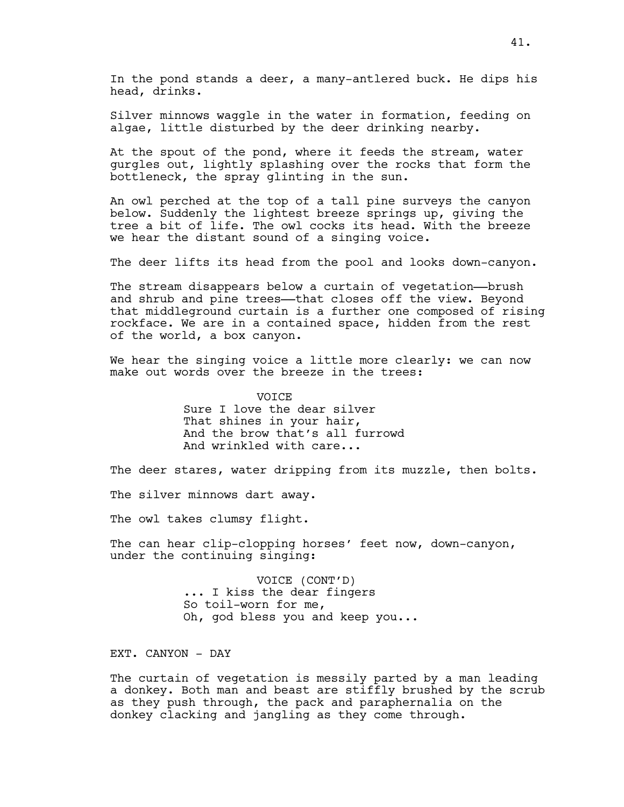In the pond stands a deer, a many-antlered buck. He dips his head, drinks.

Silver minnows waggle in the water in formation, feeding on algae, little disturbed by the deer drinking nearby.

At the spout of the pond, where it feeds the stream, water gurgles out, lightly splashing over the rocks that form the bottleneck, the spray glinting in the sun.

An owl perched at the top of a tall pine surveys the canyon below. Suddenly the lightest breeze springs up, giving the tree a bit of life. The owl cocks its head. With the breeze we hear the distant sound of a singing voice.

The deer lifts its head from the pool and looks down-canyon.

The stream disappears below a curtain of vegetation—brush and shrub and pine trees--that closes off the view. Beyond that middleground curtain is a further one composed of rising rockface. We are in a contained space, hidden from the rest of the world, a box canyon.

We hear the singing voice a little more clearly: we can now make out words over the breeze in the trees:

> **VOTCE** Sure I love the dear silver That shines in your hair, And the brow that's all furrowd And wrinkled with care...

The deer stares, water dripping from its muzzle, then bolts.

The silver minnows dart away.

The owl takes clumsy flight.

The can hear clip-clopping horses' feet now, down-canyon, under the continuing singing:

> VOICE (CONT'D) ... I kiss the dear fingers So toil-worn for me, Oh, god bless you and keep you...

EXT. CANYON - DAY

The curtain of vegetation is messily parted by a man leading a donkey. Both man and beast are stiffly brushed by the scrub as they push through, the pack and paraphernalia on the donkey clacking and jangling as they come through.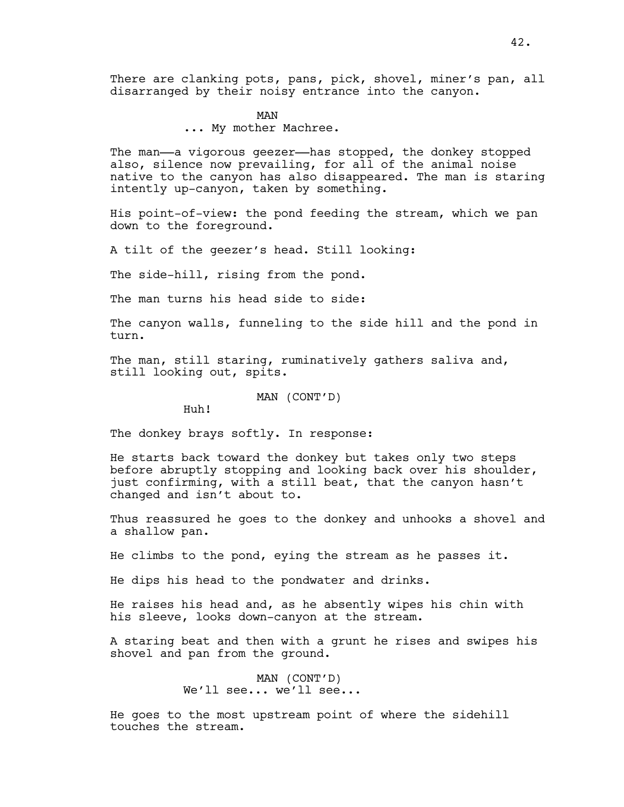There are clanking pots, pans, pick, shovel, miner's pan, all disarranged by their noisy entrance into the canyon.

MAN

... My mother Machree.

The man——a vigorous geezer——has stopped, the donkey stopped also, silence now prevailing, for all of the animal noise native to the canyon has also disappeared. The man is staring intently up-canyon, taken by something.

His point-of-view: the pond feeding the stream, which we pan down to the foreground.

A tilt of the geezer's head. Still looking:

The side-hill, rising from the pond.

The man turns his head side to side:

The canyon walls, funneling to the side hill and the pond in turn.

The man, still staring, ruminatively gathers saliva and, still looking out, spits.

MAN (CONT'D)

Huh!

The donkey brays softly. In response:

He starts back toward the donkey but takes only two steps before abruptly stopping and looking back over his shoulder, just confirming, with a still beat, that the canyon hasn't changed and isn't about to.

Thus reassured he goes to the donkey and unhooks a shovel and a shallow pan.

He climbs to the pond, eying the stream as he passes it.

He dips his head to the pondwater and drinks.

He raises his head and, as he absently wipes his chin with his sleeve, looks down-canyon at the stream.

A staring beat and then with a grunt he rises and swipes his shovel and pan from the ground.

> MAN (CONT'D) We'll see... we'll see...

He goes to the most upstream point of where the sidehill touches the stream.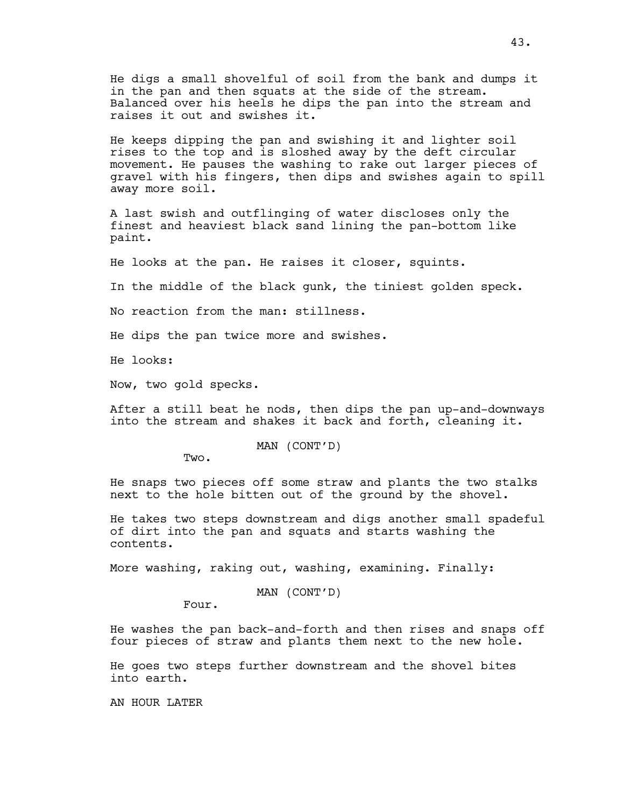He digs a small shovelful of soil from the bank and dumps it in the pan and then squats at the side of the stream. Balanced over his heels he dips the pan into the stream and raises it out and swishes it.

He keeps dipping the pan and swishing it and lighter soil rises to the top and is sloshed away by the deft circular movement. He pauses the washing to rake out larger pieces of gravel with his fingers, then dips and swishes again to spill away more soil.

A last swish and outflinging of water discloses only the finest and heaviest black sand lining the pan-bottom like paint.

He looks at the pan. He raises it closer, squints.

In the middle of the black gunk, the tiniest golden speck.

No reaction from the man: stillness.

He dips the pan twice more and swishes.

He looks:

Now, two gold specks.

After a still beat he nods, then dips the pan up-and-downways into the stream and shakes it back and forth, cleaning it.

MAN (CONT'D)

Two.

He snaps two pieces off some straw and plants the two stalks next to the hole bitten out of the ground by the shovel.

He takes two steps downstream and digs another small spadeful of dirt into the pan and squats and starts washing the contents.

More washing, raking out, washing, examining. Finally:

MAN (CONT'D)

Four.

He washes the pan back-and-forth and then rises and snaps off four pieces of straw and plants them next to the new hole.

He goes two steps further downstream and the shovel bites into earth.

AN HOUR LATER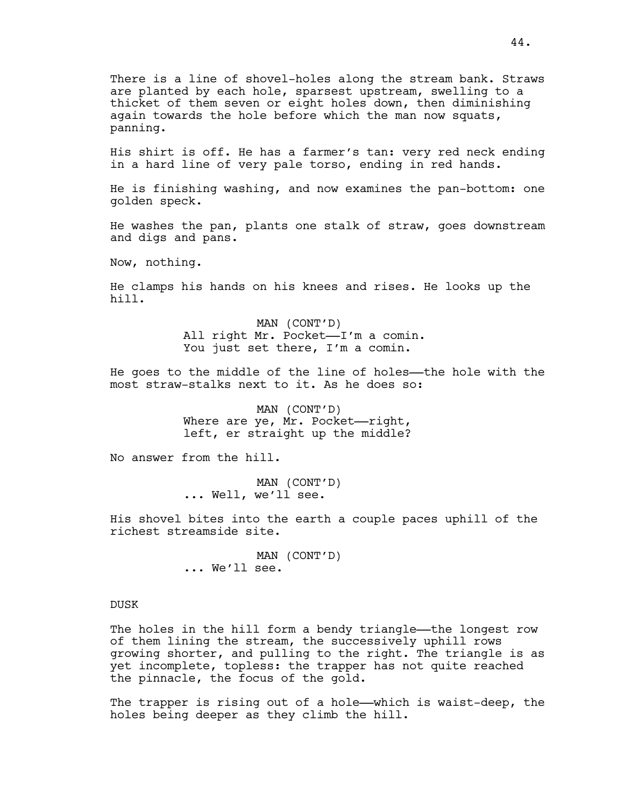There is a line of shovel-holes along the stream bank. Straws are planted by each hole, sparsest upstream, swelling to a thicket of them seven or eight holes down, then diminishing again towards the hole before which the man now squats, panning.

His shirt is off. He has a farmer's tan: very red neck ending in a hard line of very pale torso, ending in red hands.

He is finishing washing, and now examines the pan-bottom: one golden speck.

He washes the pan, plants one stalk of straw, goes downstream and digs and pans.

Now, nothing.

He clamps his hands on his knees and rises. He looks up the hill.

> MAN (CONT'D) All right Mr. Pocket-I'm a comin. You just set there, I'm a comin.

He goes to the middle of the line of holes——the hole with the most straw-stalks next to it. As he does so:

> MAN (CONT'D) Where are ye, Mr. Pocket-right, left, er straight up the middle?

No answer from the hill.

MAN (CONT'D) ... Well, we'll see.

His shovel bites into the earth a couple paces uphill of the richest streamside site.

> MAN (CONT'D) ... We'll see.

## DUSK

The holes in the hill form a bendy triangle—the longest row of them lining the stream, the successively uphill rows growing shorter, and pulling to the right. The triangle is as yet incomplete, topless: the trapper has not quite reached the pinnacle, the focus of the gold.

The trapper is rising out of a hole—which is waist-deep, the holes being deeper as they climb the hill.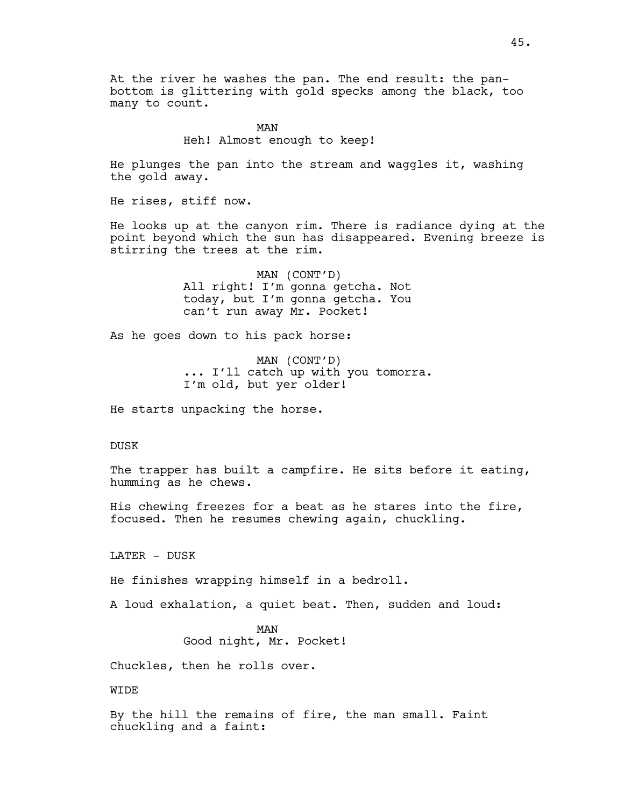At the river he washes the pan. The end result: the panbottom is glittering with gold specks among the black, too many to count.

> MAN Heh! Almost enough to keep!

He plunges the pan into the stream and waggles it, washing the gold away.

He rises, stiff now.

He looks up at the canyon rim. There is radiance dying at the point beyond which the sun has disappeared. Evening breeze is stirring the trees at the rim.

> MAN (CONT'D) All right! I'm gonna getcha. Not today, but I'm gonna getcha. You can't run away Mr. Pocket!

As he goes down to his pack horse:

MAN (CONT'D) ... I'll catch up with you tomorra. I'm old, but yer older!

He starts unpacking the horse.

# DUSK

The trapper has built a campfire. He sits before it eating, humming as he chews.

His chewing freezes for a beat as he stares into the fire, focused. Then he resumes chewing again, chuckling.

LATER - DUSK

He finishes wrapping himself in a bedroll.

A loud exhalation, a quiet beat. Then, sudden and loud:

MAN Good night, Mr. Pocket!

Chuckles, then he rolls over.

WIDE

By the hill the remains of fire, the man small. Faint chuckling and a faint: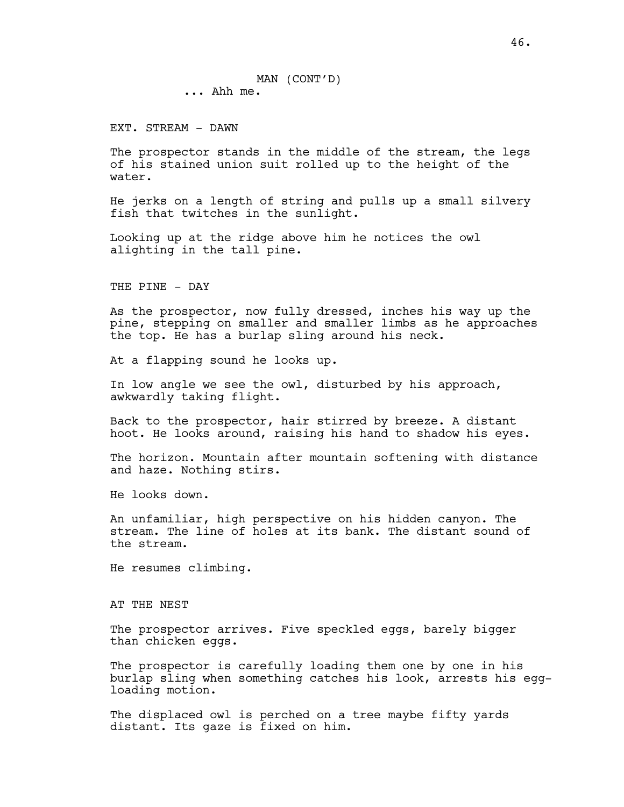EXT. STREAM - DAWN

The prospector stands in the middle of the stream, the legs of his stained union suit rolled up to the height of the water.

He jerks on a length of string and pulls up a small silvery fish that twitches in the sunlight.

Looking up at the ridge above him he notices the owl alighting in the tall pine.

THE PINE - DAY

As the prospector, now fully dressed, inches his way up the pine, stepping on smaller and smaller limbs as he approaches the top. He has a burlap sling around his neck.

At a flapping sound he looks up.

In low angle we see the owl, disturbed by his approach, awkwardly taking flight.

Back to the prospector, hair stirred by breeze. A distant hoot. He looks around, raising his hand to shadow his eyes.

The horizon. Mountain after mountain softening with distance and haze. Nothing stirs.

He looks down.

An unfamiliar, high perspective on his hidden canyon. The stream. The line of holes at its bank. The distant sound of the stream.

He resumes climbing.

AT THE NEST

The prospector arrives. Five speckled eggs, barely bigger than chicken eggs.

The prospector is carefully loading them one by one in his burlap sling when something catches his look, arrests his eggloading motion.

The displaced owl is perched on a tree maybe fifty yards distant. Its gaze is fixed on him.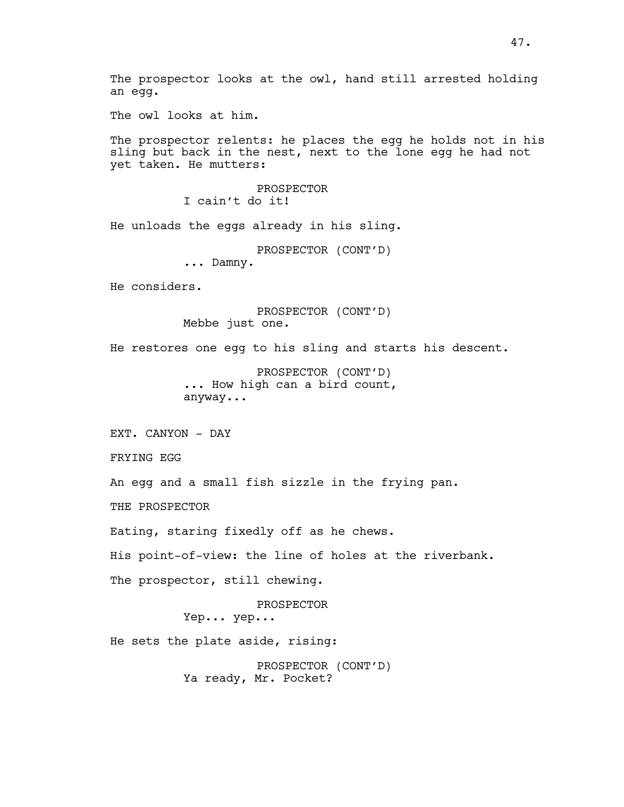The owl looks at him.

The prospector relents: he places the egg he holds not in his sling but back in the nest, next to the lone egg he had not yet taken. He mutters:

> PROSPECTOR I cain't do it!

He unloads the eggs already in his sling.

PROSPECTOR (CONT'D)

... Damny.

He considers.

PROSPECTOR (CONT'D) Mebbe just one.

He restores one egg to his sling and starts his descent.

PROSPECTOR (CONT'D) ... How high can a bird count, anyway...

EXT. CANYON - DAY

FRYING EGG

An egg and a small fish sizzle in the frying pan.

THE PROSPECTOR

Eating, staring fixedly off as he chews.

His point-of-view: the line of holes at the riverbank.

The prospector, still chewing.

PROSPECTOR

Yep... yep...

He sets the plate aside, rising:

PROSPECTOR (CONT'D) Ya ready, Mr. Pocket?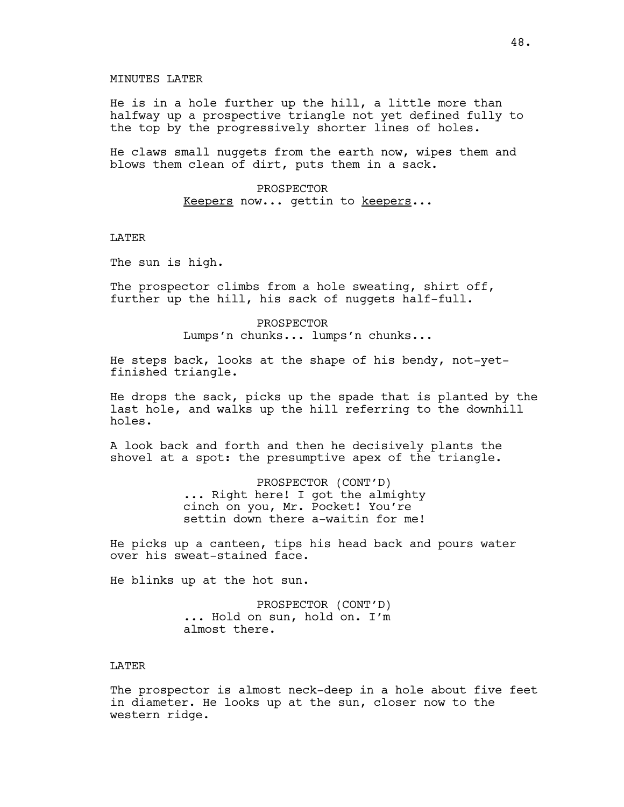# MINUTES LATER

He is in a hole further up the hill, a little more than halfway up a prospective triangle not yet defined fully to the top by the progressively shorter lines of holes.

He claws small nuggets from the earth now, wipes them and blows them clean of dirt, puts them in a sack.

> PROSPECTOR Keepers now... gettin to keepers...

# **T.ATER**

The sun is high.

The prospector climbs from a hole sweating, shirt off, further up the hill, his sack of nuggets half-full.

> PROSPECTOR Lumps'n chunks... lumps'n chunks...

He steps back, looks at the shape of his bendy, not-yetfinished triangle.

He drops the sack, picks up the spade that is planted by the last hole, and walks up the hill referring to the downhill holes.

A look back and forth and then he decisively plants the shovel at a spot: the presumptive apex of the triangle.

> PROSPECTOR (CONT'D) ... Right here! I got the almighty cinch on you, Mr. Pocket! You're settin down there a-waitin for me!

He picks up a canteen, tips his head back and pours water over his sweat-stained face.

He blinks up at the hot sun.

PROSPECTOR (CONT'D) ... Hold on sun, hold on. I'm almost there.

# **LATER**

The prospector is almost neck-deep in a hole about five feet in diameter. He looks up at the sun, closer now to the western ridge.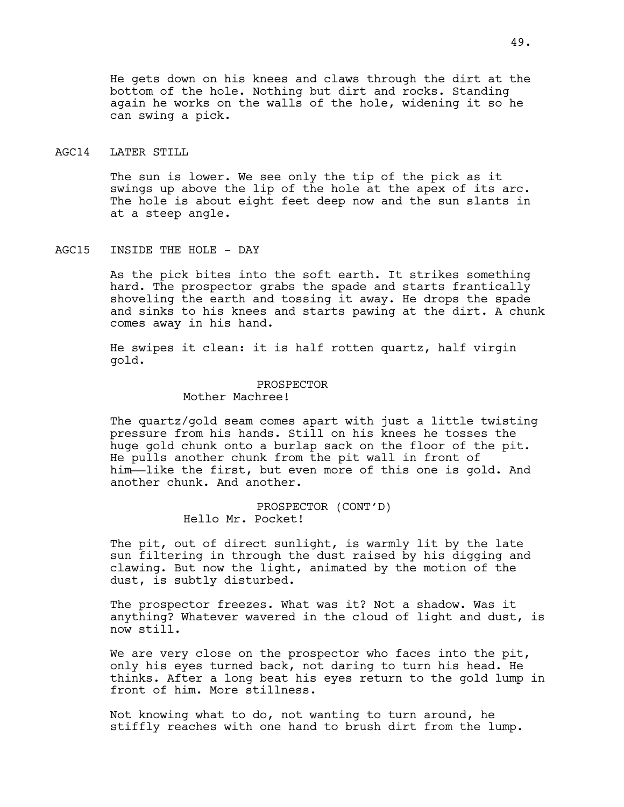He gets down on his knees and claws through the dirt at the bottom of the hole. Nothing but dirt and rocks. Standing again he works on the walls of the hole, widening it so he can swing a pick.

# AGC14 LATER STILL

The sun is lower. We see only the tip of the pick as it swings up above the lip of the hole at the apex of its arc. The hole is about eight feet deep now and the sun slants in at a steep angle.

## AGC15 INSIDE THE HOLE - DAY

As the pick bites into the soft earth. It strikes something hard. The prospector grabs the spade and starts frantically shoveling the earth and tossing it away. He drops the spade and sinks to his knees and starts pawing at the dirt. A chunk comes away in his hand.

He swipes it clean: it is half rotten quartz, half virgin gold.

# PROSPECTOR Mother Machree!

The quartz/gold seam comes apart with just a little twisting pressure from his hands. Still on his knees he tosses the huge gold chunk onto a burlap sack on the floor of the pit. He pulls another chunk from the pit wall in front of him——like the first, but even more of this one is gold. And another chunk. And another.

# PROSPECTOR (CONT'D) Hello Mr. Pocket!

The pit, out of direct sunlight, is warmly lit by the late sun filtering in through the dust raised by his digging and clawing. But now the light, animated by the motion of the dust, is subtly disturbed.

The prospector freezes. What was it? Not a shadow. Was it anything? Whatever wavered in the cloud of light and dust, is now still.

We are very close on the prospector who faces into the pit, only his eyes turned back, not daring to turn his head. He thinks. After a long beat his eyes return to the gold lump in front of him. More stillness.

Not knowing what to do, not wanting to turn around, he stiffly reaches with one hand to brush dirt from the lump.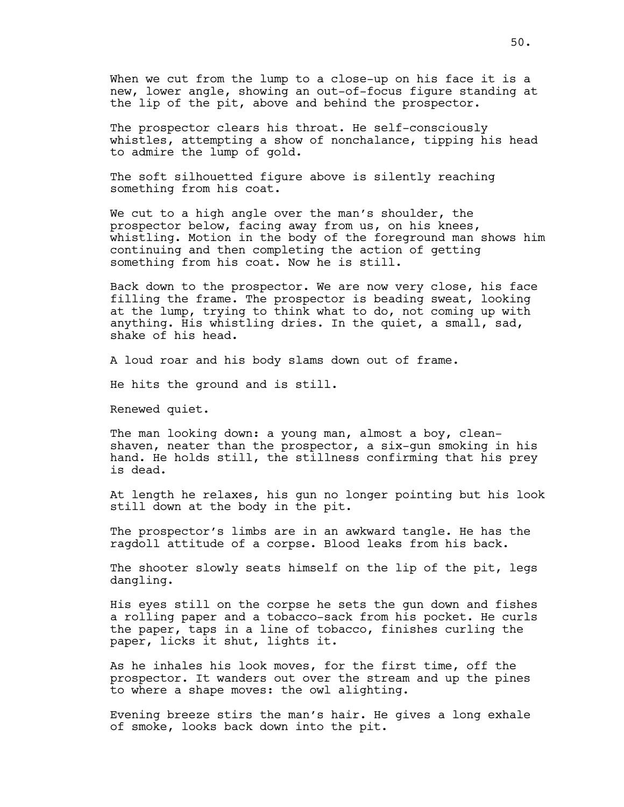When we cut from the lump to a close-up on his face it is a new, lower angle, showing an out-of-focus figure standing at the lip of the pit, above and behind the prospector.

The prospector clears his throat. He self-consciously whistles, attempting a show of nonchalance, tipping his head to admire the lump of gold.

The soft silhouetted figure above is silently reaching something from his coat.

We cut to a high angle over the man's shoulder, the prospector below, facing away from us, on his knees, whistling. Motion in the body of the foreground man shows him continuing and then completing the action of getting something from his coat. Now he is still.

Back down to the prospector. We are now very close, his face filling the frame. The prospector is beading sweat, looking at the lump, trying to think what to do, not coming up with anything. His whistling dries. In the quiet, a small, sad, shake of his head.

A loud roar and his body slams down out of frame.

He hits the ground and is still.

Renewed quiet.

The man looking down: a young man, almost a boy, cleanshaven, neater than the prospector, a six-gun smoking in his hand. He holds still, the stillness confirming that his prey is dead.

At length he relaxes, his gun no longer pointing but his look still down at the body in the pit.

The prospector's limbs are in an awkward tangle. He has the ragdoll attitude of a corpse. Blood leaks from his back.

The shooter slowly seats himself on the lip of the pit, legs dangling.

His eyes still on the corpse he sets the gun down and fishes a rolling paper and a tobacco-sack from his pocket. He curls the paper, taps in a line of tobacco, finishes curling the paper, licks it shut, lights it.

As he inhales his look moves, for the first time, off the prospector. It wanders out over the stream and up the pines to where a shape moves: the owl alighting.

Evening breeze stirs the man's hair. He gives a long exhale of smoke, looks back down into the pit.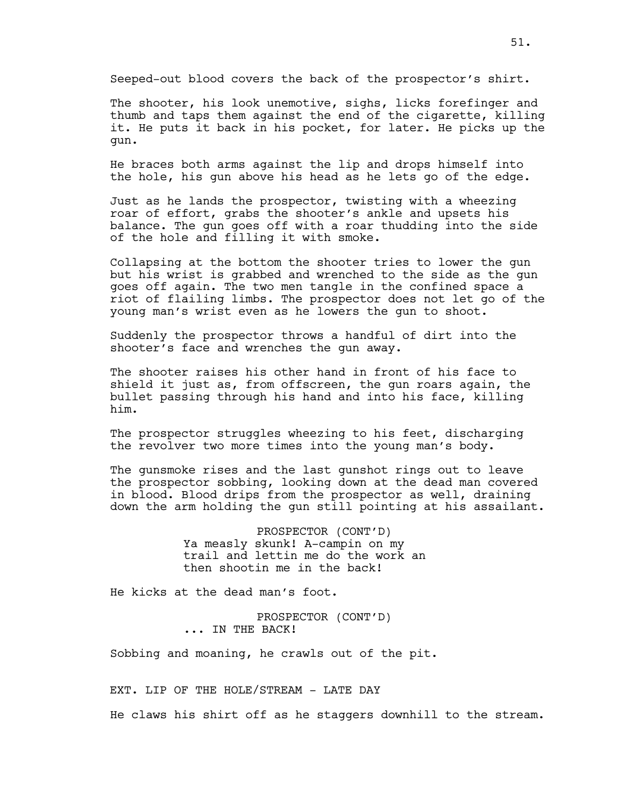Seeped-out blood covers the back of the prospector's shirt.

The shooter, his look unemotive, sighs, licks forefinger and thumb and taps them against the end of the cigarette, killing it. He puts it back in his pocket, for later. He picks up the gun.

He braces both arms against the lip and drops himself into the hole, his gun above his head as he lets go of the edge.

Just as he lands the prospector, twisting with a wheezing roar of effort, grabs the shooter's ankle and upsets his balance. The gun goes off with a roar thudding into the side of the hole and filling it with smoke.

Collapsing at the bottom the shooter tries to lower the gun but his wrist is grabbed and wrenched to the side as the gun goes off again. The two men tangle in the confined space a riot of flailing limbs. The prospector does not let go of the young man's wrist even as he lowers the gun to shoot.

Suddenly the prospector throws a handful of dirt into the shooter's face and wrenches the gun away.

The shooter raises his other hand in front of his face to shield it just as, from offscreen, the gun roars again, the bullet passing through his hand and into his face, killing him.

The prospector struggles wheezing to his feet, discharging the revolver two more times into the young man's body.

The gunsmoke rises and the last gunshot rings out to leave the prospector sobbing, looking down at the dead man covered in blood. Blood drips from the prospector as well, draining down the arm holding the gun still pointing at his assailant.

> PROSPECTOR (CONT'D) Ya measly skunk! A-campin on my trail and lettin me do the work an then shootin me in the back!

He kicks at the dead man's foot.

PROSPECTOR (CONT'D) ... IN THE BACK!

Sobbing and moaning, he crawls out of the pit.

EXT. LIP OF THE HOLE/STREAM - LATE DAY

He claws his shirt off as he staggers downhill to the stream.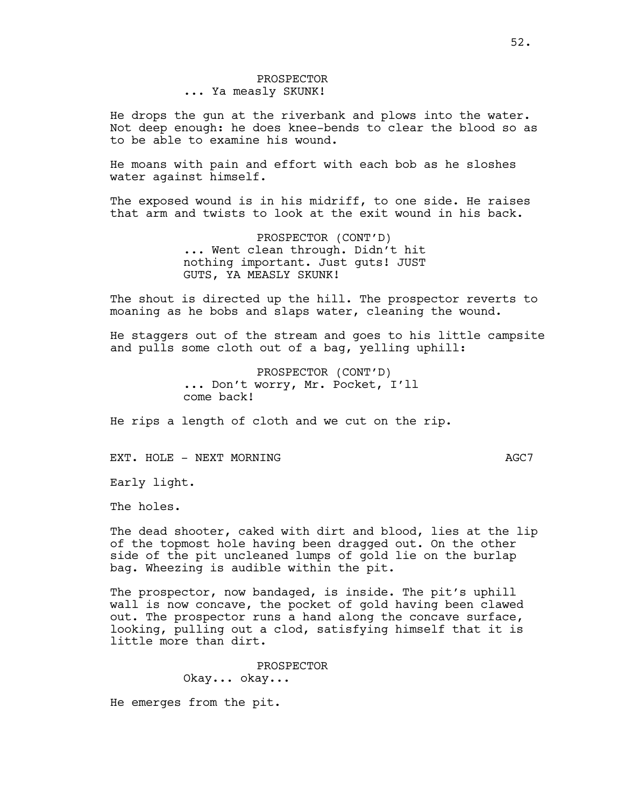He drops the gun at the riverbank and plows into the water. Not deep enough: he does knee-bends to clear the blood so as to be able to examine his wound.

He moans with pain and effort with each bob as he sloshes water against himself.

The exposed wound is in his midriff, to one side. He raises that arm and twists to look at the exit wound in his back.

> PROSPECTOR (CONT'D) ... Went clean through. Didn't hit nothing important. Just guts! JUST GUTS, YA MEASLY SKUNK!

The shout is directed up the hill. The prospector reverts to moaning as he bobs and slaps water, cleaning the wound.

He staggers out of the stream and goes to his little campsite and pulls some cloth out of a bag, yelling uphill:

> PROSPECTOR (CONT'D) ... Don't worry, Mr. Pocket, I'll come back!

He rips a length of cloth and we cut on the rip.

EXT. HOLE - NEXT MORNING AGC7

Early light.

The holes.

The dead shooter, caked with dirt and blood, lies at the lip of the topmost hole having been dragged out. On the other side of the pit uncleaned lumps of gold lie on the burlap bag. Wheezing is audible within the pit.

The prospector, now bandaged, is inside. The pit's uphill wall is now concave, the pocket of gold having been clawed out. The prospector runs a hand along the concave surface, looking, pulling out a clod, satisfying himself that it is little more than dirt.

> PROSPECTOR Okay... okay...

He emerges from the pit.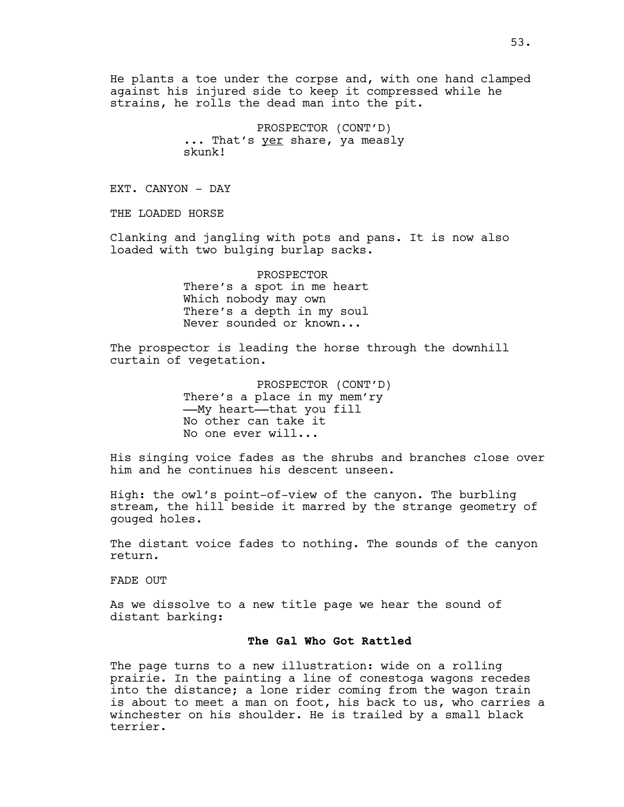He plants a toe under the corpse and, with one hand clamped against his injured side to keep it compressed while he strains, he rolls the dead man into the pit.

> PROSPECTOR (CONT'D) ... That's yer share, ya measly skunk!

EXT. CANYON - DAY

THE LOADED HORSE

Clanking and jangling with pots and pans. It is now also loaded with two bulging burlap sacks.

> PROSPECTOR There's a spot in me heart Which nobody may own There's a depth in my soul Never sounded or known...

The prospector is leading the horse through the downhill curtain of vegetation.

```
PROSPECTOR (CONT'D)
There's a place in my mem'ry
——My heart——that you fill
No other can take it
No one ever will...
```
His singing voice fades as the shrubs and branches close over him and he continues his descent unseen.

High: the owl's point-of-view of the canyon. The burbling stream, the hill beside it marred by the strange geometry of gouged holes.

The distant voice fades to nothing. The sounds of the canyon return.

FADE OUT

As we dissolve to a new title page we hear the sound of distant barking:

# **The Gal Who Got Rattled**

The page turns to a new illustration: wide on a rolling prairie. In the painting a line of conestoga wagons recedes into the distance; a lone rider coming from the wagon train is about to meet a man on foot, his back to us, who carries a winchester on his shoulder. He is trailed by a small black terrier.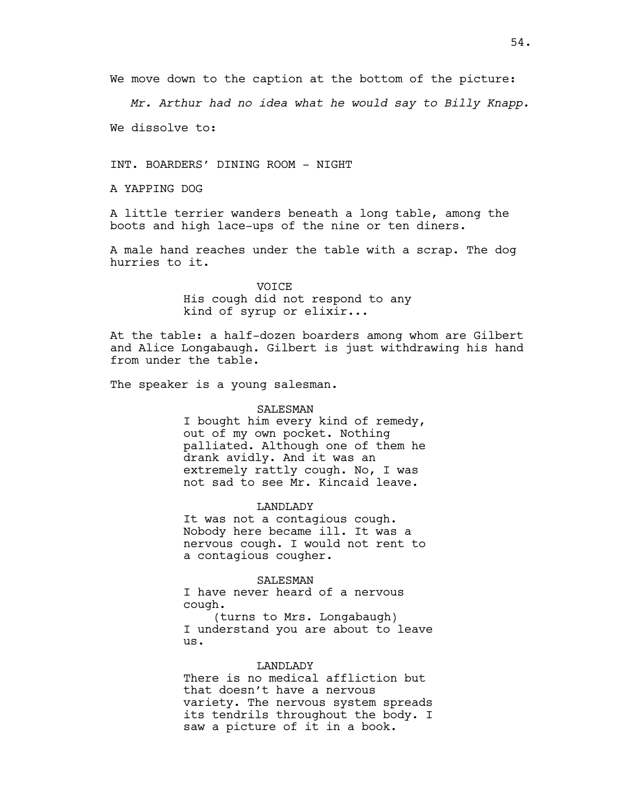*Mr. Arthur had no idea what he would say to Billy Knapp.* We dissolve to:

INT. BOARDERS' DINING ROOM - NIGHT

A YAPPING DOG

A little terrier wanders beneath a long table, among the boots and high lace-ups of the nine or ten diners.

A male hand reaches under the table with a scrap. The dog hurries to it.

> VOICE His cough did not respond to any kind of syrup or elixir...

At the table: a half-dozen boarders among whom are Gilbert and Alice Longabaugh. Gilbert is just withdrawing his hand from under the table.

The speaker is a young salesman.

#### SALESMAN

I bought him every kind of remedy, out of my own pocket. Nothing palliated. Although one of them he drank avidly. And it was an extremely rattly cough. No, I was not sad to see Mr. Kincaid leave.

# LANDLADY

It was not a contagious cough. Nobody here became ill. It was a nervous cough. I would not rent to a contagious cougher.

#### **SALESMAN**

I have never heard of a nervous cough.

(turns to Mrs. Longabaugh) I understand you are about to leave us.

# LANDLADY

There is no medical affliction but that doesn't have a nervous variety. The nervous system spreads its tendrils throughout the body. I saw a picture of it in a book.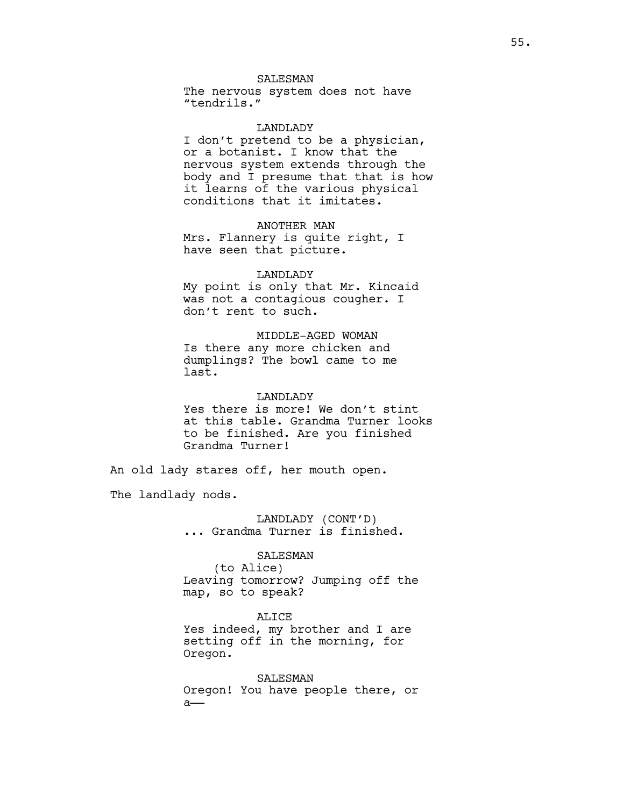# **SALESMAN**

The nervous system does not have "tendrils."

# LANDLADY

I don't pretend to be a physician, or a botanist. I know that the nervous system extends through the body and I presume that that is how it learns of the various physical conditions that it imitates.

# ANOTHER MAN

Mrs. Flannery is quite right, I have seen that picture.

# LANDLADY

My point is only that Mr. Kincaid was not a contagious cougher. I don't rent to such.

# MIDDLE-AGED WOMAN

Is there any more chicken and dumplings? The bowl came to me last.

## LANDLADY

Yes there is more! We don't stint at this table. Grandma Turner looks to be finished. Are you finished Grandma Turner!

An old lady stares off, her mouth open.

The landlady nods.

LANDLADY (CONT'D) ... Grandma Turner is finished.

# SALESMAN

(to Alice) Leaving tomorrow? Jumping off the map, so to speak?

## ALICE

Yes indeed, my brother and I are setting off in the morning, for Oregon.

SALESMAN Oregon! You have people there, or a——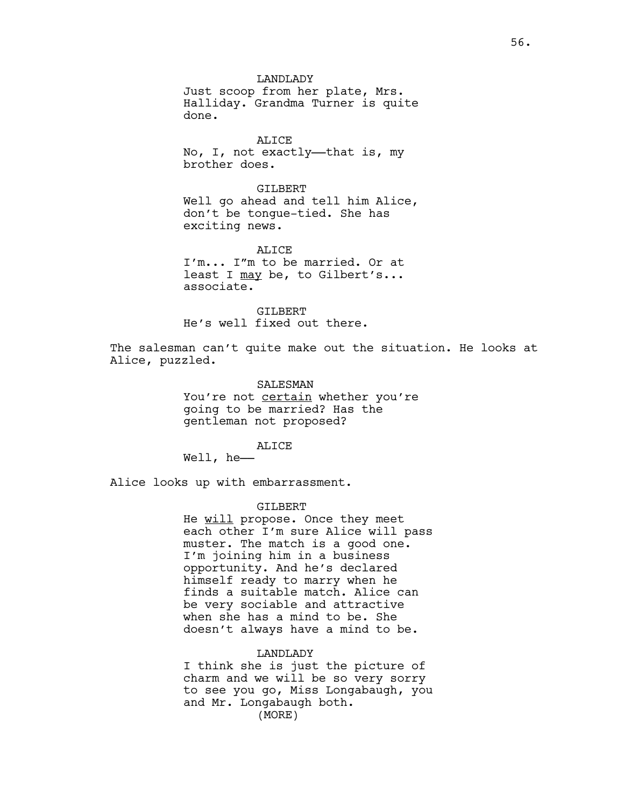LANDLADY Just scoop from her plate, Mrs. Halliday. Grandma Turner is quite done.

ALICE No, I, not exactly-that is, my brother does.

GILBERT Well go ahead and tell him Alice, don't be tongue-tied. She has exciting news.

ALICE I'm... I"m to be married. Or at least I may be, to Gilbert's... associate.

GILBERT He's well fixed out there.

The salesman can't quite make out the situation. He looks at Alice, puzzled.

> SALESMAN You're not certain whether you're going to be married? Has the gentleman not proposed?

> > ALICE

Well, he——

Alice looks up with embarrassment.

GILBERT

He will propose. Once they meet each other I'm sure Alice will pass muster. The match is a good one. I'm joining him in a business opportunity. And he's declared himself ready to marry when he finds a suitable match. Alice can be very sociable and attractive when she has a mind to be. She doesn't always have a mind to be.

#### LANDLADY

I think she is just the picture of charm and we will be so very sorry to see you go, Miss Longabaugh, you and Mr. Longabaugh both. (MORE)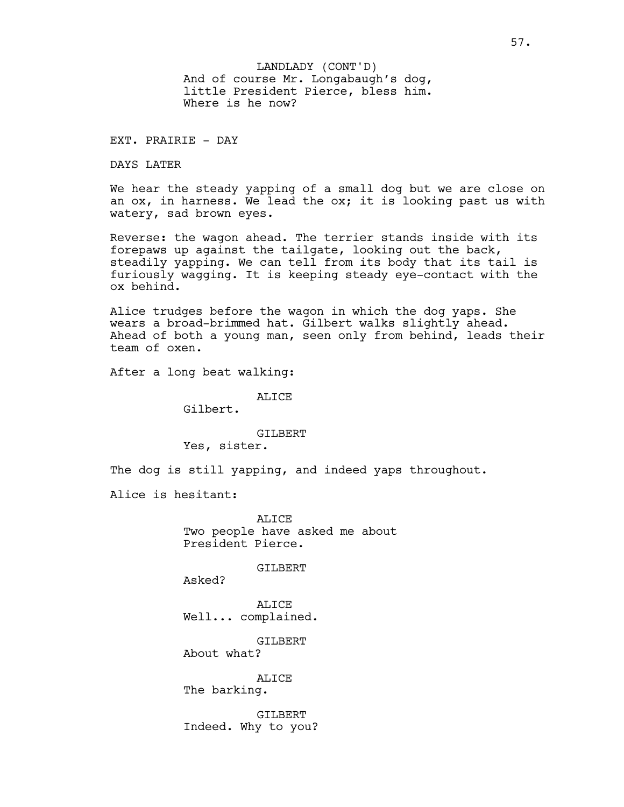EXT. PRAIRIE - DAY

#### DAYS LATER

We hear the steady yapping of a small dog but we are close on an ox, in harness. We lead the ox; it is looking past us with watery, sad brown eyes.

Reverse: the wagon ahead. The terrier stands inside with its forepaws up against the tailgate, looking out the back, steadily yapping. We can tell from its body that its tail is furiously wagging. It is keeping steady eye-contact with the ox behind.

Alice trudges before the wagon in which the dog yaps. She wears a broad-brimmed hat. Gilbert walks slightly ahead. Ahead of both a young man, seen only from behind, leads their team of oxen.

After a long beat walking:

#### ALICE

Gilbert.

#### GILBERT

Yes, sister.

The dog is still yapping, and indeed yaps throughout.

Alice is hesitant:

**ALICE** Two people have asked me about President Pierce.

#### GILBERT

Asked?

ALICE Well... complained.

GTLBERT

About what?

ALICE The barking.

GILBERT Indeed. Why to you?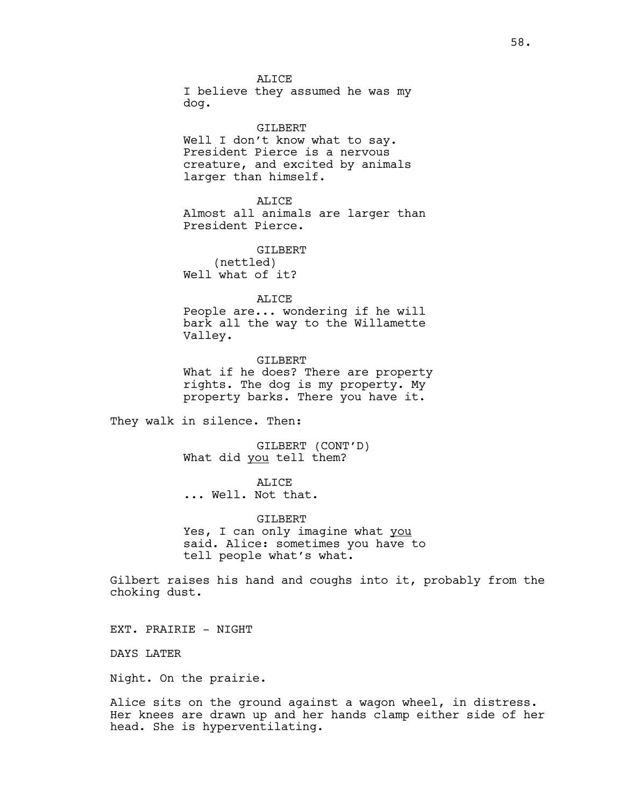**ALICE** 

I believe they assumed he was my dog.

GILBERT Well I don't know what to say. President Pierce is a nervous creature, and excited by animals larger than himself.

ALICE Almost all animals are larger than President Pierce.

GTLBERT (nettled) Well what of it?

ALICE

People are... wondering if he will bark all the way to the Willamette Valley.

GILBERT What if he does? There are property rights. The dog is my property. My property barks. There you have it.

They walk in silence. Then:

GILBERT (CONT'D) What did you tell them?

ALICE ... Well. Not that.

GILBERT Yes, I can only imagine what you said. Alice: sometimes you have to tell people what's what.

Gilbert raises his hand and coughs into it, probably from the choking dust.

EXT. PRAIRIE - NIGHT

DAYS LATER

Night. On the prairie.

Alice sits on the ground against a wagon wheel, in distress. Her knees are drawn up and her hands clamp either side of her head. She is hyperventilating.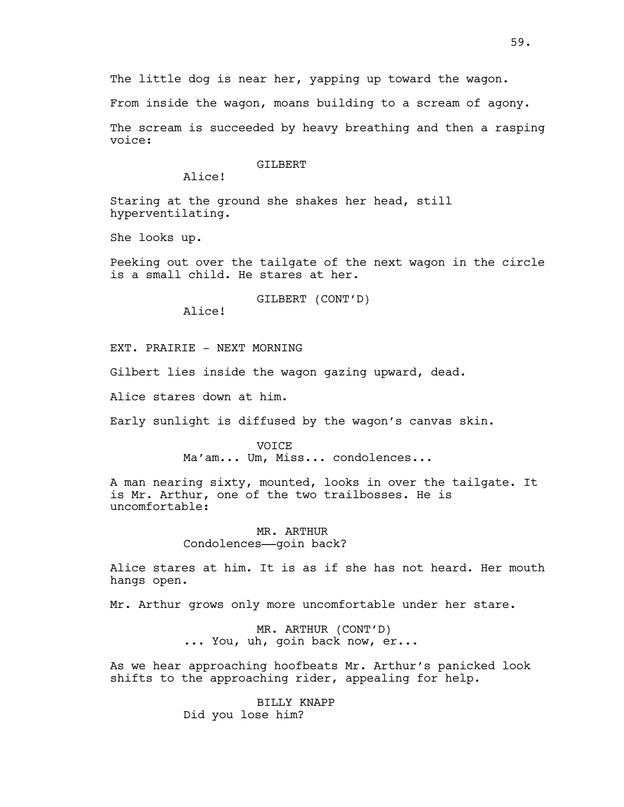The little dog is near her, yapping up toward the wagon.

From inside the wagon, moans building to a scream of agony.

The scream is succeeded by heavy breathing and then a rasping voice:

#### GILBERT

Alice!

Staring at the ground she shakes her head, still hyperventilating.

She looks up.

Peeking out over the tailgate of the next wagon in the circle is a small child. He stares at her.

GILBERT (CONT'D)

Alice!

EXT. PRAIRIE - NEXT MORNING

Gilbert lies inside the wagon gazing upward, dead.

Alice stares down at him.

Early sunlight is diffused by the wagon's canvas skin.

**VOTCE** Ma'am... Um, Miss... condolences...

A man nearing sixty, mounted, looks in over the tailgate. It is Mr. Arthur, one of the two trailbosses. He is uncomfortable:

# MR. ARTHUR Condolences——goin back?

Alice stares at him. It is as if she has not heard. Her mouth hangs open.

Mr. Arthur grows only more uncomfortable under her stare.

MR. ARTHUR (CONT'D) ... You, uh, goin back now, er...

As we hear approaching hoofbeats Mr. Arthur's panicked look shifts to the approaching rider, appealing for help.

> BILLY KNAPP Did you lose him?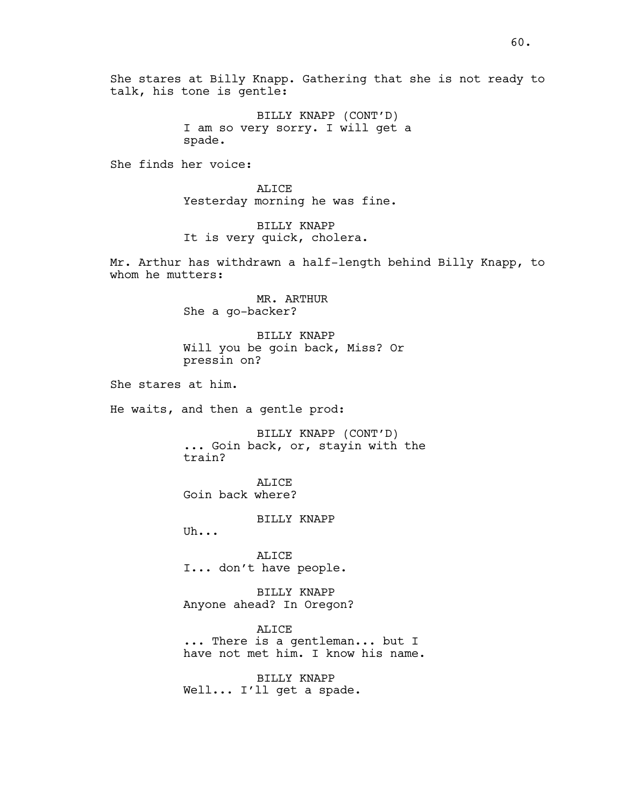She stares at Billy Knapp. Gathering that she is not ready to talk, his tone is gentle:

> BILLY KNAPP (CONT'D) I am so very sorry. I will get a spade.

She finds her voice:

ALICE Yesterday morning he was fine.

BILLY KNAPP It is very quick, cholera.

Mr. Arthur has withdrawn a half-length behind Billy Knapp, to whom he mutters:

> MR. ARTHUR She a go-backer?

BILLY KNAPP Will you be goin back, Miss? Or pressin on?

She stares at him.

He waits, and then a gentle prod:

BILLY KNAPP (CONT'D) ... Goin back, or, stayin with the train?

ALICE Goin back where?

BILLY KNAPP

Uh...

ALICE I... don't have people.

BILLY KNAPP Anyone ahead? In Oregon?

ALICE ... There is a gentleman... but I have not met him. I know his name.

BILLY KNAPP Well... I'll get a spade.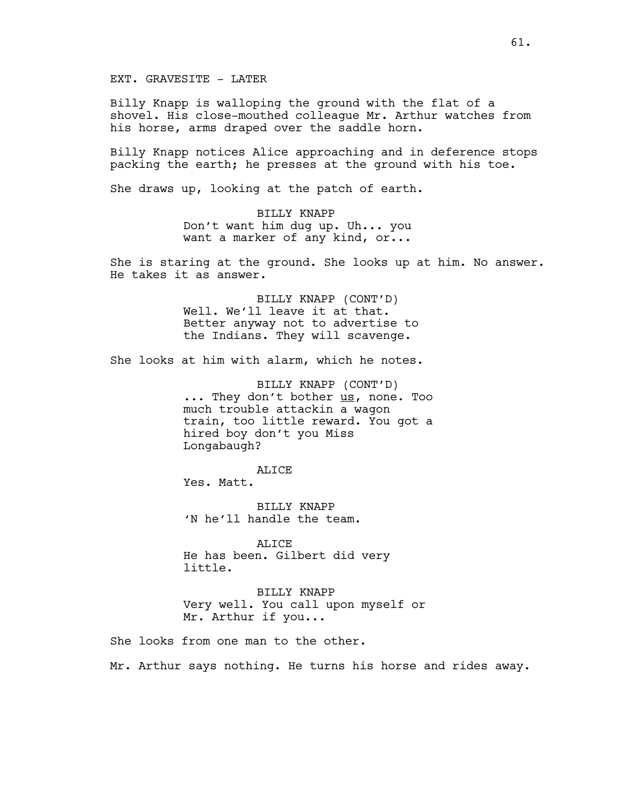EXT. GRAVESITE - LATER

Billy Knapp is walloping the ground with the flat of a shovel. His close-mouthed colleague Mr. Arthur watches from his horse, arms draped over the saddle horn.

Billy Knapp notices Alice approaching and in deference stops packing the earth; he presses at the ground with his toe.

She draws up, looking at the patch of earth.

BILLY KNAPP Don't want him dug up. Uh... you want a marker of any kind, or...

She is staring at the ground. She looks up at him. No answer. He takes it as answer.

> BILLY KNAPP (CONT'D) Well. We'll leave it at that. Better anyway not to advertise to the Indians. They will scavenge.

She looks at him with alarm, which he notes.

BILLY KNAPP (CONT'D) ... They don't bother us, none. Too much trouble attackin a wagon train, too little reward. You got a hired boy don't you Miss Longabaugh?

ALICE Yes. Matt.

BILLY KNAPP 'N he'll handle the team.

ALICE He has been. Gilbert did very little.

BILLY KNAPP Very well. You call upon myself or Mr. Arthur if you...

She looks from one man to the other.

Mr. Arthur says nothing. He turns his horse and rides away.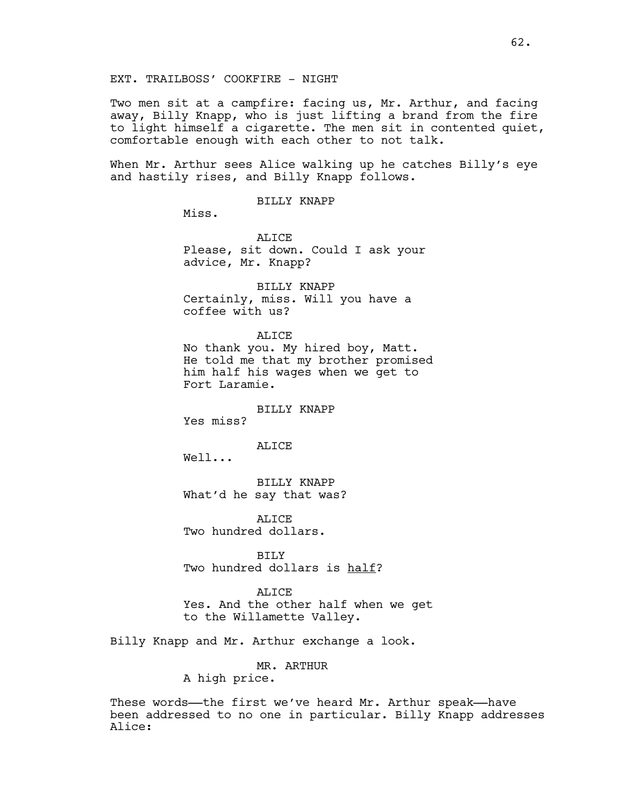EXT. TRAILBOSS' COOKFIRE - NIGHT

Two men sit at a campfire: facing us, Mr. Arthur, and facing away, Billy Knapp, who is just lifting a brand from the fire to light himself a cigarette. The men sit in contented quiet, comfortable enough with each other to not talk.

When Mr. Arthur sees Alice walking up he catches Billy's eye and hastily rises, and Billy Knapp follows.

BILLY KNAPP

Miss.

**ALICE** Please, sit down. Could I ask your advice, Mr. Knapp?

BILLY KNAPP Certainly, miss. Will you have a coffee with us?

ALICE

No thank you. My hired boy, Matt. He told me that my brother promised him half his wages when we get to Fort Laramie.

BILLY KNAPP

Yes miss?

ALICE

Well...

BILLY KNAPP What'd he say that was?

**ALICE** Two hundred dollars.

BILY Two hundred dollars is half?

**ALICE** Yes. And the other half when we get to the Willamette Valley.

Billy Knapp and Mr. Arthur exchange a look.

MR. ARTHUR

A high price.

These words—the first we've heard Mr. Arthur speak—have been addressed to no one in particular. Billy Knapp addresses Alice: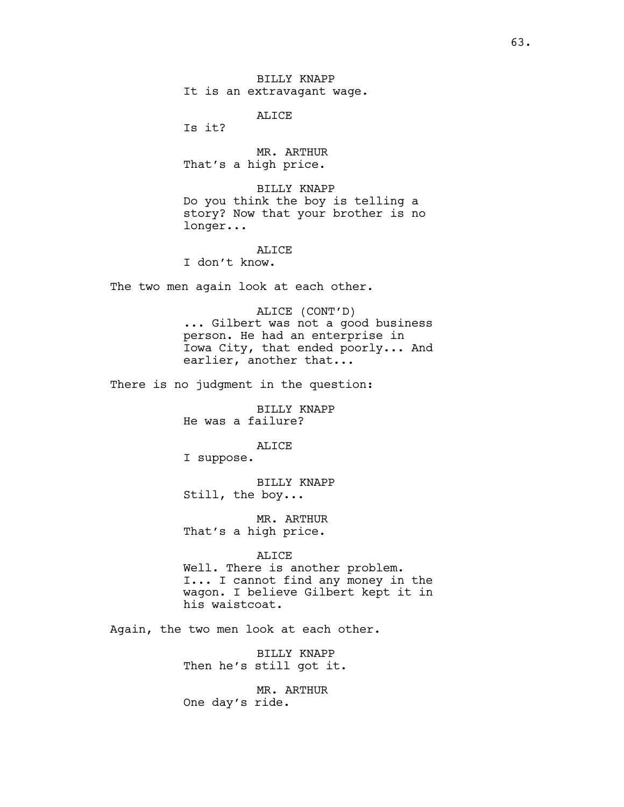BILLY KNAPP It is an extravagant wage.

ALICE

Is it?

MR. ARTHUR That's a high price.

BILLY KNAPP Do you think the boy is telling a story? Now that your brother is no longer...

ALICE

I don't know.

The two men again look at each other.

ALICE (CONT'D) ... Gilbert was not a good business person. He had an enterprise in Iowa City, that ended poorly... And earlier, another that...

There is no judgment in the question:

BILLY KNAPP He was a failure?

ALICE

I suppose.

BILLY KNAPP Still, the boy...

MR. ARTHUR That's a high price.

ALICE

Well. There is another problem. I... I cannot find any money in the wagon. I believe Gilbert kept it in his waistcoat.

Again, the two men look at each other.

BILLY KNAPP Then he's still got it.

MR. ARTHUR One day's ride.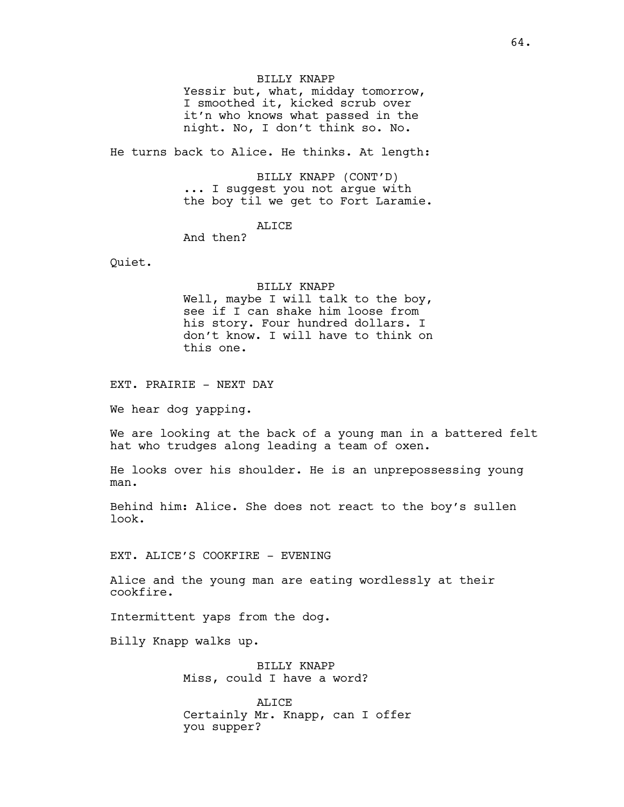BILLY KNAPP

Yessir but, what, midday tomorrow, I smoothed it, kicked scrub over it'n who knows what passed in the night. No, I don't think so. No.

He turns back to Alice. He thinks. At length:

BILLY KNAPP (CONT'D) ... I suggest you not argue with the boy til we get to Fort Laramie.

# ALICE

And then?

Quiet.

# BILLY KNAPP

Well, maybe I will talk to the boy, see if I can shake him loose from his story. Four hundred dollars. I don't know. I will have to think on this one.

EXT. PRAIRIE - NEXT DAY

We hear dog yapping.

We are looking at the back of a young man in a battered felt hat who trudges along leading a team of oxen.

He looks over his shoulder. He is an unprepossessing young man.

Behind him: Alice. She does not react to the boy's sullen look.

EXT. ALICE'S COOKFIRE - EVENING

Alice and the young man are eating wordlessly at their cookfire.

Intermittent yaps from the dog.

Billy Knapp walks up.

BILLY KNAPP Miss, could I have a word?

ALICE Certainly Mr. Knapp, can I offer you supper?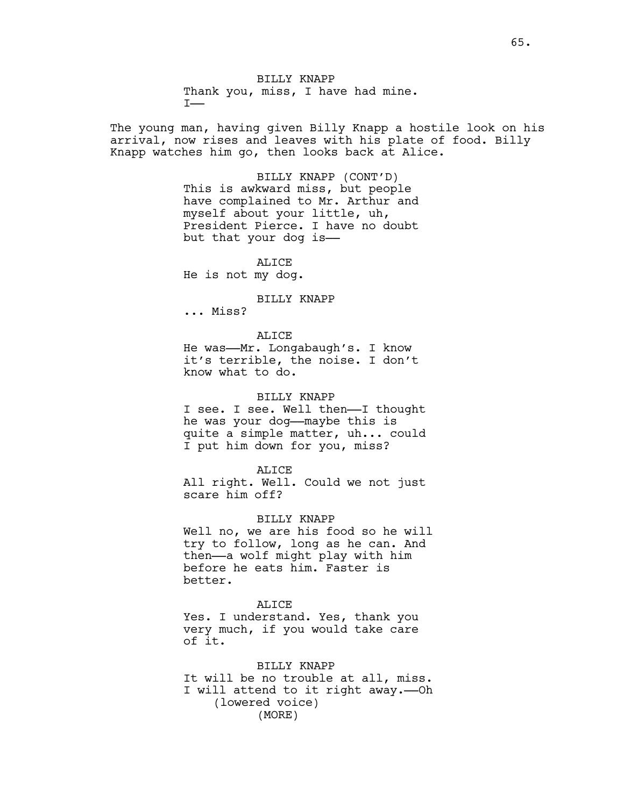BILLY KNAPP Thank you, miss, I have had mine.  $T$ ——

The young man, having given Billy Knapp a hostile look on his arrival, now rises and leaves with his plate of food. Billy Knapp watches him go, then looks back at Alice.

> BILLY KNAPP (CONT'D) This is awkward miss, but people have complained to Mr. Arthur and myself about your little, uh, President Pierce. I have no doubt but that your dog is——

ALICE He is not my dog.

#### BILLY KNAPP

... Miss?

# ALICE

He was——Mr. Longabaugh's. I know it's terrible, the noise. I don't know what to do.

# BILLY KNAPP

I see. I see. Well then-I thought he was your dog——maybe this is quite a simple matter, uh... could I put him down for you, miss?

#### ALICE

All right. Well. Could we not just scare him off?

# BILLY KNAPP

Well no, we are his food so he will try to follow, long as he can. And then——a wolf might play with him before he eats him. Faster is better.

## ALICE

Yes. I understand. Yes, thank you very much, if you would take care of it.

BILLY KNAPP It will be no trouble at all, miss. I will attend to it right away.——Oh (lowered voice) (MORE)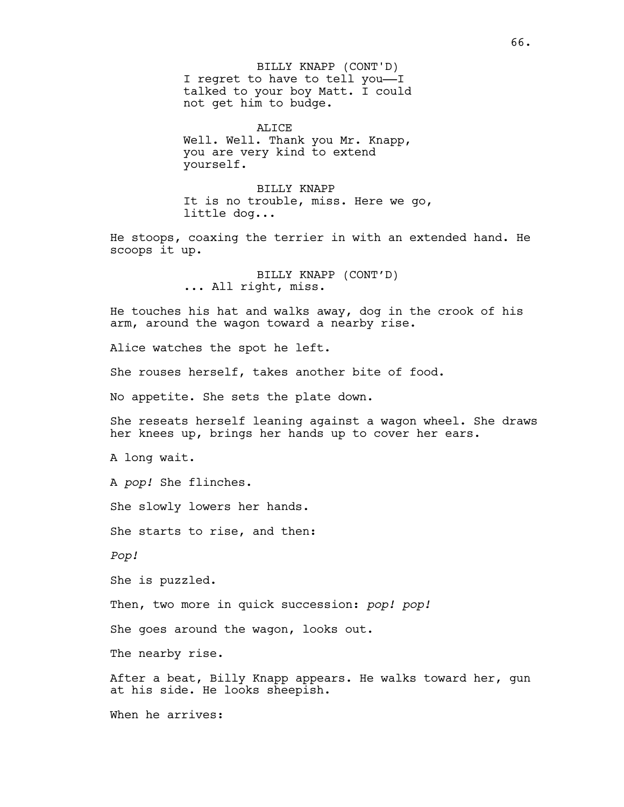I regret to have to tell you——I talked to your boy Matt. I could not get him to budge. BILLY KNAPP (CONT'D)

ALICE Well. Well. Thank you Mr. Knapp, you are very kind to extend yourself.

BILLY KNAPP It is no trouble, miss. Here we go, little dog...

He stoops, coaxing the terrier in with an extended hand. He scoops it up.

> BILLY KNAPP (CONT'D) ... All right, miss.

He touches his hat and walks away, dog in the crook of his arm, around the wagon toward a nearby rise.

Alice watches the spot he left.

She rouses herself, takes another bite of food.

No appetite. She sets the plate down.

She reseats herself leaning against a wagon wheel. She draws her knees up, brings her hands up to cover her ears.

A long wait.

A *pop!* She flinches.

She slowly lowers her hands.

She starts to rise, and then:

*Pop!*

She is puzzled.

Then, two more in quick succession: *pop! pop!*

She goes around the wagon, looks out.

The nearby rise.

After a beat, Billy Knapp appears. He walks toward her, gun at his side. He looks sheepish.

When he arrives: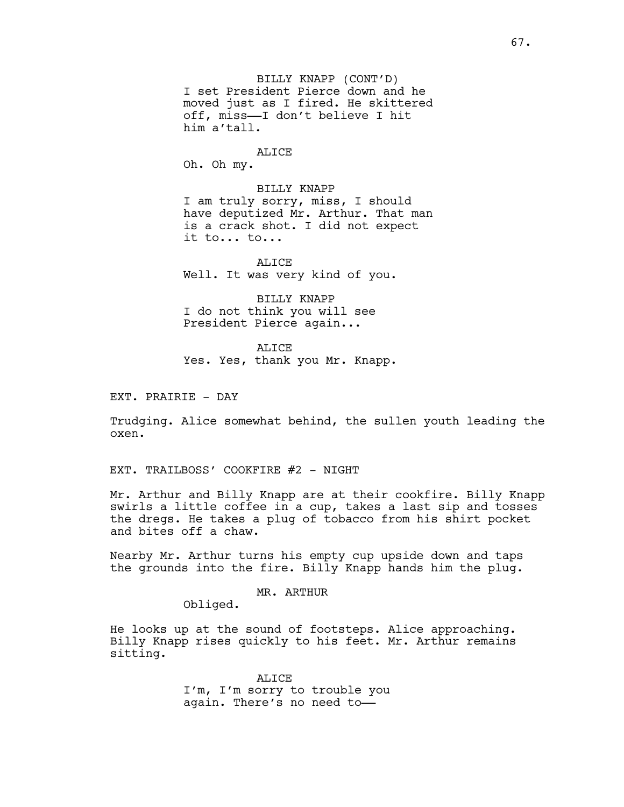BILLY KNAPP (CONT'D) I set President Pierce down and he moved just as I fired. He skittered off, miss——I don't believe I hit him a'tall.

### ALICE

Oh. Oh my.

BILLY KNAPP I am truly sorry, miss, I should have deputized Mr. Arthur. That man is a crack shot. I did not expect it to... to...

ALICE Well. It was very kind of you.

BILLY KNAPP I do not think you will see President Pierce again...

**ALICE** Yes. Yes, thank you Mr. Knapp.

EXT. PRAIRIE - DAY

Trudging. Alice somewhat behind, the sullen youth leading the oxen.

EXT. TRAILBOSS' COOKFIRE #2 - NIGHT

Mr. Arthur and Billy Knapp are at their cookfire. Billy Knapp swirls a little coffee in a cup, takes a last sip and tosses the dregs. He takes a plug of tobacco from his shirt pocket and bites off a chaw.

Nearby Mr. Arthur turns his empty cup upside down and taps the grounds into the fire. Billy Knapp hands him the plug.

MR. ARTHUR

Obliged.

He looks up at the sound of footsteps. Alice approaching. Billy Knapp rises quickly to his feet. Mr. Arthur remains sitting.

> ALICE I'm, I'm sorry to trouble you again. There's no need to——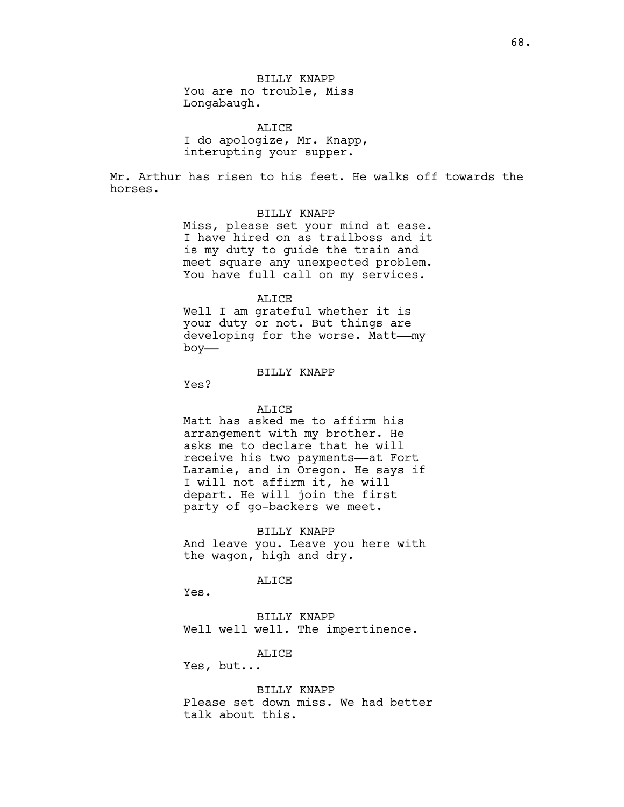BILLY KNAPP You are no trouble, Miss Longabaugh.

ALICE I do apologize, Mr. Knapp, interupting your supper.

Mr. Arthur has risen to his feet. He walks off towards the horses.

# BILLY KNAPP

Miss, please set your mind at ease. I have hired on as trailboss and it is my duty to guide the train and meet square any unexpected problem. You have full call on my services.

#### ALICE

Well I am grateful whether it is your duty or not. But things are developing for the worse. Matt——my boy——

# BILLY KNAPP

Yes?

#### ALICE

Matt has asked me to affirm his arrangement with my brother. He asks me to declare that he will receive his two payments——at Fort Laramie, and in Oregon. He says if I will not affirm it, he will depart. He will join the first party of go-backers we meet.

BILLY KNAPP

And leave you. Leave you here with the wagon, high and dry.

## ALICE

Yes.

BILLY KNAPP Well well well. The impertinence.

ALICE

Yes, but...

BILLY KNAPP Please set down miss. We had better talk about this.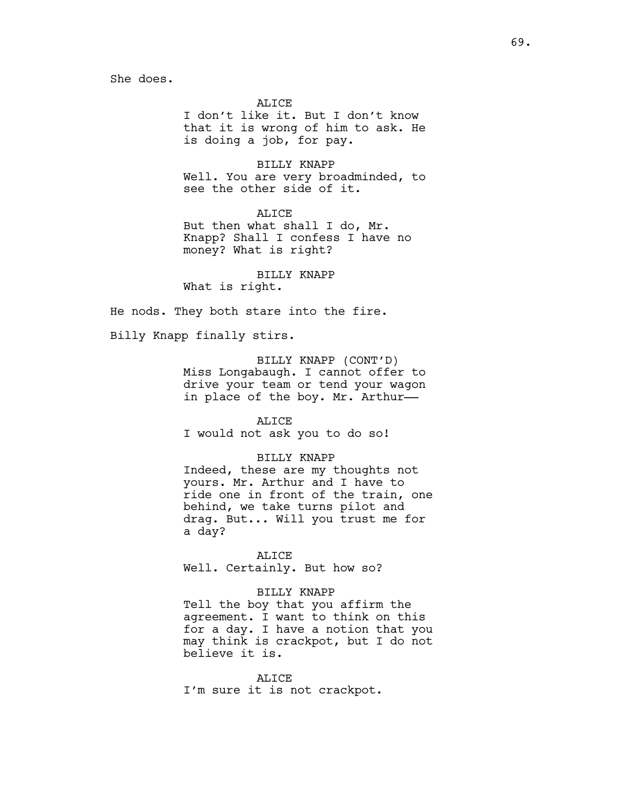She does.

**ALICE** 

I don't like it. But I don't know that it is wrong of him to ask. He is doing a job, for pay.

BILLY KNAPP Well. You are very broadminded, to see the other side of it.

ALICE But then what shall I do, Mr. Knapp? Shall I confess I have no money? What is right?

BILLY KNAPP What is right.

He nods. They both stare into the fire.

Billy Knapp finally stirs.

BILLY KNAPP (CONT'D) Miss Longabaugh. I cannot offer to drive your team or tend your wagon in place of the boy. Mr. Arthur-

#### ALICE

I would not ask you to do so!

# BILLY KNAPP

Indeed, these are my thoughts not yours. Mr. Arthur and I have to ride one in front of the train, one behind, we take turns pilot and drag. But... Will you trust me for a day?

ALICE

Well. Certainly. But how so?

# BILLY KNAPP

Tell the boy that you affirm the agreement. I want to think on this for a day. I have a notion that you may think is crackpot, but I do not believe it is.

ALICE I'm sure it is not crackpot.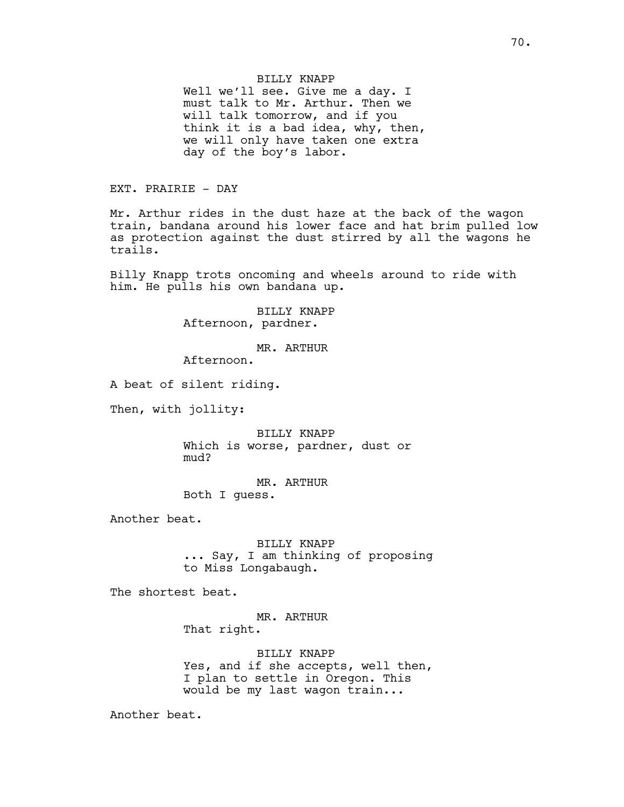# BILLY KNAPP

Well we'll see. Give me a day. I must talk to Mr. Arthur. Then we will talk tomorrow, and if you think it is a bad idea, why, then, we will only have taken one extra day of the boy's labor.

EXT. PRAIRIE - DAY

Mr. Arthur rides in the dust haze at the back of the wagon train, bandana around his lower face and hat brim pulled low as protection against the dust stirred by all the wagons he trails.

Billy Knapp trots oncoming and wheels around to ride with him. He pulls his own bandana up.

> BILLY KNAPP Afternoon, pardner.

> > MR. ARTHUR

Afternoon.

A beat of silent riding.

Then, with jollity:

BILLY KNAPP Which is worse, pardner, dust or mud?

MR. ARTHUR Both I guess.

Another beat.

BILLY KNAPP ... Say, I am thinking of proposing to Miss Longabaugh.

The shortest beat.

MR. ARTHUR That right.

BILLY KNAPP Yes, and if she accepts, well then, I plan to settle in Oregon. This would be my last wagon train...

Another beat.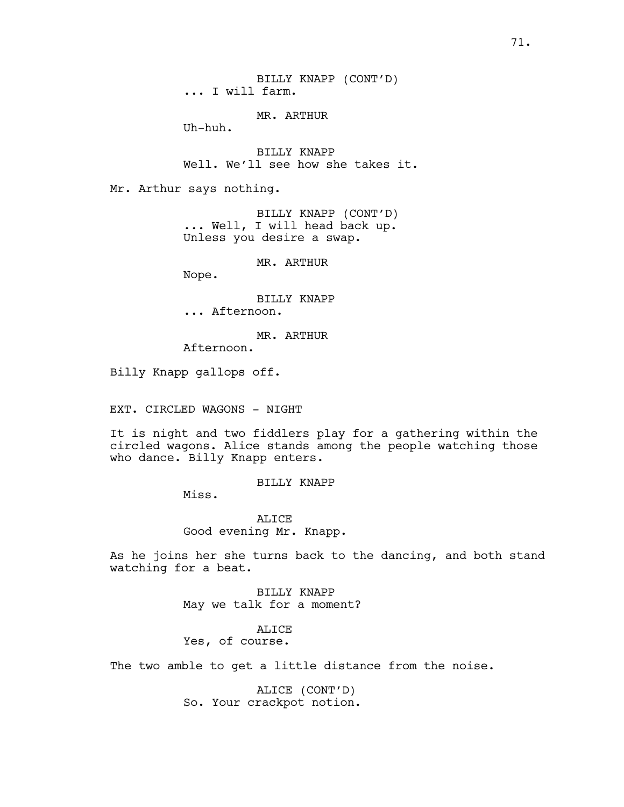BILLY KNAPP (CONT'D) ... I will farm.

MR. ARTHUR

Uh-huh.

BILLY KNAPP Well. We'll see how she takes it.

Mr. Arthur says nothing.

BILLY KNAPP (CONT'D) ... Well, I will head back up. Unless you desire a swap.

MR. ARTHUR

Nope.

BILLY KNAPP

... Afternoon.

MR. ARTHUR

Afternoon.

Billy Knapp gallops off.

EXT. CIRCLED WAGONS - NIGHT

It is night and two fiddlers play for a gathering within the circled wagons. Alice stands among the people watching those who dance. Billy Knapp enters.

BILLY KNAPP

Miss.

ALICE Good evening Mr. Knapp.

As he joins her she turns back to the dancing, and both stand watching for a beat.

> BILLY KNAPP May we talk for a moment?

ALICE Yes, of course.

The two amble to get a little distance from the noise.

ALICE (CONT'D) So. Your crackpot notion.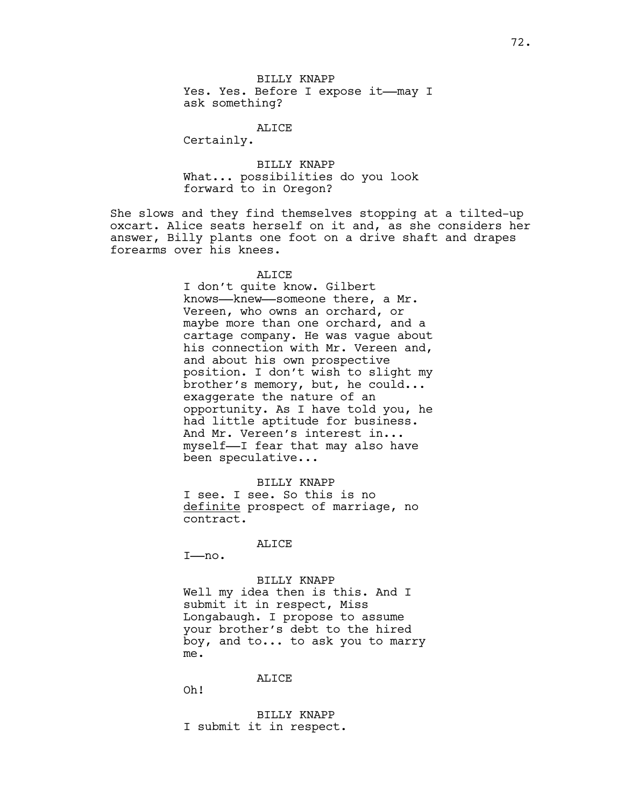BILLY KNAPP Yes. Yes. Before I expose it-may I ask something?

#### ALICE

Certainly.

BILLY KNAPP What... possibilities do you look forward to in Oregon?

She slows and they find themselves stopping at a tilted-up oxcart. Alice seats herself on it and, as she considers her answer, Billy plants one foot on a drive shaft and drapes forearms over his knees.

#### ALICE

I don't quite know. Gilbert knows——knew——someone there, a Mr. Vereen, who owns an orchard, or maybe more than one orchard, and a cartage company. He was vague about his connection with Mr. Vereen and, and about his own prospective position. I don't wish to slight my brother's memory, but, he could... exaggerate the nature of an opportunity. As I have told you, he had little aptitude for business. And Mr. Vereen's interest in... myself——I fear that may also have been speculative...

# BILLY KNAPP

I see. I see. So this is no definite prospect of marriage, no contract.

### ALICE

I——no.

#### BILLY KNAPP

Well my idea then is this. And I submit it in respect, Miss Longabaugh. I propose to assume your brother's debt to the hired boy, and to... to ask you to marry me.

# ALICE

Oh!

BILLY KNAPP I submit it in respect.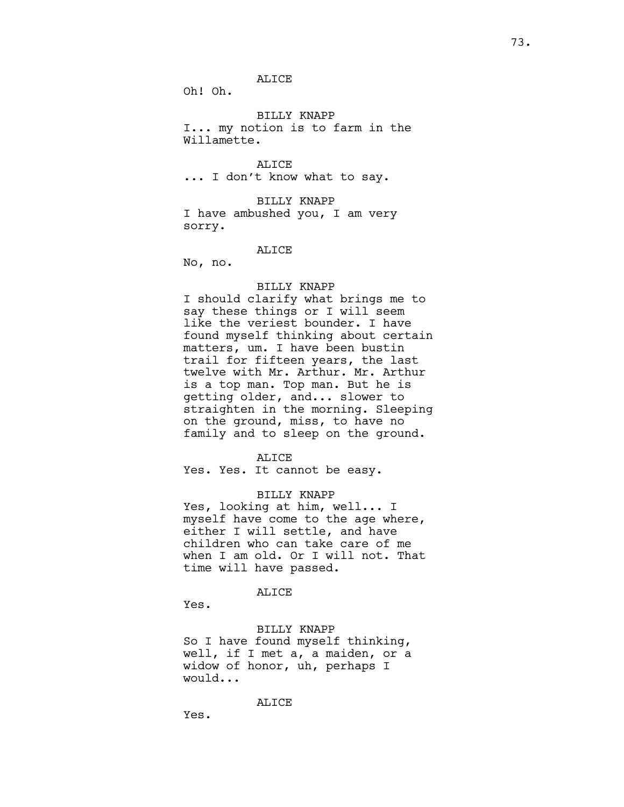Oh! Oh.

BILLY KNAPP I... my notion is to farm in the Willamette.

ALICE ... I don't know what to say.

BILLY KNAPP I have ambushed you, I am very sorry.

ALICE

No, no.

# BILLY KNAPP

I should clarify what brings me to say these things or I will seem like the veriest bounder. I have found myself thinking about certain matters, um. I have been bustin trail for fifteen years, the last twelve with Mr. Arthur. Mr. Arthur is a top man. Top man. But he is getting older, and... slower to straighten in the morning. Sleeping on the ground, miss, to have no family and to sleep on the ground.

#### ALICE

Yes. Yes. It cannot be easy.

#### BILLY KNAPP

Yes, looking at him, well... I myself have come to the age where, either I will settle, and have children who can take care of me when I am old. Or I will not. That time will have passed.

#### ALICE

Yes.

BILLY KNAPP So I have found myself thinking, well, if I met a, a maiden, or a widow of honor, uh, perhaps I would...

ALICE

Yes.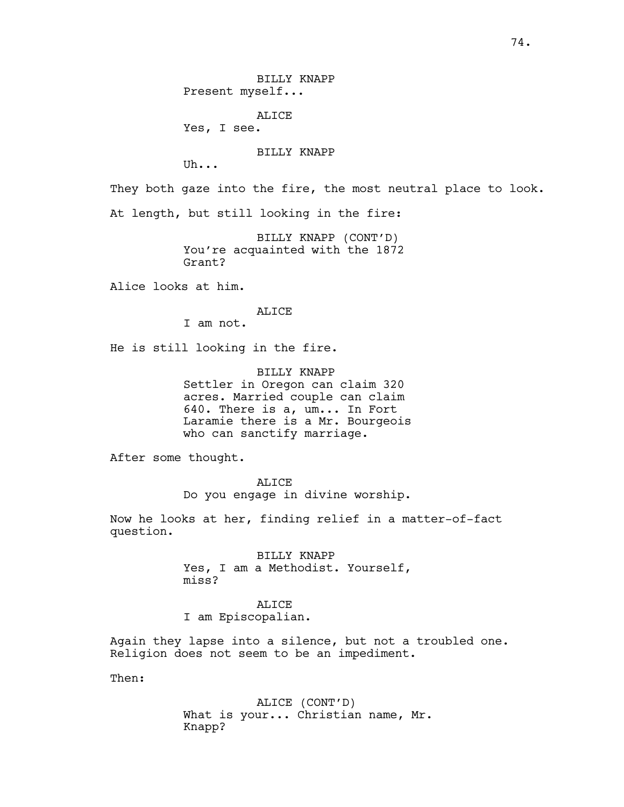BILLY KNAPP Present myself...

ALICE

Yes, I see.

BILLY KNAPP

Uh...

They both gaze into the fire, the most neutral place to look. At length, but still looking in the fire:

> BILLY KNAPP (CONT'D) You're acquainted with the 1872 Grant?

Alice looks at him.

### ALICE

I am not.

He is still looking in the fire.

BILLY KNAPP Settler in Oregon can claim 320 acres. Married couple can claim 640. There is a, um... In Fort Laramie there is a Mr. Bourgeois who can sanctify marriage.

After some thought.

ALICE

Do you engage in divine worship.

Now he looks at her, finding relief in a matter-of-fact question.

> BILLY KNAPP Yes, I am a Methodist. Yourself, miss?

ALICE I am Episcopalian.

Again they lapse into a silence, but not a troubled one. Religion does not seem to be an impediment.

Then:

ALICE (CONT'D) What is your... Christian name, Mr. Knapp?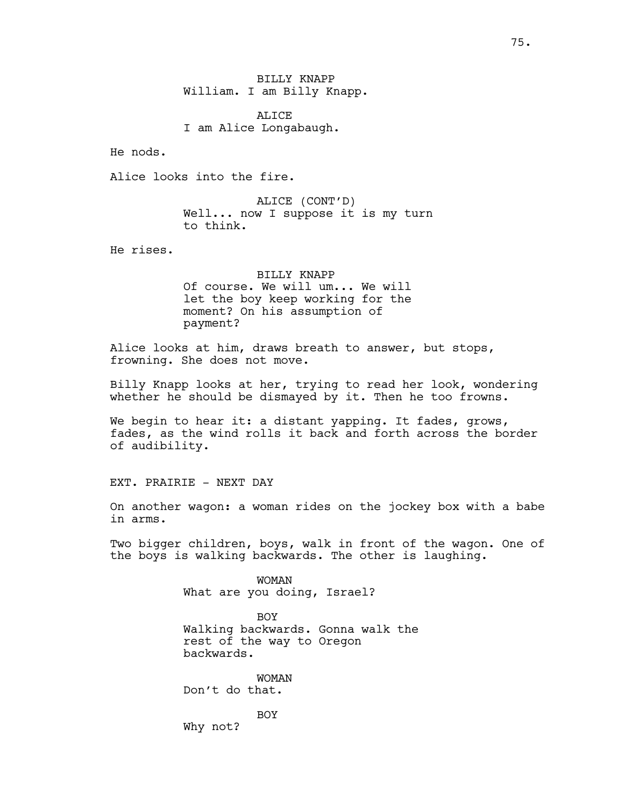BILLY KNAPP William. I am Billy Knapp.

**ALICE** I am Alice Longabaugh.

He nods.

Alice looks into the fire.

ALICE (CONT'D) Well... now I suppose it is my turn to think.

He rises.

# BILLY KNAPP

Of course. We will um... We will let the boy keep working for the moment? On his assumption of payment?

Alice looks at him, draws breath to answer, but stops, frowning. She does not move.

Billy Knapp looks at her, trying to read her look, wondering whether he should be dismayed by it. Then he too frowns.

We begin to hear it: a distant yapping. It fades, grows, fades, as the wind rolls it back and forth across the border of audibility.

EXT. PRAIRIE - NEXT DAY

On another wagon: a woman rides on the jockey box with a babe in arms.

Two bigger children, boys, walk in front of the wagon. One of the boys is walking backwards. The other is laughing.

> WOMAN What are you doing, Israel?

BOY Walking backwards. Gonna walk the rest of the way to Oregon backwards.

WOMAN Don't do that.

**BOY** 

Why not?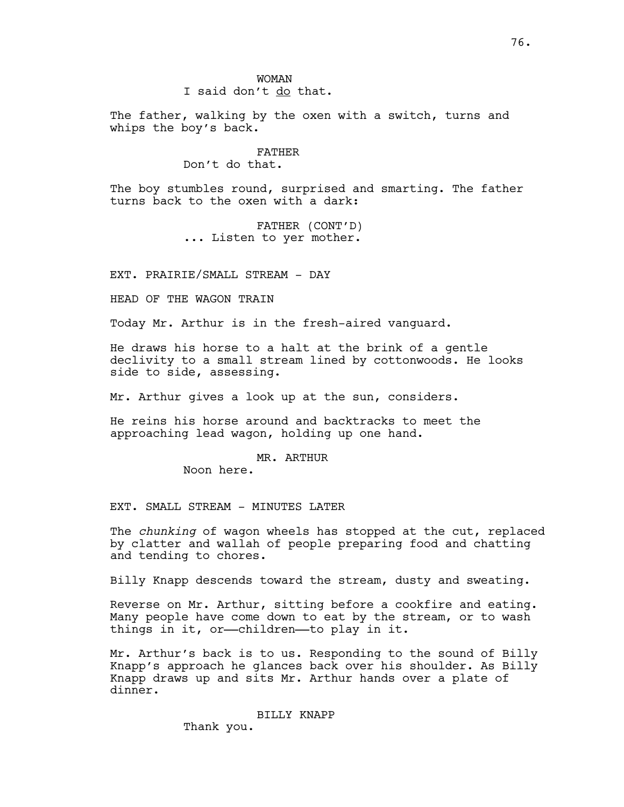WOMAN I said don't do that.

The father, walking by the oxen with a switch, turns and whips the boy's back.

# FATHER

Don't do that.

The boy stumbles round, surprised and smarting. The father turns back to the oxen with a dark:

> FATHER (CONT'D) ... Listen to yer mother.

EXT. PRAIRIE/SMALL STREAM - DAY

HEAD OF THE WAGON TRAIN

Today Mr. Arthur is in the fresh-aired vanguard.

He draws his horse to a halt at the brink of a gentle declivity to a small stream lined by cottonwoods. He looks side to side, assessing.

Mr. Arthur gives a look up at the sun, considers.

He reins his horse around and backtracks to meet the approaching lead wagon, holding up one hand.

### MR. ARTHUR

Noon here.

### EXT. SMALL STREAM - MINUTES LATER

The *chunking* of wagon wheels has stopped at the cut, replaced by clatter and wallah of people preparing food and chatting and tending to chores.

Billy Knapp descends toward the stream, dusty and sweating.

Reverse on Mr. Arthur, sitting before a cookfire and eating. Many people have come down to eat by the stream, or to wash things in it, or—children—to play in it.

Mr. Arthur's back is to us. Responding to the sound of Billy Knapp's approach he glances back over his shoulder. As Billy Knapp draws up and sits Mr. Arthur hands over a plate of dinner.

#### BILLY KNAPP

Thank you.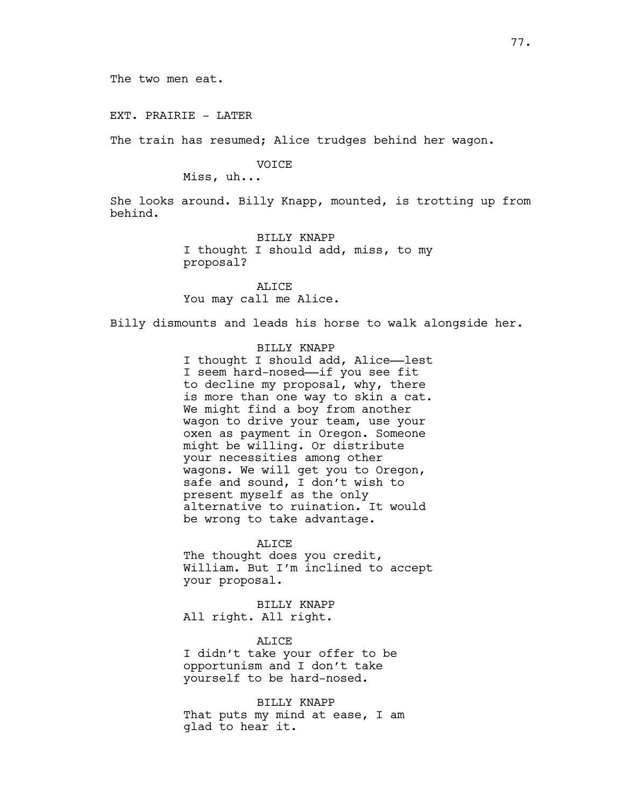EXT. PRAIRIE - LATER

The train has resumed; Alice trudges behind her wagon.

# VOICE

Miss, uh...

She looks around. Billy Knapp, mounted, is trotting up from behind.

> BILLY KNAPP I thought I should add, miss, to my proposal?

ALICE You may call me Alice.

Billy dismounts and leads his horse to walk alongside her.

# BILLY KNAPP

I thought I should add, Alice-lest I seem hard-nosed--if you see fit to decline my proposal, why, there is more than one way to skin a cat. We might find a boy from another wagon to drive your team, use your oxen as payment in Oregon. Someone might be willing. Or distribute your necessities among other wagons. We will get you to Oregon, safe and sound, I don't wish to present myself as the only alternative to ruination. It would be wrong to take advantage.

### ALICE

The thought does you credit, William. But I'm inclined to accept your proposal.

BILLY KNAPP All right. All right.

**ALICE** I didn't take your offer to be opportunism and I don't take yourself to be hard-nosed.

BILLY KNAPP That puts my mind at ease, I am glad to hear it.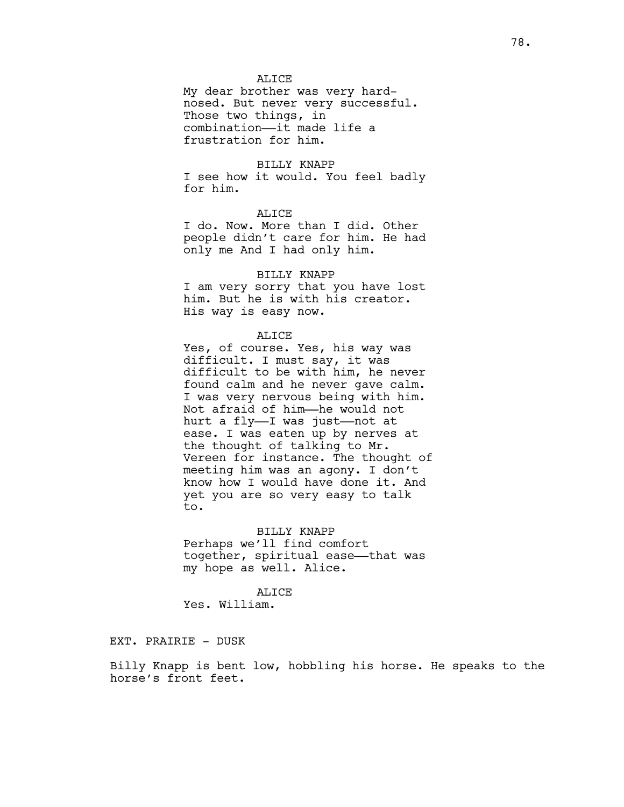# ALICE

My dear brother was very hardnosed. But never very successful. Those two things, in combination——it made life a frustration for him.

#### BILLY KNAPP

I see how it would. You feel badly for him.

### **ALICE**

I do. Now. More than I did. Other people didn't care for him. He had only me And I had only him.

### BILLY KNAPP

I am very sorry that you have lost him. But he is with his creator. His way is easy now.

#### ALICE

Yes, of course. Yes, his way was difficult. I must say, it was difficult to be with him, he never found calm and he never gave calm. I was very nervous being with him. Not afraid of him——he would not hurt a fly-I was just-not at ease. I was eaten up by nerves at the thought of talking to Mr. Vereen for instance. The thought of meeting him was an agony. I don't know how I would have done it. And yet you are so very easy to talk to.

### BILLY KNAPP

Perhaps we'll find comfort together, spiritual ease—that was my hope as well. Alice.

#### ALICE

Yes. William.

EXT. PRAIRIE - DUSK

Billy Knapp is bent low, hobbling his horse. He speaks to the horse's front feet.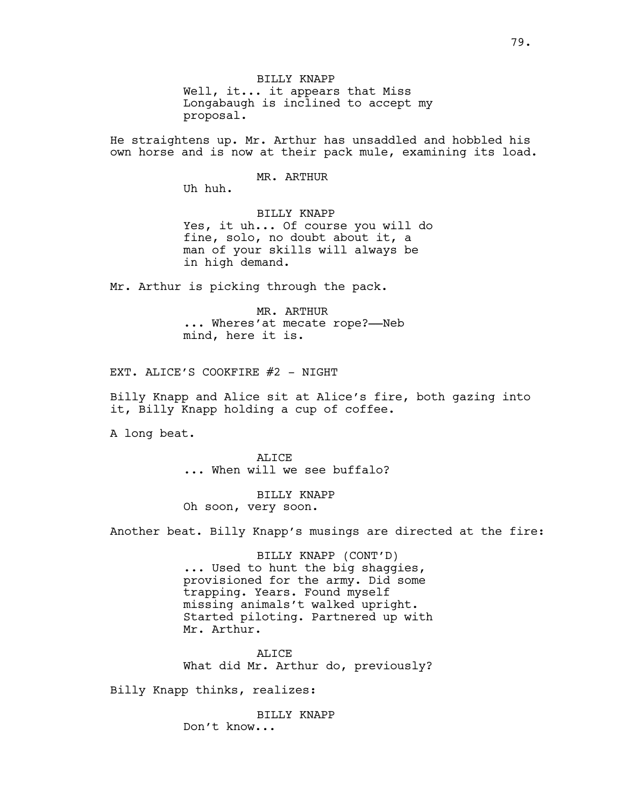BILLY KNAPP Well, it... it appears that Miss Longabaugh is inclined to accept my proposal.

He straightens up. Mr. Arthur has unsaddled and hobbled his own horse and is now at their pack mule, examining its load.

# MR. ARTHUR

Uh huh.

BILLY KNAPP Yes, it uh... Of course you will do fine, solo, no doubt about it, a man of your skills will always be in high demand.

Mr. Arthur is picking through the pack.

MR. ARTHUR ... Wheres'at mecate rope?-Neb mind, here it is.

EXT. ALICE'S COOKFIRE  $#2$  - NIGHT

Billy Knapp and Alice sit at Alice's fire, both gazing into it, Billy Knapp holding a cup of coffee.

A long beat.

**ALICE** ... When will we see buffalo?

BILLY KNAPP Oh soon, very soon.

Another beat. Billy Knapp's musings are directed at the fire:

BILLY KNAPP (CONT'D) ... Used to hunt the big shaggies, provisioned for the army. Did some trapping. Years. Found myself missing animals't walked upright. Started piloting. Partnered up with Mr. Arthur.

ALICE What did Mr. Arthur do, previously?

Billy Knapp thinks, realizes:

BILLY KNAPP Don't know...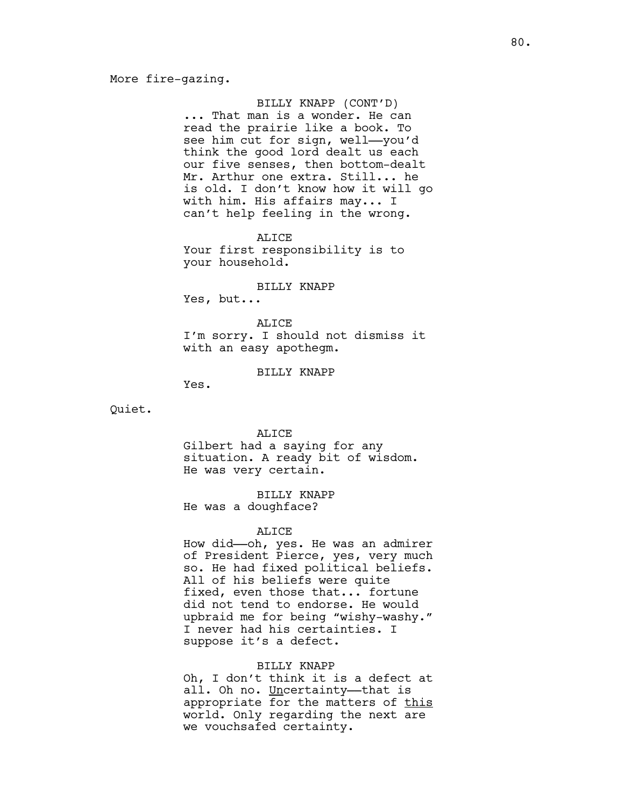# More fire-gazing.

#### BILLY KNAPP (CONT'D)

... That man is a wonder. He can read the prairie like a book. To see him cut for sign, well--you'd think the good lord dealt us each our five senses, then bottom-dealt Mr. Arthur one extra. Still... he is old. I don't know how it will go with him. His affairs may... I can't help feeling in the wrong.

ALICE Your first responsibility is to your household.

#### BILLY KNAPP

Yes, but...

ALICE I'm sorry. I should not dismiss it with an easy apothegm.

### BILLY KNAPP

Yes.

Quiet.

#### ALICE

Gilbert had a saying for any situation. A ready bit of wisdom. He was very certain.

BILLY KNAPP He was a doughface?

### ALICE

How did——oh, yes. He was an admirer of President Pierce, yes, very much so. He had fixed political beliefs. All of his beliefs were quite fixed, even those that... fortune did not tend to endorse. He would upbraid me for being "wishy-washy." I never had his certainties. I suppose it's a defect.

# BILLY KNAPP

Oh, I don't think it is a defect at all. Oh no. Uncertainty-that is appropriate for the matters of this world. Only regarding the next are we vouchsafed certainty.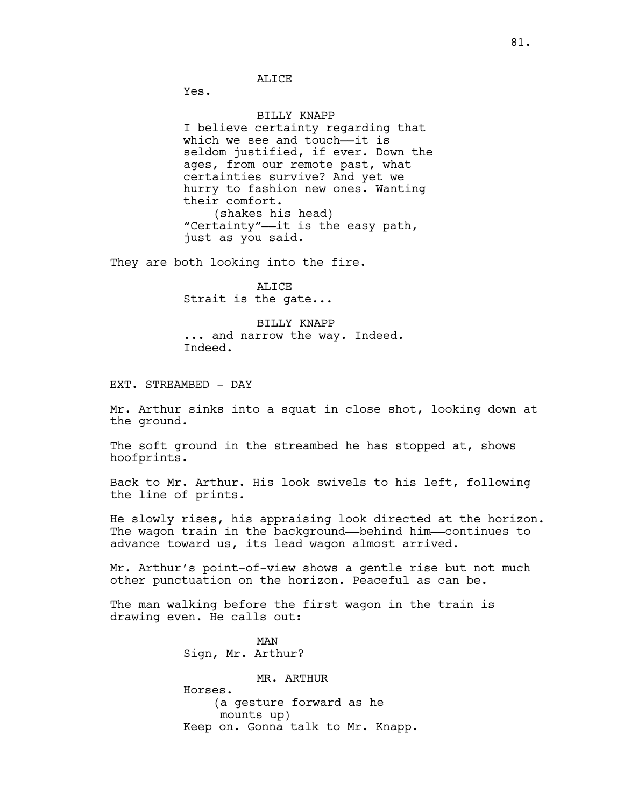Yes.

#### BILLY KNAPP

I believe certainty regarding that which we see and touch--it is seldom justified, if ever. Down the ages, from our remote past, what certainties survive? And yet we hurry to fashion new ones. Wanting their comfort. (shakes his head) "Certainty"——it is the easy path, just as you said.

They are both looking into the fire.

ALICE Strait is the gate...

BILLY KNAPP ... and narrow the way. Indeed. Indeed.

EXT. STREAMBED - DAY

Mr. Arthur sinks into a squat in close shot, looking down at the ground.

The soft ground in the streambed he has stopped at, shows hoofprints.

Back to Mr. Arthur. His look swivels to his left, following the line of prints.

He slowly rises, his appraising look directed at the horizon. The wagon train in the background—behind him—continues to advance toward us, its lead wagon almost arrived.

Mr. Arthur's point-of-view shows a gentle rise but not much other punctuation on the horizon. Peaceful as can be.

The man walking before the first wagon in the train is drawing even. He calls out:

> MAN Sign, Mr. Arthur?

MR. ARTHUR Horses. (a gesture forward as he mounts up) Keep on. Gonna talk to Mr. Knapp.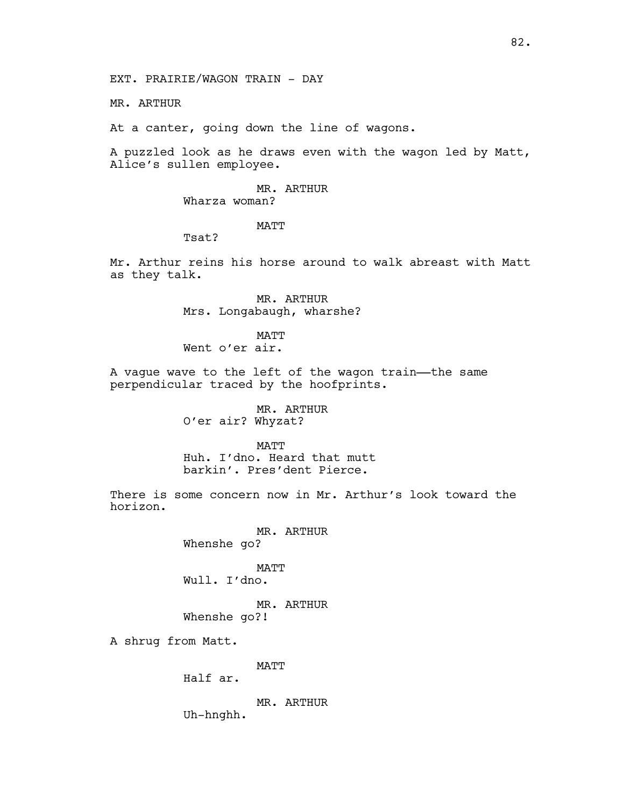MR. ARTHUR

At a canter, going down the line of wagons.

A puzzled look as he draws even with the wagon led by Matt, Alice's sullen employee.

### MR. ARTHUR Wharza woman?

# MATT

Tsat?

Mr. Arthur reins his horse around to walk abreast with Matt as they talk.

> MR. ARTHUR Mrs. Longabaugh, wharshe?

MATT Went o'er air.

A vague wave to the left of the wagon train——the same perpendicular traced by the hoofprints.

> MR. ARTHUR O'er air? Whyzat?

MATT Huh. I'dno. Heard that mutt barkin'. Pres'dent Pierce.

There is some concern now in Mr. Arthur's look toward the horizon.

> MR. ARTHUR Whenshe go?

MATT

Wull. I'dno.

MR. ARTHUR Whenshe go?!

A shrug from Matt.

MATT

Half ar.

MR. ARTHUR

Uh-hnghh.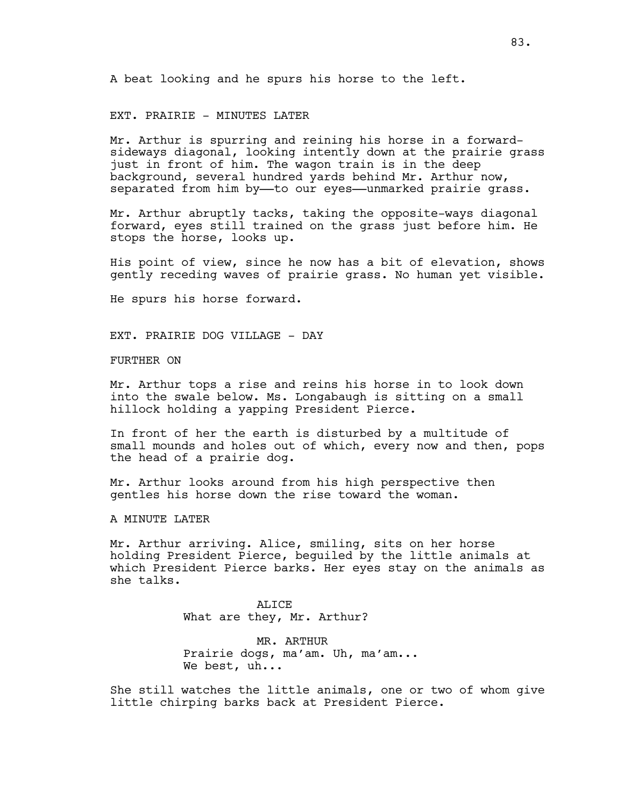#### EXT. PRAIRIE - MINUTES LATER

Mr. Arthur is spurring and reining his horse in a forwardsideways diagonal, looking intently down at the prairie grass just in front of him. The wagon train is in the deep background, several hundred yards behind Mr. Arthur now, separated from him by—to our eyes—unmarked prairie grass.

Mr. Arthur abruptly tacks, taking the opposite-ways diagonal forward, eyes still trained on the grass just before him. He stops the horse, looks up.

His point of view, since he now has a bit of elevation, shows gently receding waves of prairie grass. No human yet visible.

He spurs his horse forward.

EXT. PRAIRIE DOG VILLAGE - DAY

FURTHER ON

Mr. Arthur tops a rise and reins his horse in to look down into the swale below. Ms. Longabaugh is sitting on a small hillock holding a yapping President Pierce.

In front of her the earth is disturbed by a multitude of small mounds and holes out of which, every now and then, pops the head of a prairie dog.

Mr. Arthur looks around from his high perspective then gentles his horse down the rise toward the woman.

A MINUTE LATER

Mr. Arthur arriving. Alice, smiling, sits on her horse holding President Pierce, beguiled by the little animals at which President Pierce barks. Her eyes stay on the animals as she talks.

> ALICE What are they, Mr. Arthur?

MR. ARTHUR Prairie dogs, ma'am. Uh, ma'am... We best, uh...

She still watches the little animals, one or two of whom give little chirping barks back at President Pierce.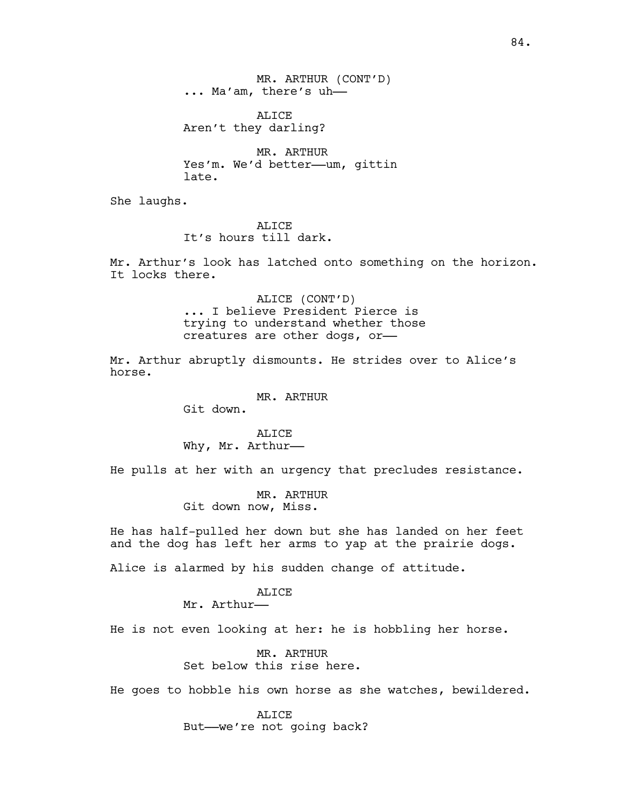MR. ARTHUR (CONT'D) ... Ma'am, there's uh——

ALICE Aren't they darling?

MR. ARTHUR Yes'm. We'd better---um, qittin late.

She laughs.

ALICE It's hours till dark.

Mr. Arthur's look has latched onto something on the horizon. It locks there.

> ALICE (CONT'D) ... I believe President Pierce is trying to understand whether those creatures are other dogs, or——

Mr. Arthur abruptly dismounts. He strides over to Alice's horse.

MR. ARTHUR

Git down.

ALICE Why, Mr. Arthur——

He pulls at her with an urgency that precludes resistance.

MR. ARTHUR Git down now, Miss.

He has half-pulled her down but she has landed on her feet and the dog has left her arms to yap at the prairie dogs.

Alice is alarmed by his sudden change of attitude.

# **ALICE**

Mr. Arthur——

He is not even looking at her: he is hobbling her horse.

MR. ARTHUR Set below this rise here.

He goes to hobble his own horse as she watches, bewildered.

ALICE But——we're not going back?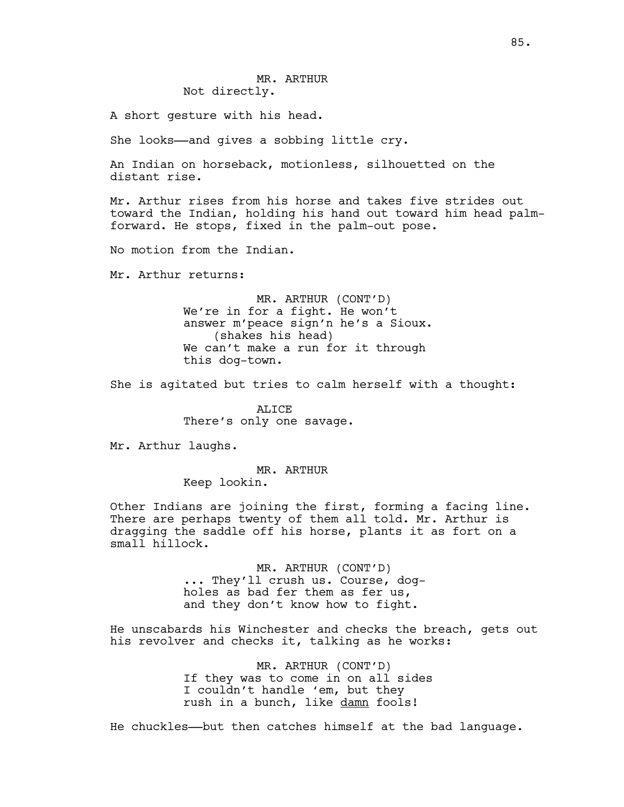A short gesture with his head.

She looks——and gives a sobbing little cry.

An Indian on horseback, motionless, silhouetted on the distant rise.

Mr. Arthur rises from his horse and takes five strides out toward the Indian, holding his hand out toward him head palmforward. He stops, fixed in the palm-out pose.

No motion from the Indian.

Mr. Arthur returns:

MR. ARTHUR (CONT'D) We're in for a fight. He won't answer m'peace sign'n he's a Sioux. (shakes his head) We can't make a run for it through this dog-town.

She is agitated but tries to calm herself with a thought:

ALICE There's only one savage.

Mr. Arthur laughs.

MR. ARTHUR

Keep lookin.

Other Indians are joining the first, forming a facing line. There are perhaps twenty of them all told. Mr. Arthur is dragging the saddle off his horse, plants it as fort on a small hillock.

> MR. ARTHUR (CONT'D) ... They'll crush us. Course, dogholes as bad fer them as fer us, and they don't know how to fight.

He unscabards his Winchester and checks the breach, gets out his revolver and checks it, talking as he works:

> MR. ARTHUR (CONT'D) If they was to come in on all sides I couldn't handle 'em, but they rush in a bunch, like damn fools!

He chuckles——but then catches himself at the bad language.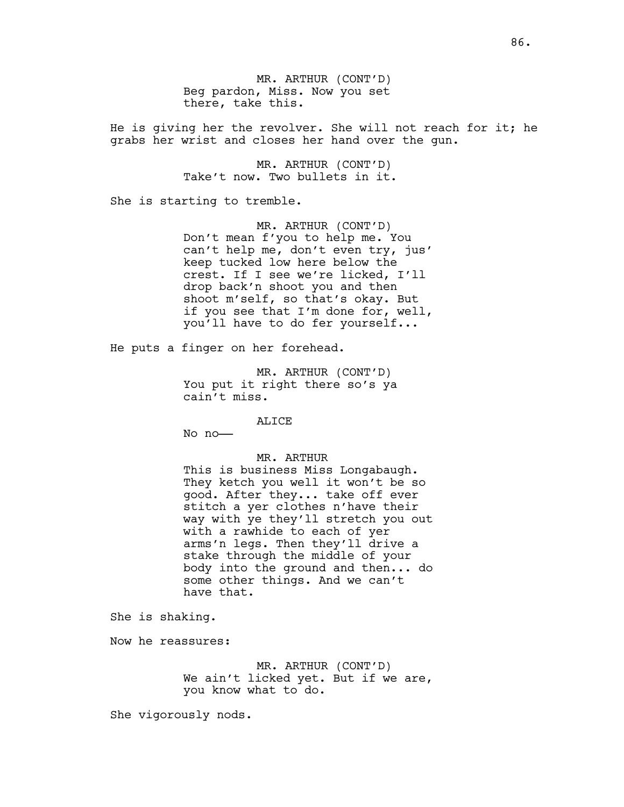MR. ARTHUR (CONT'D) Beg pardon, Miss. Now you set there, take this.

He is giving her the revolver. She will not reach for it; he grabs her wrist and closes her hand over the gun.

> MR. ARTHUR (CONT'D) Take't now. Two bullets in it.

She is starting to tremble.

MR. ARTHUR (CONT'D) Don't mean f'you to help me. You can't help me, don't even try, jus' keep tucked low here below the crest. If I see we're licked, I'll drop back'n shoot you and then shoot m'self, so that's okay. But if you see that I'm done for, well, you'll have to do fer yourself...

He puts a finger on her forehead.

MR. ARTHUR (CONT'D) You put it right there so's ya cain't miss.

ALICE

No no——

MR. ARTHUR

This is business Miss Longabaugh. They ketch you well it won't be so good. After they... take off ever stitch a yer clothes n'have their way with ye they'll stretch you out with a rawhide to each of yer arms'n legs. Then they'll drive a stake through the middle of your body into the ground and then... do some other things. And we can't have that.

She is shaking.

Now he reassures:

MR. ARTHUR (CONT'D) We ain't licked yet. But if we are, you know what to do.

She vigorously nods.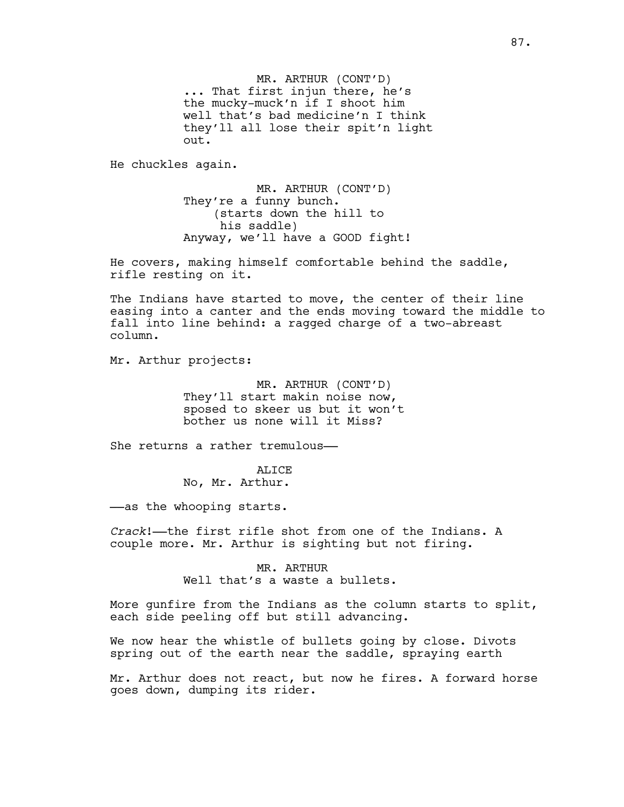MR. ARTHUR (CONT'D) ... That first injun there, he's the mucky-muck'n if I shoot him well that's bad medicine'n I think they'll all lose their spit'n light out.

He chuckles again.

MR. ARTHUR (CONT'D) They're a funny bunch. (starts down the hill to his saddle) Anyway, we'll have a GOOD fight!

He covers, making himself comfortable behind the saddle, rifle resting on it.

The Indians have started to move, the center of their line easing into a canter and the ends moving toward the middle to fall into line behind: a ragged charge of a two-abreast column.

Mr. Arthur projects:

MR. ARTHUR (CONT'D) They'll start makin noise now, sposed to skeer us but it won't bother us none will it Miss?

She returns a rather tremulous——

ALICE No, Mr. Arthur.

——as the whooping starts.

*Crack*!——the first rifle shot from one of the Indians. A couple more. Mr. Arthur is sighting but not firing.

> MR. ARTHUR Well that's a waste a bullets.

More gunfire from the Indians as the column starts to split, each side peeling off but still advancing.

We now hear the whistle of bullets going by close. Divots spring out of the earth near the saddle, spraying earth

Mr. Arthur does not react, but now he fires. A forward horse goes down, dumping its rider.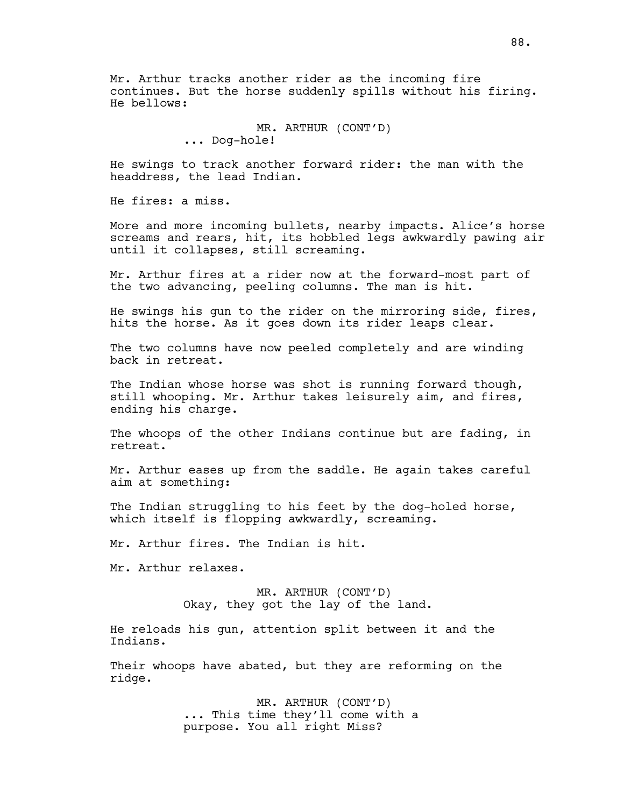Mr. Arthur tracks another rider as the incoming fire continues. But the horse suddenly spills without his firing. He bellows:

> MR. ARTHUR (CONT'D) ... Dog-hole!

He swings to track another forward rider: the man with the headdress, the lead Indian.

He fires: a miss.

More and more incoming bullets, nearby impacts. Alice's horse screams and rears, hit, its hobbled legs awkwardly pawing air until it collapses, still screaming.

Mr. Arthur fires at a rider now at the forward-most part of the two advancing, peeling columns. The man is hit.

He swings his gun to the rider on the mirroring side, fires, hits the horse. As it goes down its rider leaps clear.

The two columns have now peeled completely and are winding back in retreat.

The Indian whose horse was shot is running forward though, still whooping. Mr. Arthur takes leisurely aim, and fires, ending his charge.

The whoops of the other Indians continue but are fading, in retreat.

Mr. Arthur eases up from the saddle. He again takes careful aim at something:

The Indian struggling to his feet by the dog-holed horse, which itself is flopping awkwardly, screaming.

Mr. Arthur fires. The Indian is hit.

Mr. Arthur relaxes.

MR. ARTHUR (CONT'D) Okay, they got the lay of the land.

He reloads his gun, attention split between it and the Indians.

Their whoops have abated, but they are reforming on the ridge.

> MR. ARTHUR (CONT'D) ... This time they'll come with a purpose. You all right Miss?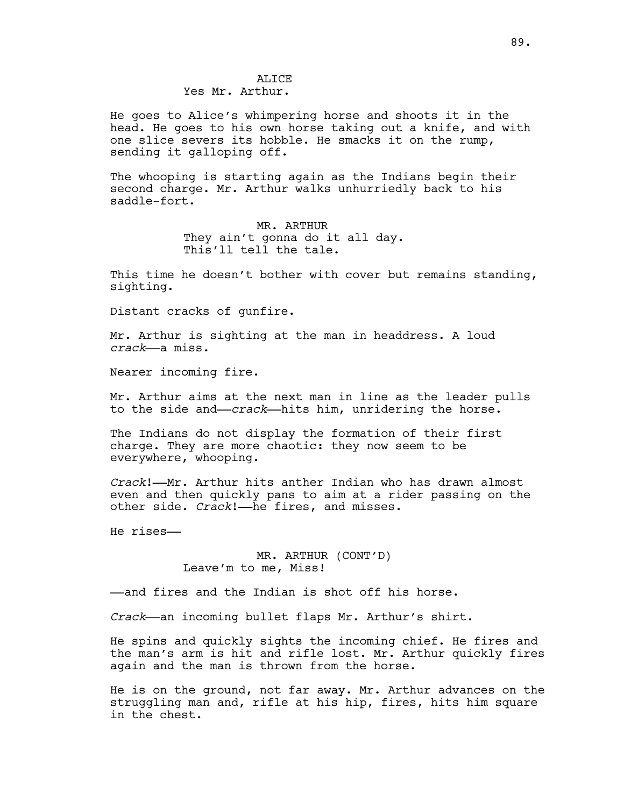# Yes Mr. Arthur.

He goes to Alice's whimpering horse and shoots it in the head. He goes to his own horse taking out a knife, and with one slice severs its hobble. He smacks it on the rump, sending it galloping off.

The whooping is starting again as the Indians begin their second charge. Mr. Arthur walks unhurriedly back to his saddle-fort.

> MR. ARTHUR They ain't gonna do it all day. This'll tell the tale.

This time he doesn't bother with cover but remains standing, sighting.

Distant cracks of gunfire.

Mr. Arthur is sighting at the man in headdress. A loud *crack*——a miss.

Nearer incoming fire.

Mr. Arthur aims at the next man in line as the leader pulls to the side and—*crack*—hits him, unridering the horse.

The Indians do not display the formation of their first charge. They are more chaotic: they now seem to be everywhere, whooping.

*Crack*!——Mr. Arthur hits anther Indian who has drawn almost even and then quickly pans to aim at a rider passing on the other side. *Crack*!-he fires, and misses.

He rises——

MR. ARTHUR (CONT'D) Leave'm to me, Miss!

——and fires and the Indian is shot off his horse.

*Crack*——an incoming bullet flaps Mr. Arthur's shirt.

He spins and quickly sights the incoming chief. He fires and the man's arm is hit and rifle lost. Mr. Arthur quickly fires again and the man is thrown from the horse.

He is on the ground, not far away. Mr. Arthur advances on the struggling man and, rifle at his hip, fires, hits him square in the chest.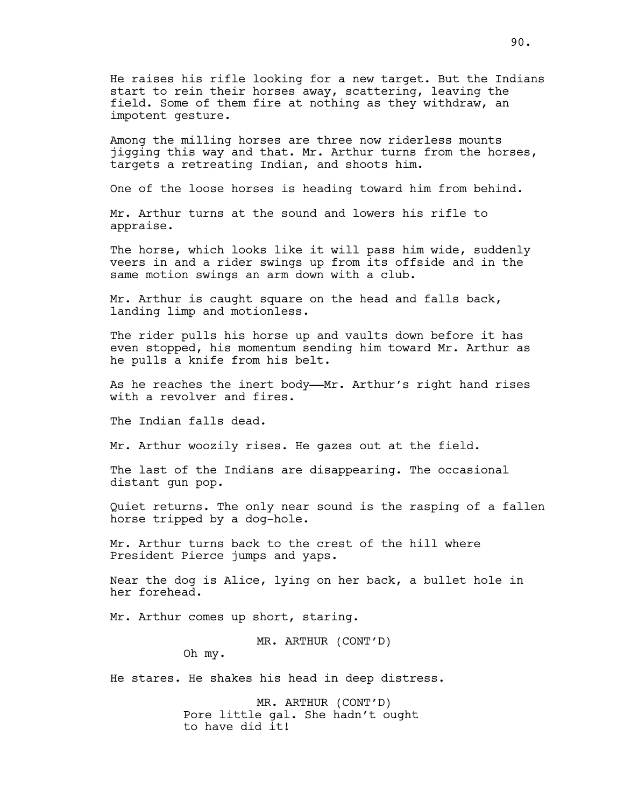He raises his rifle looking for a new target. But the Indians start to rein their horses away, scattering, leaving the field. Some of them fire at nothing as they withdraw, an impotent gesture.

Among the milling horses are three now riderless mounts jigging this way and that. Mr. Arthur turns from the horses, targets a retreating Indian, and shoots him.

One of the loose horses is heading toward him from behind.

Mr. Arthur turns at the sound and lowers his rifle to appraise.

The horse, which looks like it will pass him wide, suddenly veers in and a rider swings up from its offside and in the same motion swings an arm down with a club.

Mr. Arthur is caught square on the head and falls back, landing limp and motionless.

The rider pulls his horse up and vaults down before it has even stopped, his momentum sending him toward Mr. Arthur as he pulls a knife from his belt.

As he reaches the inert body—Mr. Arthur's right hand rises with a revolver and fires.

The Indian falls dead.

Mr. Arthur woozily rises. He gazes out at the field.

The last of the Indians are disappearing. The occasional distant gun pop.

Quiet returns. The only near sound is the rasping of a fallen horse tripped by a dog-hole.

Mr. Arthur turns back to the crest of the hill where President Pierce jumps and yaps.

Near the dog is Alice, lying on her back, a bullet hole in her forehead.

Mr. Arthur comes up short, staring.

MR. ARTHUR (CONT'D)

Oh my.

He stares. He shakes his head in deep distress.

MR. ARTHUR (CONT'D) Pore little gal. She hadn't ought to have did it!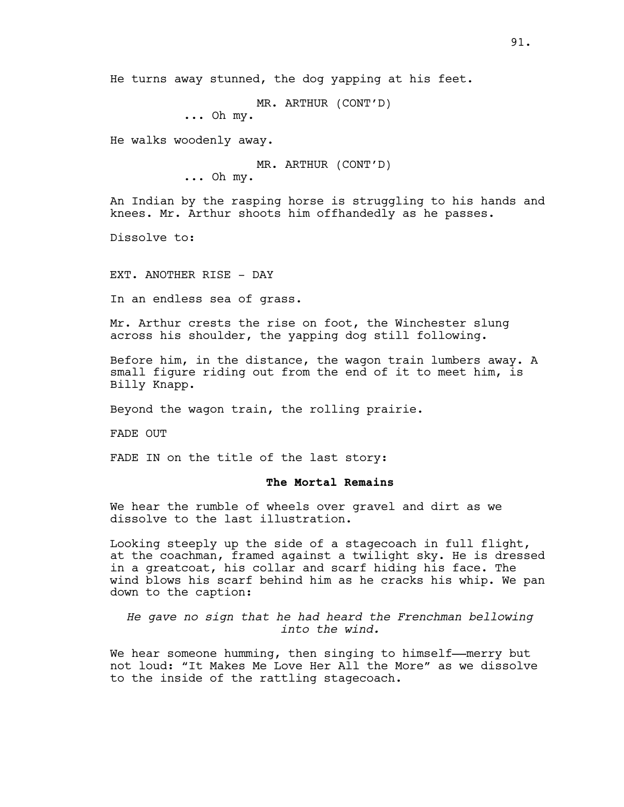MR. ARTHUR (CONT'D)

 $\ldots$  Oh my.

He walks woodenly away.

MR. ARTHUR (CONT'D)

... Oh my.

An Indian by the rasping horse is struggling to his hands and knees. Mr. Arthur shoots him offhandedly as he passes.

Dissolve to:

EXT. ANOTHER RISE - DAY

In an endless sea of grass.

Mr. Arthur crests the rise on foot, the Winchester slung across his shoulder, the yapping dog still following.

Before him, in the distance, the wagon train lumbers away. A small figure riding out from the end of it to meet him, is Billy Knapp.

Beyond the wagon train, the rolling prairie.

FADE OUT

FADE IN on the title of the last story:

# **The Mortal Remains**

We hear the rumble of wheels over gravel and dirt as we dissolve to the last illustration.

Looking steeply up the side of a stagecoach in full flight, at the coachman, framed against a twilight sky. He is dressed in a greatcoat, his collar and scarf hiding his face. The wind blows his scarf behind him as he cracks his whip. We pan down to the caption:

*He gave no sign that he had heard the Frenchman bellowing into the wind.*

We hear someone humming, then singing to himself——merry but not loud: "It Makes Me Love Her All the More" as we dissolve to the inside of the rattling stagecoach.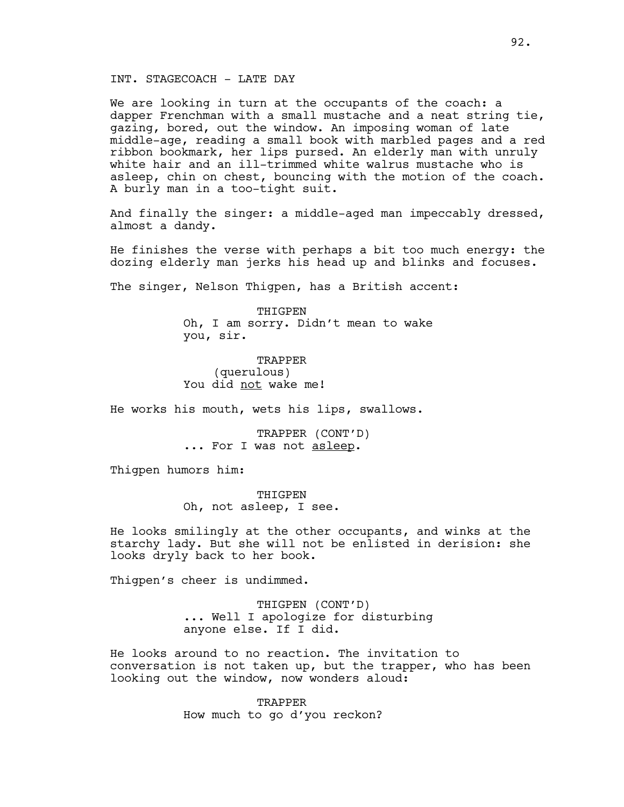INT. STAGECOACH - LATE DAY

We are looking in turn at the occupants of the coach: a dapper Frenchman with a small mustache and a neat string tie, gazing, bored, out the window. An imposing woman of late middle-age, reading a small book with marbled pages and a red ribbon bookmark, her lips pursed. An elderly man with unruly white hair and an ill-trimmed white walrus mustache who is asleep, chin on chest, bouncing with the motion of the coach. A burly man in a too-tight suit.

And finally the singer: a middle-aged man impeccably dressed, almost a dandy.

He finishes the verse with perhaps a bit too much energy: the dozing elderly man jerks his head up and blinks and focuses.

The singer, Nelson Thigpen, has a British accent:

THIGPEN Oh, I am sorry. Didn't mean to wake you, sir.

TRAPPER (querulous) You did not wake me!

He works his mouth, wets his lips, swallows.

TRAPPER (CONT'D) ... For I was not asleep.

Thigpen humors him:

THIGPEN Oh, not asleep, I see.

He looks smilingly at the other occupants, and winks at the starchy lady. But she will not be enlisted in derision: she looks dryly back to her book.

Thigpen's cheer is undimmed.

THIGPEN (CONT'D) ... Well I apologize for disturbing anyone else. If I did.

He looks around to no reaction. The invitation to conversation is not taken up, but the trapper, who has been looking out the window, now wonders aloud:

> TRAPPER How much to go d'you reckon?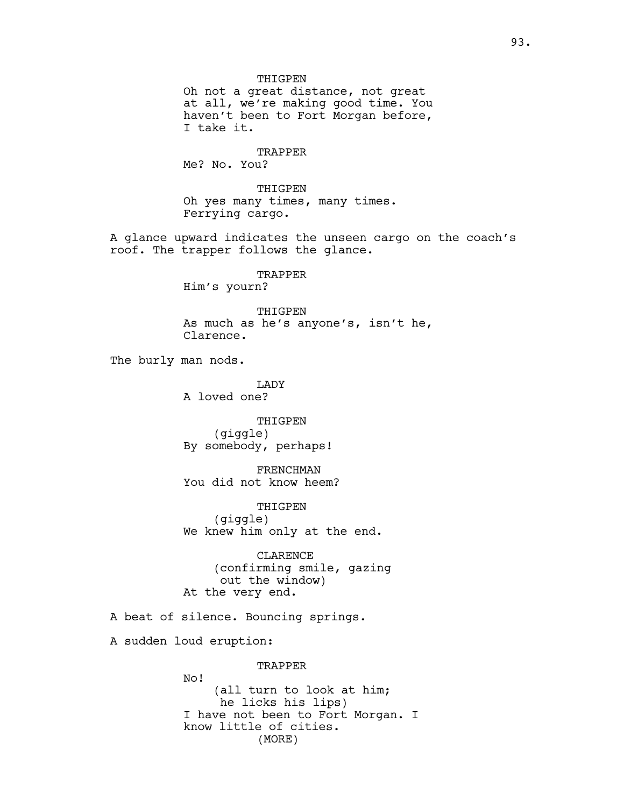THIGPEN Oh not a great distance, not great at all, we're making good time. You haven't been to Fort Morgan before, I take it. TRAPPER Me? No. You? THIGPEN Oh yes many times, many times. Ferrying cargo. A glance upward indicates the unseen cargo on the coach's roof. The trapper follows the glance. TRAPPER Him's yourn? THIGPEN As much as he's anyone's, isn't he, Clarence. The burly man nods. LADY A loved one? THIGPEN (giggle) By somebody, perhaps! FRENCHMAN You did not know heem? THIGPEN (giggle) We knew him only at the end. CLARENCE (confirming smile, gazing out the window) At the very end. A beat of silence. Bouncing springs. A sudden loud eruption: TRAPPER No! (all turn to look at him; he licks his lips) I have not been to Fort Morgan. I know little of cities. (MORE)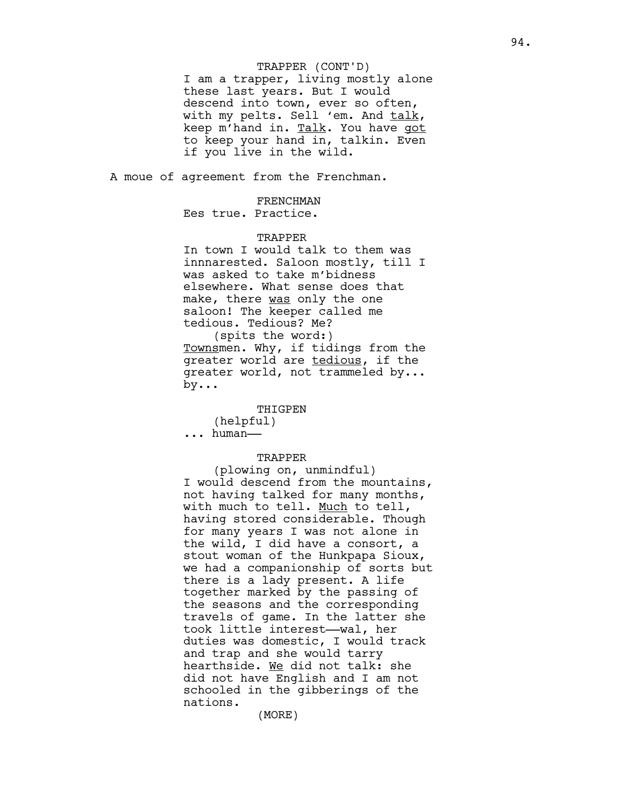#### TRAPPER (CONT'D)

I am a trapper, living mostly alone these last years. But I would descend into town, ever so often, with my pelts. Sell 'em. And talk, keep m'hand in. Talk. You have got to keep your hand in, talkin. Even if you live in the wild.

A moue of agreement from the Frenchman.

#### FRENCHMAN

Ees true. Practice.

#### TRAPPER

In town I would talk to them was innnarested. Saloon mostly, till I was asked to take m'bidness elsewhere. What sense does that make, there was only the one saloon! The keeper called me tedious. Tedious? Me? (spits the word:)

Townsmen. Why, if tidings from the greater world are tedious, if the greater world, not trammeled by... by...

#### THIGPEN

(helpful) ... human——

### TRAPPER

(plowing on, unmindful) I would descend from the mountains, not having talked for many months, with much to tell. Much to tell, having stored considerable. Though for many years I was not alone in the wild, I did have a consort, a stout woman of the Hunkpapa Sioux, we had a companionship of sorts but there is a lady present. A life together marked by the passing of the seasons and the corresponding travels of game. In the latter she took little interest——wal, her duties was domestic, I would track and trap and she would tarry hearthside. We did not talk: she did not have English and I am not schooled in the gibberings of the nations.

(MORE)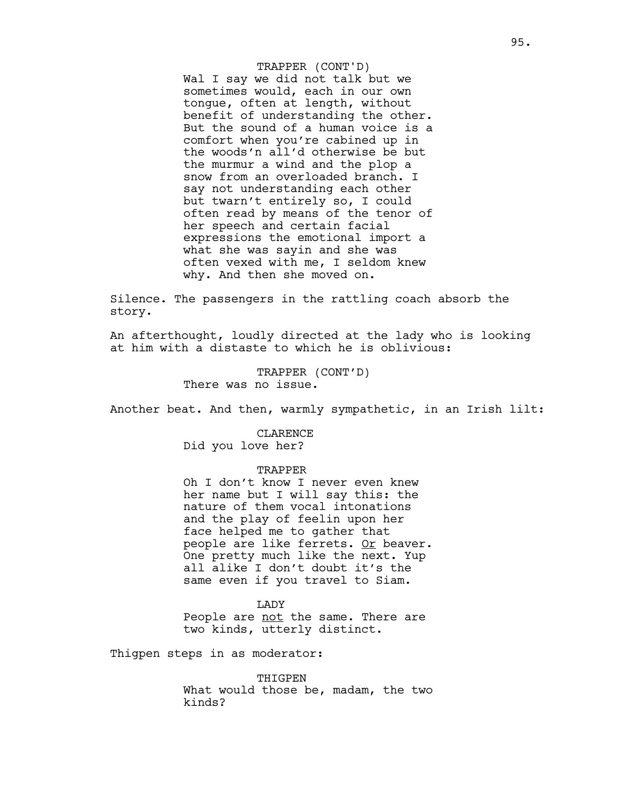Wal I say we did not talk but we sometimes would, each in our own tongue, often at length, without benefit of understanding the other. But the sound of a human voice is a comfort when you're cabined up in the woods'n all'd otherwise be but the murmur a wind and the plop a snow from an overloaded branch. I say not understanding each other but twarn't entirely so, I could often read by means of the tenor of her speech and certain facial expressions the emotional import a what she was sayin and she was often vexed with me, I seldom knew why. And then she moved on. TRAPPER (CONT'D)

Silence. The passengers in the rattling coach absorb the story.

An afterthought, loudly directed at the lady who is looking at him with a distaste to which he is oblivious:

> TRAPPER (CONT'D) There was no issue.

Another beat. And then, warmly sympathetic, in an Irish lilt:

**CLARENCE** Did you love her?

#### TRAPPER

Oh I don't know I never even knew her name but I will say this: the nature of them vocal intonations and the play of feelin upon her face helped me to gather that people are like ferrets. Or beaver. One pretty much like the next. Yup all alike I don't doubt it's the same even if you travel to Siam.

LADY

People are not the same. There are two kinds, utterly distinct.

Thigpen steps in as moderator:

THIGPEN What would those be, madam, the two kinds?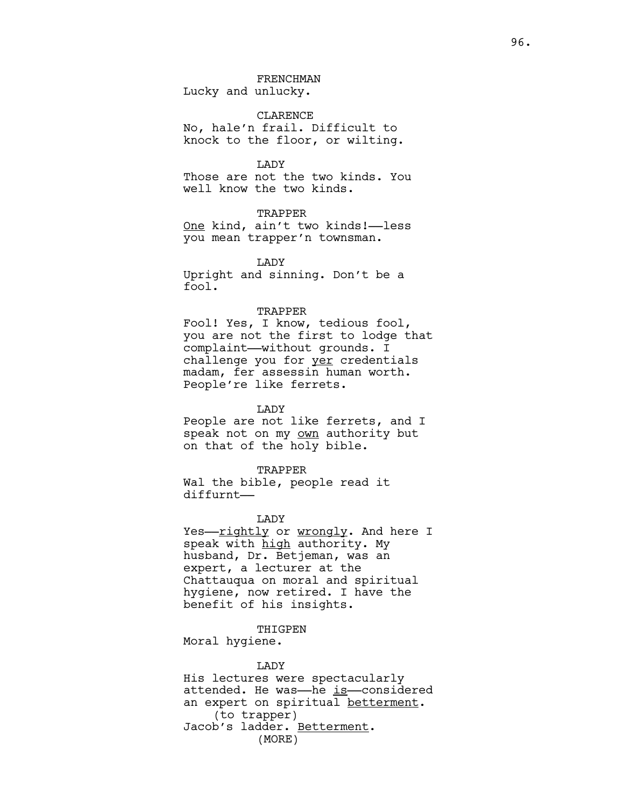CLARENCE No, hale'n frail. Difficult to knock to the floor, or wilting.

### LADY

Those are not the two kinds. You well know the two kinds.

# TRAPPER

One kind, ain't two kinds!-less you mean trapper'n townsman.

**T.ADY** 

Upright and sinning. Don't be a fool.

#### TRAPPER

Fool! Yes, I know, tedious fool, you are not the first to lodge that complaint——without grounds. I challenge you for yer credentials madam, fer assessin human worth. People're like ferrets.

### LADY

People are not like ferrets, and I speak not on my own authority but on that of the holy bible.

#### TRAPPER

Wal the bible, people read it diffurnt——

#### LADY

Yes-<u>rightly</u> or wrongly. And here I speak with high authority. My husband, Dr. Betjeman, was an expert, a lecturer at the Chattauqua on moral and spiritual hygiene, now retired. I have the benefit of his insights.

#### THIGPEN

Moral hygiene.

# LADY

His lectures were spectacularly attended. He was——he is——considered an expert on spiritual betterment. (to trapper) Jacob's ladder. Betterment. (MORE)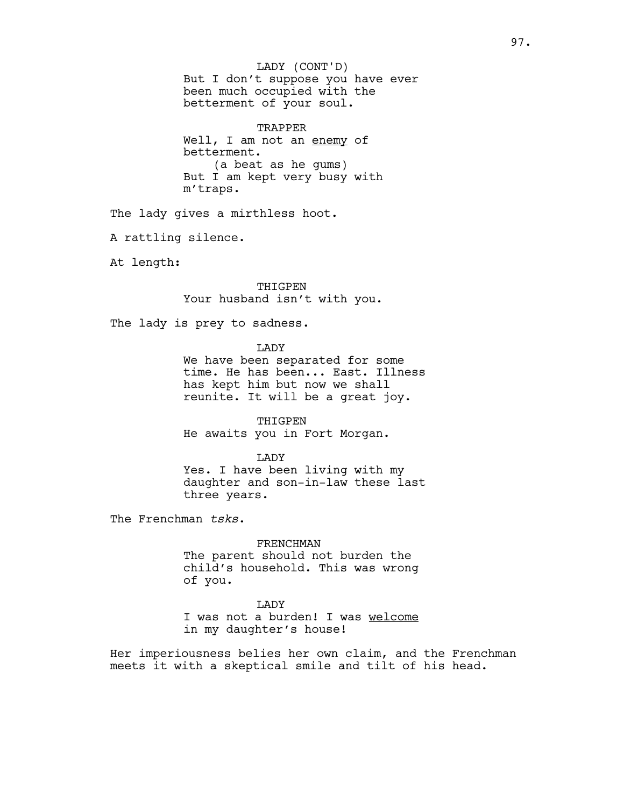But I don't suppose you have ever been much occupied with the betterment of your soul. TRAPPER Well, I am not an enemy of betterment. (a beat as he gums) But I am kept very busy with m'traps. The lady gives a mirthless hoot. A rattling silence. At length: LADY (CONT'D)

> THIGPEN Your husband isn't with you.

The lady is prey to sadness.

LADY

We have been separated for some time. He has been... East. Illness has kept him but now we shall reunite. It will be a great joy.

THIGPEN He awaits you in Fort Morgan.

**T.ADY** Yes. I have been living with my daughter and son-in-law these last three years.

The Frenchman *tsks*.

FRENCHMAN The parent should not burden the child's household. This was wrong of you.

LADY I was not a burden! I was welcome in my daughter's house!

Her imperiousness belies her own claim, and the Frenchman meets it with a skeptical smile and tilt of his head.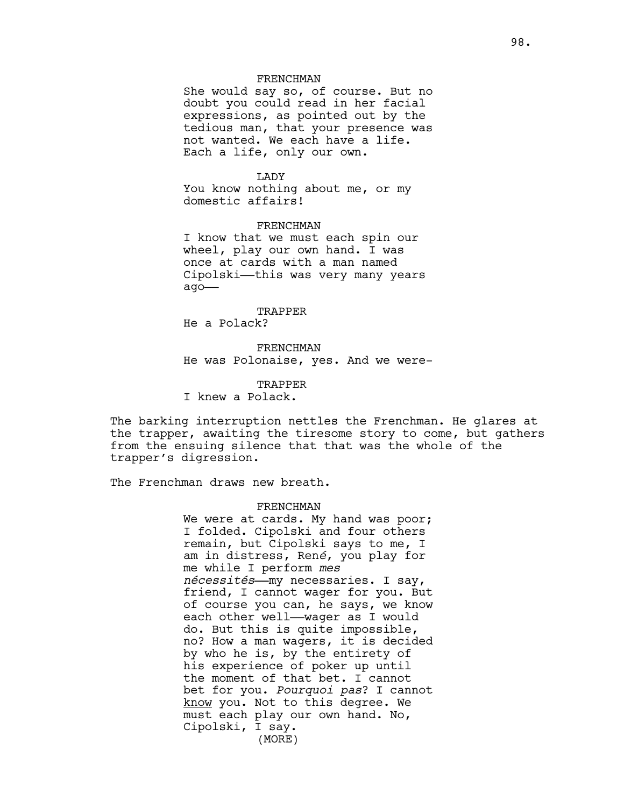### FRENCHMAN

She would say so, of course. But no doubt you could read in her facial expressions, as pointed out by the tedious man, that your presence was not wanted. We each have a life. Each a life, only our own.

#### LADY

You know nothing about me, or my domestic affairs!

FRENCHMAN I know that we must each spin our wheel, play our own hand. I was once at cards with a man named Cipolski—this was very many years ago——

#### TRAPPER

He a Polack?

FRENCHMAN He was Polonaise, yes. And we were-

TRAPPER

I knew a Polack.

The barking interruption nettles the Frenchman. He glares at the trapper, awaiting the tiresome story to come, but gathers from the ensuing silence that that was the whole of the trapper's digression.

The Frenchman draws new breath.

#### FRENCHMAN

We were at cards. My hand was poor; I folded. Cipolski and four others remain, but Cipolski says to me, I am in distress, Ren*é*, you play for me while I perform *mes nécessités*——my necessaries. I say, friend, I cannot wager for you. But of course you can, he says, we know each other well——wager as I would do. But this is quite impossible, no? How a man wagers, it is decided by who he is, by the entirety of his experience of poker up until the moment of that bet. I cannot bet for you. *Pourquoi pas*? I cannot know you. Not to this degree. We must each play our own hand. No, Cipolski, I say. (MORE)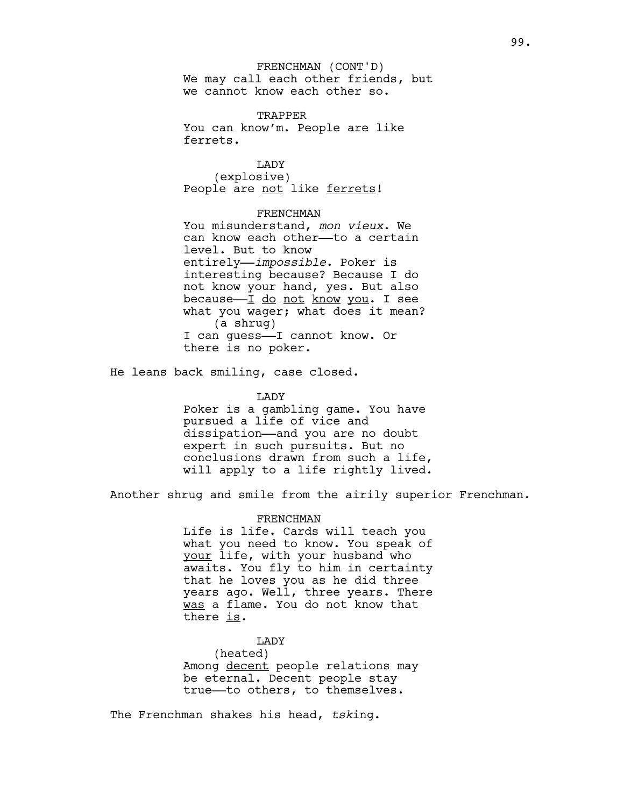We may call each other friends, but we cannot know each other so. FRENCHMAN (CONT'D)

TRAPPER You can know'm. People are like ferrets.

LADY (explosive) People are not like ferrets!

# FRENCHMAN

You misunderstand, *mon vieux*. We can know each other——to a certain level. But to know entirely——*impossible*. Poker is interesting because? Because I do not know your hand, yes. But also because—I do not know you. I see what you wager; what does it mean? (a shrug) I can guess——I cannot know. Or there is no poker.

He leans back smiling, case closed.

LADY

Poker is a gambling game. You have pursued a life of vice and dissipation——and you are no doubt expert in such pursuits. But no conclusions drawn from such a life, will apply to a life rightly lived.

Another shrug and smile from the airily superior Frenchman.

#### FRENCHMAN

Life is life. Cards will teach you what you need to know. You speak of your life, with your husband who awaits. You fly to him in certainty that he loves you as he did three years ago. Well, three years. There was a flame. You do not know that there is.

# **T.ADY**

(heated) Among decent people relations may be eternal. Decent people stay true——to others, to themselves.

The Frenchman shakes his head, *tsk*ing.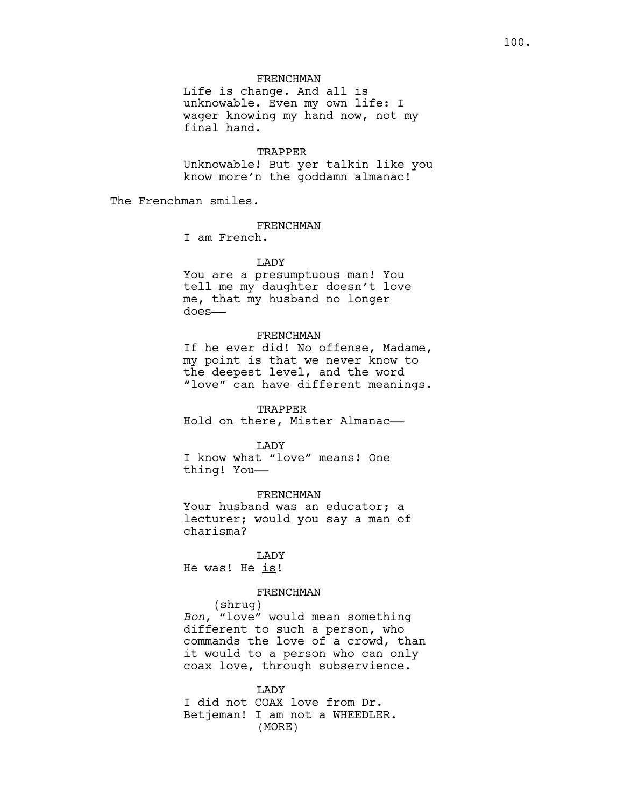# FRENCHMAN

Life is change. And all is unknowable. Even my own life: I wager knowing my hand now, not my final hand.

#### TRAPPER

Unknowable! But yer talkin like you know more'n the goddamn almanac!

The Frenchman smiles.

# FRENCHMAN

I am French.

#### LADY

You are a presumptuous man! You tell me my daughter doesn't love me, that my husband no longer does——

#### FRENCHMAN

If he ever did! No offense, Madame, my point is that we never know to the deepest level, and the word "love" can have different meanings.

TRAPPER Hold on there, Mister Almanac——

#### LADY

I know what "love" means! One thing! You——

FRENCHMAN

Your husband was an educator; a lecturer; would you say a man of charisma?

LADY He was! He is!

# FRENCHMAN

(shrug) *Bon*, "love" would mean something different to such a person, who commands the love of a crowd, than it would to a person who can only coax love, through subservience.

LADY I did not COAX love from Dr. Betjeman! I am not a WHEEDLER. (MORE)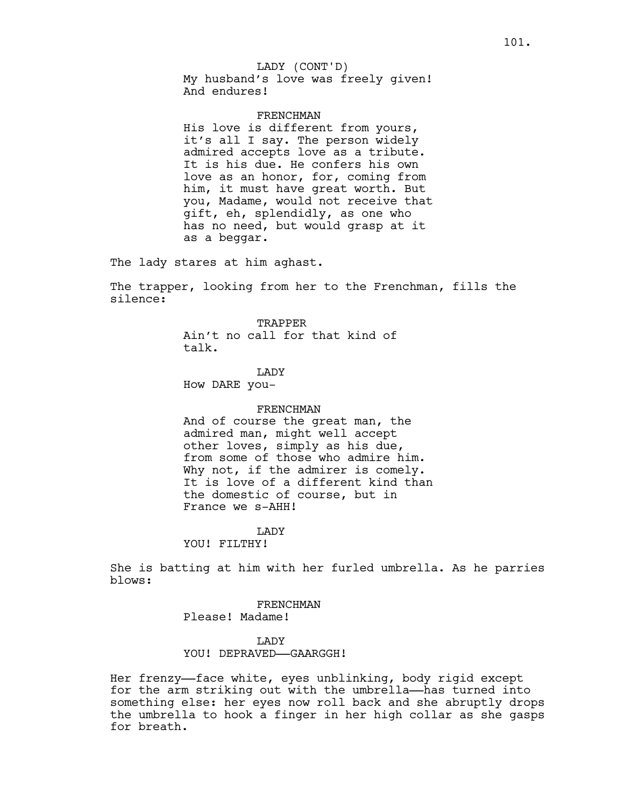# LADY (CONT'D)

My husband's love was freely given! And endures!

#### FRENCHMAN

His love is different from yours, it's all I say. The person widely admired accepts love as a tribute. It is his due. He confers his own love as an honor, for, coming from him, it must have great worth. But you, Madame, would not receive that gift, eh, splendidly, as one who has no need, but would grasp at it as a beggar.

The lady stares at him aghast.

The trapper, looking from her to the Frenchman, fills the silence:

> TRAPPER Ain't no call for that kind of talk.

LADY How DARE you-

#### FRENCHMAN

And of course the great man, the admired man, might well accept other loves, simply as his due, from some of those who admire him. Why not, if the admirer is comely. It is love of a different kind than the domestic of course, but in France we s-AHH!

# **T.ADY**

# YOU! FILTHY!

She is batting at him with her furled umbrella. As he parries blows:

> FRENCHMAN Please! Madame!

# **T.ADY** YOU! DEPRAVED-GAARGGH!

Her frenzy——face white, eyes unblinking, body rigid except for the arm striking out with the umbrella——has turned into something else: her eyes now roll back and she abruptly drops the umbrella to hook a finger in her high collar as she gasps for breath.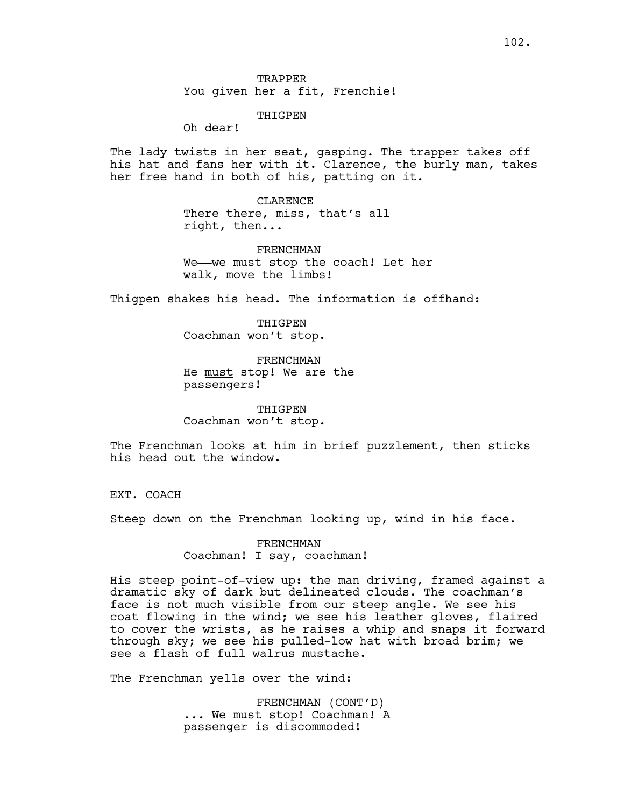TRAPPER You given her a fit, Frenchie!

THIGPEN

Oh dear!

The lady twists in her seat, gasping. The trapper takes off his hat and fans her with it. Clarence, the burly man, takes her free hand in both of his, patting on it.

> CLARENCE There there, miss, that's all right, then...

FRENCHMAN We——we must stop the coach! Let her walk, move the limbs!

Thigpen shakes his head. The information is offhand:

THIGPEN Coachman won't stop.

FRENCHMAN He must stop! We are the passengers!

THIGPEN Coachman won't stop.

The Frenchman looks at him in brief puzzlement, then sticks his head out the window.

EXT. COACH

Steep down on the Frenchman looking up, wind in his face.

FRENCHMAN Coachman! I say, coachman!

His steep point-of-view up: the man driving, framed against a dramatic sky of dark but delineated clouds. The coachman's face is not much visible from our steep angle. We see his coat flowing in the wind; we see his leather gloves, flaired to cover the wrists, as he raises a whip and snaps it forward through sky; we see his pulled-low hat with broad brim; we see a flash of full walrus mustache.

The Frenchman yells over the wind:

FRENCHMAN (CONT'D) ... We must stop! Coachman! A passenger is discommoded!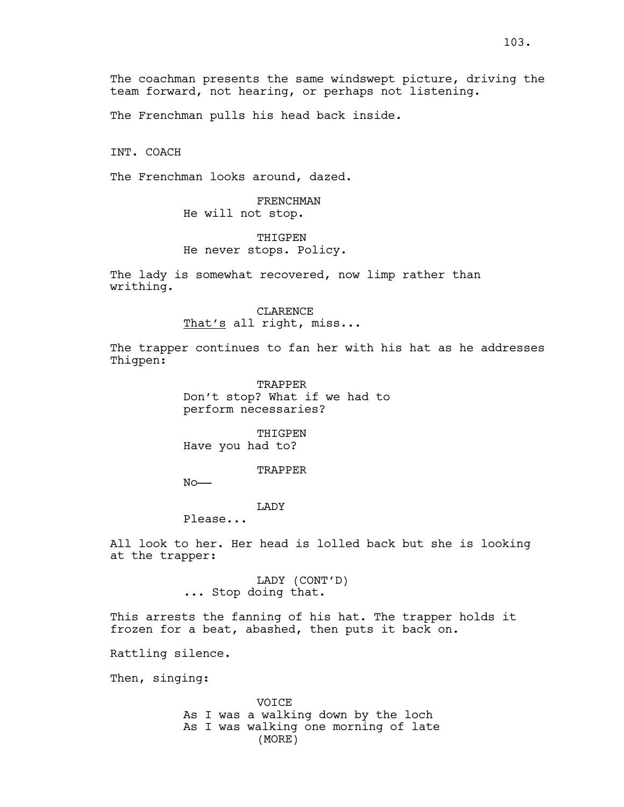The coachman presents the same windswept picture, driving the team forward, not hearing, or perhaps not listening.

The Frenchman pulls his head back inside.

INT. COACH

The Frenchman looks around, dazed.

FRENCHMAN He will not stop.

**THIGPEN** He never stops. Policy.

The lady is somewhat recovered, now limp rather than writhing.

> CLARENCE That's all right, miss...

The trapper continues to fan her with his hat as he addresses Thigpen:

> TRAPPER Don't stop? What if we had to perform necessaries?

THIGPEN Have you had to?

TRAPPER

No——

### **T.ADY**

Please...

All look to her. Her head is lolled back but she is looking at the trapper:

> LADY (CONT'D) ... Stop doing that.

This arrests the fanning of his hat. The trapper holds it frozen for a beat, abashed, then puts it back on.

Rattling silence.

Then, singing:

VOICE As I was a walking down by the loch As I was walking one morning of late (MORE)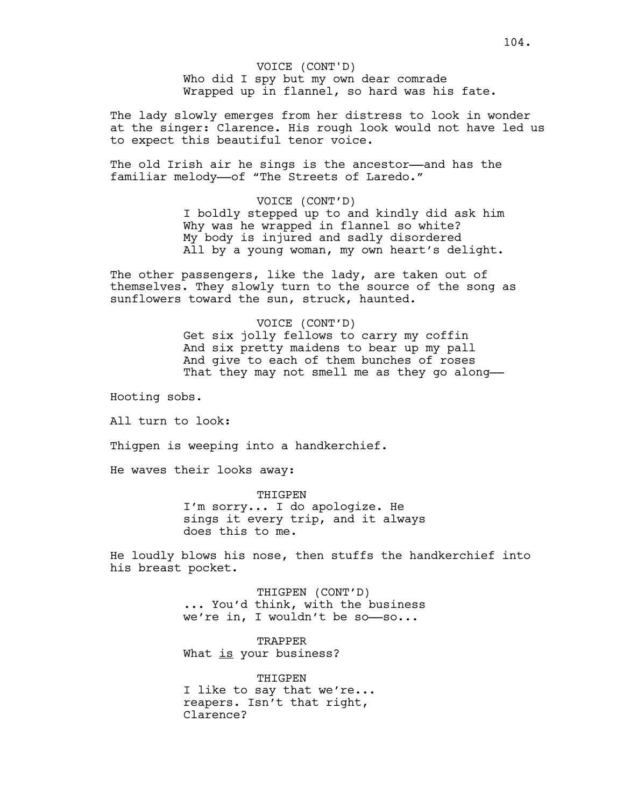Who did I spy but my own dear comrade VOICE (CONT'D)

Wrapped up in flannel, so hard was his fate.

The lady slowly emerges from her distress to look in wonder at the singer: Clarence. His rough look would not have led us to expect this beautiful tenor voice.

The old Irish air he sings is the ancestor—and has the familiar melody--of "The Streets of Laredo."

VOICE (CONT'D)

I boldly stepped up to and kindly did ask him Why was he wrapped in flannel so white? My body is injured and sadly disordered All by a young woman, my own heart's delight.

The other passengers, like the lady, are taken out of themselves. They slowly turn to the source of the song as sunflowers toward the sun, struck, haunted.

> VOICE (CONT'D) Get six jolly fellows to carry my coffin And six pretty maidens to bear up my pall And give to each of them bunches of roses That they may not smell me as they go along-

Hooting sobs.

All turn to look:

Thigpen is weeping into a handkerchief.

He waves their looks away:

THIGPEN I'm sorry... I do apologize. He sings it every trip, and it always does this to me.

He loudly blows his nose, then stuffs the handkerchief into his breast pocket.

> THIGPEN (CONT'D) ... You'd think, with the business we're in, I wouldn't be  $so--so...$

TRAPPER What is your business?

THIGPEN I like to say that we're... reapers. Isn't that right, Clarence?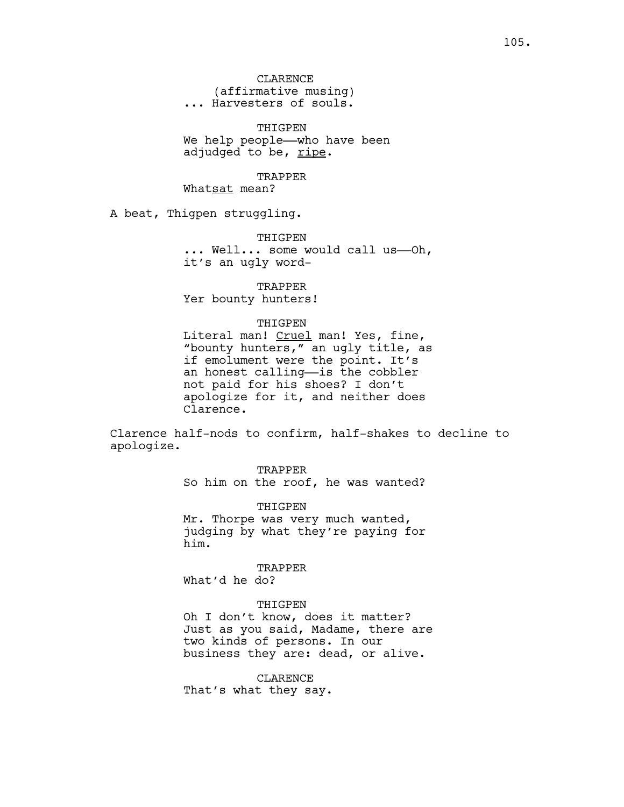CLARENCE (affirmative musing) ... Harvesters of souls.

THIGPEN We help people—who have been adjudged to be, ripe.

#### TRAPPER

Whatsat mean?

A beat, Thigpen struggling.

THIGPEN ... Well... some would call us--Oh, it's an ugly word-

TRAPPER Yer bounty hunters!

#### THIGPEN

Literal man! Cruel man! Yes, fine, "bounty hunters," an ugly title, as if emolument were the point. It's an honest calling—is the cobbler not paid for his shoes? I don't apologize for it, and neither does Clarence.

Clarence half-nods to confirm, half-shakes to decline to apologize.

> TRAPPER So him on the roof, he was wanted?

> THIGPEN Mr. Thorpe was very much wanted, judging by what they're paying for him.

> > TRAPPER

What'd he do?

### THIGPEN

Oh I don't know, does it matter? Just as you said, Madame, there are two kinds of persons. In our business they are: dead, or alive.

CLARENCE That's what they say.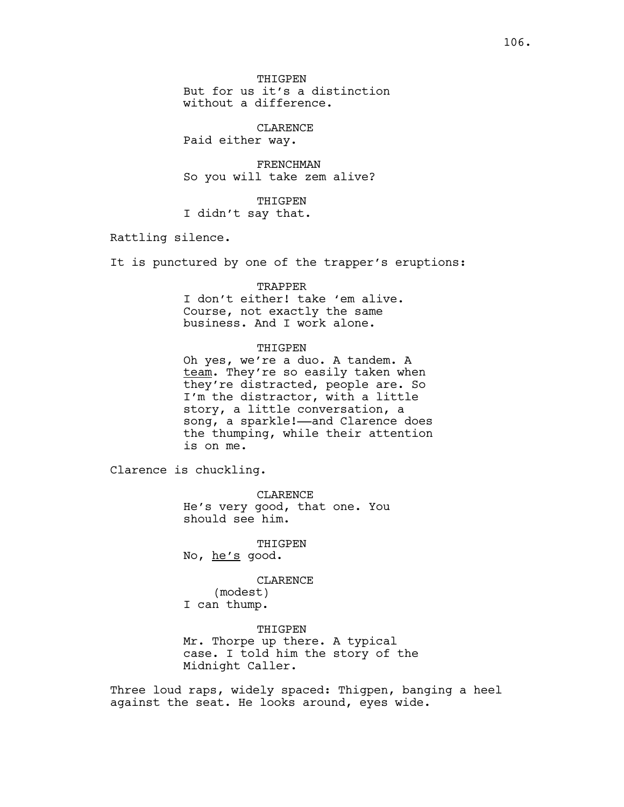CLARENCE Paid either way.

FRENCHMAN So you will take zem alive?

THIGPEN I didn't say that.

Rattling silence.

It is punctured by one of the trapper's eruptions:

TRAPPER

I don't either! take 'em alive. Course, not exactly the same business. And I work alone.

### THIGPEN

Oh yes, we're a duo. A tandem. A team. They're so easily taken when they're distracted, people are. So I'm the distractor, with a little story, a little conversation, a song, a sparkle!-- and Clarence does the thumping, while their attention is on me.

Clarence is chuckling.

CLARENCE He's very good, that one. You should see him.

THIGPEN No, he's good.

> CLARENCE (modest)

I can thump.

THIGPEN Mr. Thorpe up there. A typical case. I told him the story of the Midnight Caller.

Three loud raps, widely spaced: Thigpen, banging a heel against the seat. He looks around, eyes wide.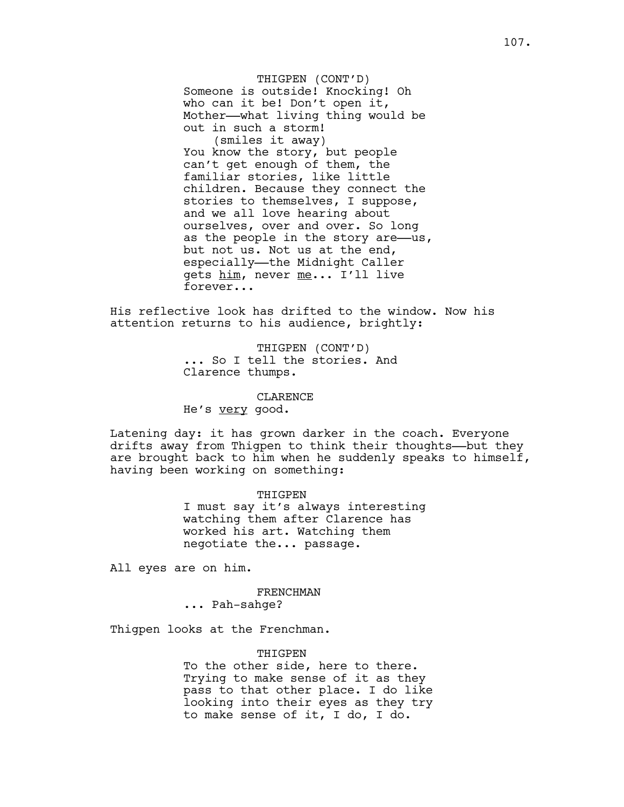THIGPEN (CONT'D) Someone is outside! Knocking! Oh who can it be! Don't open it, Mother——what living thing would be out in such a storm! (smiles it away) You know the story, but people can't get enough of them, the familiar stories, like little children. Because they connect the stories to themselves, I suppose, and we all love hearing about ourselves, over and over. So long as the people in the story are——us, but not us. Not us at the end, especially——the Midnight Caller gets him, never me... I'll live forever...

His reflective look has drifted to the window. Now his attention returns to his audience, brightly:

> THIGPEN (CONT'D) ... So I tell the stories. And Clarence thumps.

#### CLARENCE

He's very good.

Latening day: it has grown darker in the coach. Everyone drifts away from Thigpen to think their thoughts——but they are brought back to him when he suddenly speaks to himself, having been working on something:

#### THIGPEN

I must say it's always interesting watching them after Clarence has worked his art. Watching them negotiate the... passage.

All eyes are on him.

FRENCHMAN

... Pah-sahge?

Thigpen looks at the Frenchman.

#### THIGPEN

To the other side, here to there. Trying to make sense of it as they pass to that other place. I do like looking into their eyes as they try to make sense of it, I do, I do.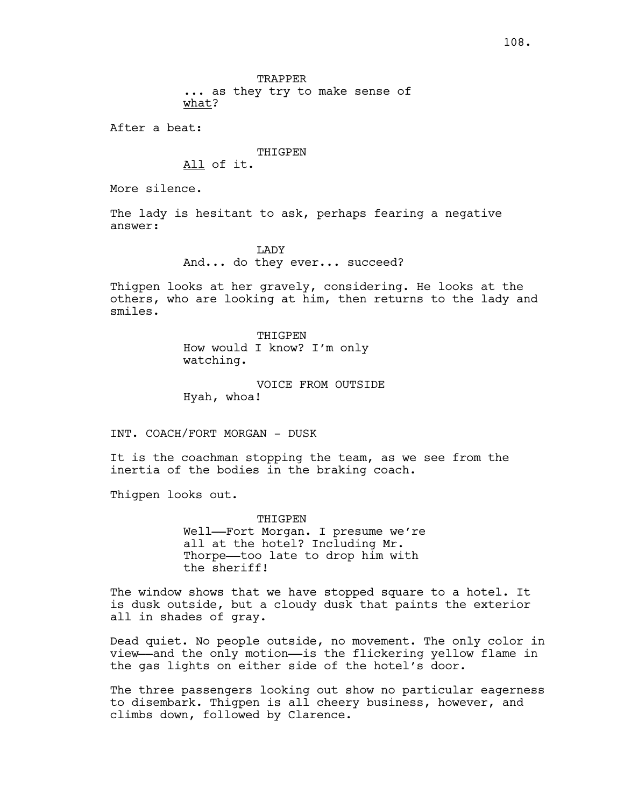**TRAPPER** ... as they try to make sense of what?

After a beat:

## THIGPEN

All of it.

More silence.

The lady is hesitant to ask, perhaps fearing a negative answer:

> LADY And... do they ever... succeed?

Thigpen looks at her gravely, considering. He looks at the others, who are looking at him, then returns to the lady and smiles.

> THIGPEN How would I know? I'm only watching.

VOICE FROM OUTSIDE Hyah, whoa!

INT. COACH/FORT MORGAN - DUSK

It is the coachman stopping the team, as we see from the inertia of the bodies in the braking coach.

Thigpen looks out.

THIGPEN Well——Fort Morgan. I presume we're all at the hotel? Including Mr. Thorpe——too late to drop him with the sheriff!

The window shows that we have stopped square to a hotel. It is dusk outside, but a cloudy dusk that paints the exterior all in shades of gray.

Dead quiet. No people outside, no movement. The only color in view——and the only motion——is the flickering yellow flame in the gas lights on either side of the hotel's door.

The three passengers looking out show no particular eagerness to disembark. Thigpen is all cheery business, however, and climbs down, followed by Clarence.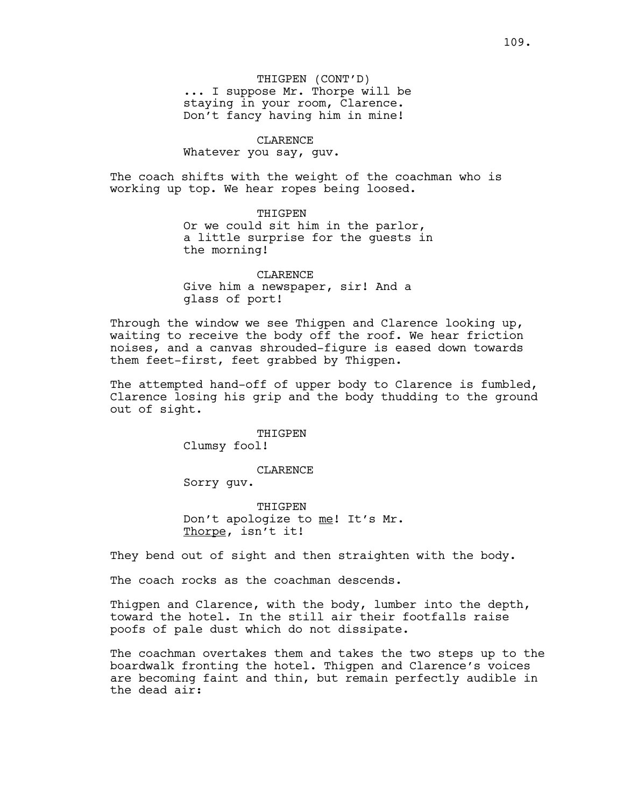THIGPEN (CONT'D) ... I suppose Mr. Thorpe will be staying in your room, Clarence. Don't fancy having him in mine!

## CLARENCE

Whatever you say, guv.

The coach shifts with the weight of the coachman who is working up top. We hear ropes being loosed.

> THIGPEN Or we could sit him in the parlor, a little surprise for the guests in the morning!

CLARENCE Give him a newspaper, sir! And a glass of port!

Through the window we see Thigpen and Clarence looking up, waiting to receive the body off the roof. We hear friction noises, and a canvas shrouded-figure is eased down towards them feet-first, feet grabbed by Thigpen.

The attempted hand-off of upper body to Clarence is fumbled, Clarence losing his grip and the body thudding to the ground out of sight.

> THIGPEN Clumsy fool!

> > CLARENCE

Sorry guv.

THIGPEN Don't apologize to me! It's Mr. Thorpe, isn't it!

They bend out of sight and then straighten with the body.

The coach rocks as the coachman descends.

Thigpen and Clarence, with the body, lumber into the depth, toward the hotel. In the still air their footfalls raise poofs of pale dust which do not dissipate.

The coachman overtakes them and takes the two steps up to the boardwalk fronting the hotel. Thigpen and Clarence's voices are becoming faint and thin, but remain perfectly audible in the dead air: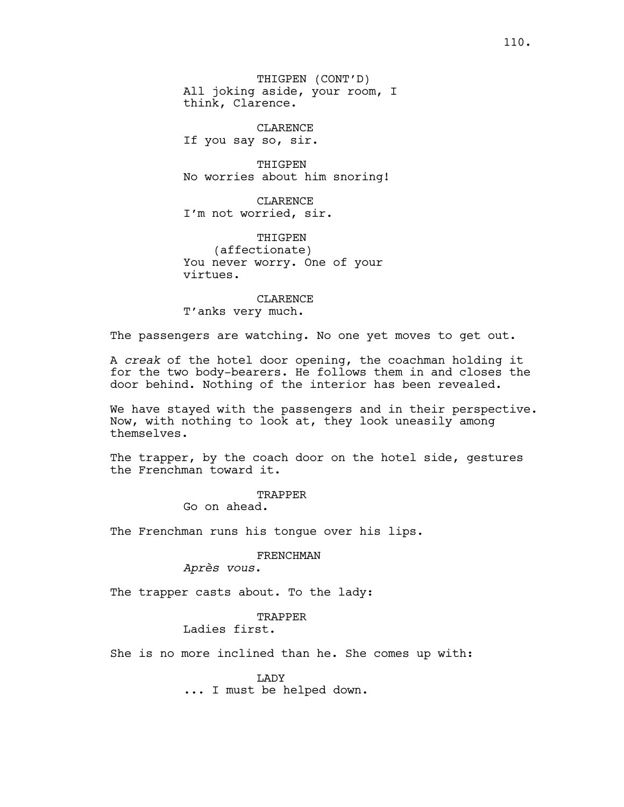CLARENCE If you say so, sir.

THIGPEN No worries about him snoring!

CLARENCE I'm not worried, sir.

THIGPEN (affectionate) You never worry. One of your virtues.

CLARENCE T'anks very much.

The passengers are watching. No one yet moves to get out.

A *creak* of the hotel door opening, the coachman holding it for the two body-bearers. He follows them in and closes the door behind. Nothing of the interior has been revealed.

We have stayed with the passengers and in their perspective. Now, with nothing to look at, they look uneasily among themselves.

The trapper, by the coach door on the hotel side, gestures the Frenchman toward it.

> TRAPPER Go on ahead.

The Frenchman runs his tongue over his lips.

## FRENCHMAN

*Après vous*.

The trapper casts about. To the lady:

## TRAPPER

Ladies first.

She is no more inclined than he. She comes up with:

LADY

... I must be helped down.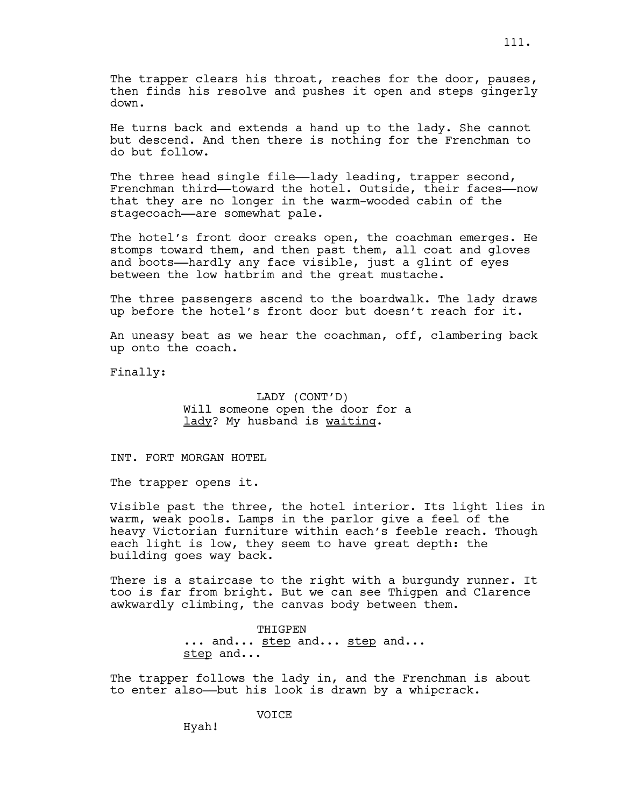The trapper clears his throat, reaches for the door, pauses, then finds his resolve and pushes it open and steps gingerly down.

He turns back and extends a hand up to the lady. She cannot but descend. And then there is nothing for the Frenchman to do but follow.

The three head single file—lady leading, trapper second, Frenchman third—toward the hotel. Outside, their faces—now that they are no longer in the warm-wooded cabin of the stagecoach——are somewhat pale.

The hotel's front door creaks open, the coachman emerges. He stomps toward them, and then past them, all coat and gloves and boots——hardly any face visible, just a glint of eyes between the low hatbrim and the great mustache.

The three passengers ascend to the boardwalk. The lady draws up before the hotel's front door but doesn't reach for it.

An uneasy beat as we hear the coachman, off, clambering back up onto the coach.

Finally:

LADY (CONT'D) Will someone open the door for a lady? My husband is waiting.

INT. FORT MORGAN HOTEL

The trapper opens it.

Visible past the three, the hotel interior. Its light lies in warm, weak pools. Lamps in the parlor give a feel of the heavy Victorian furniture within each's feeble reach. Though each light is low, they seem to have great depth: the building goes way back.

There is a staircase to the right with a burgundy runner. It too is far from bright. But we can see Thigpen and Clarence awkwardly climbing, the canvas body between them.

> THIGPEN ... and... step and... step and... step and...

The trapper follows the lady in, and the Frenchman is about to enter also——but his look is drawn by a whipcrack.

VOICE

Hyah!